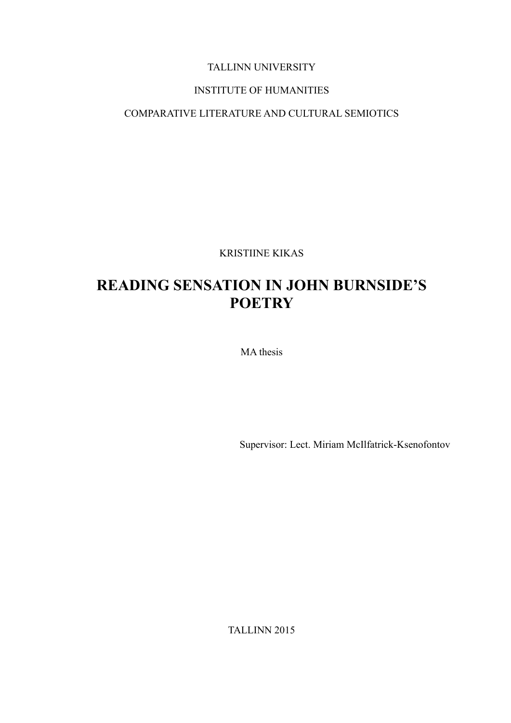## TALLINN UNIVERSITY

## INSTITUTE OF HUMANITIES

## COMPARATIVE LITERATURE AND CULTURAL SEMIOTICS

KRISTIINE KIKAS

# **READING SENSATION IN JOHN BURNSIDE'S POETRY**

MA thesis

Supervisor: Lect. Miriam McIlfatrick-Ksenofontov

TALLINN 2015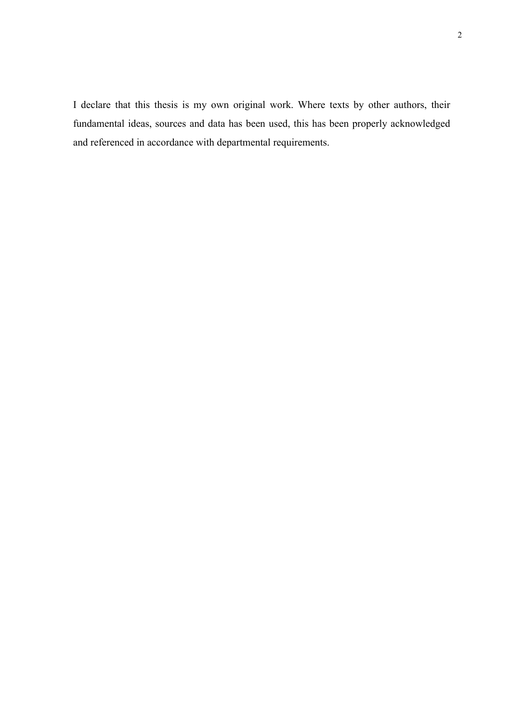I declare that this thesis is my own original work. Where texts by other authors, their fundamental ideas, sources and data has been used, this has been properly acknowledged and referenced in accordance with departmental requirements.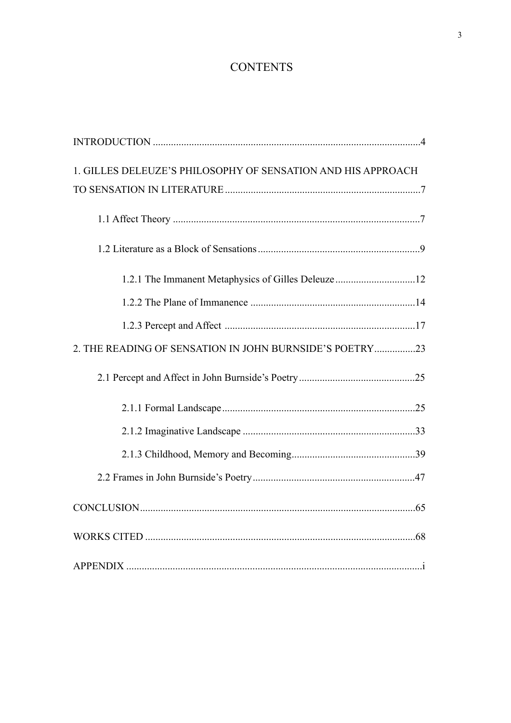## **CONTENTS**

| 1. GILLES DELEUZE'S PHILOSOPHY OF SENSATION AND HIS APPROACH |  |
|--------------------------------------------------------------|--|
|                                                              |  |
|                                                              |  |
|                                                              |  |
| 1.2.1 The Immanent Metaphysics of Gilles Deleuze 12          |  |
|                                                              |  |
|                                                              |  |
| 2. THE READING OF SENSATION IN JOHN BURNSIDE'S POETRY23      |  |
|                                                              |  |
|                                                              |  |
|                                                              |  |
|                                                              |  |
|                                                              |  |
|                                                              |  |
|                                                              |  |
|                                                              |  |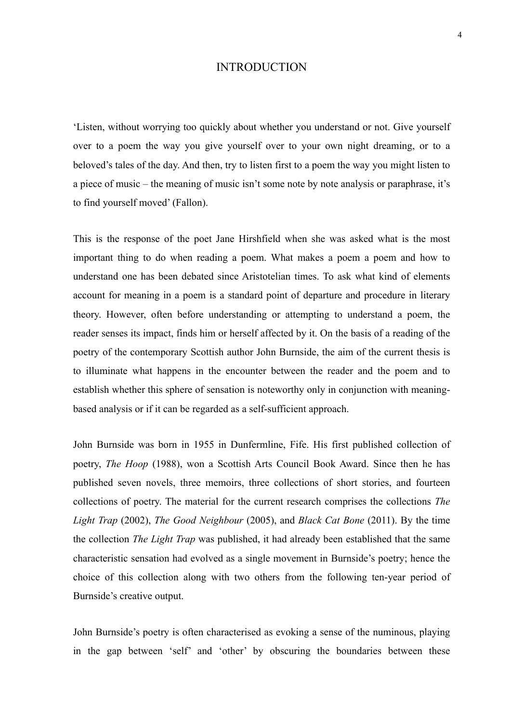#### <span id="page-3-0"></span>INTRODUCTION

'Listen, without worrying too quickly about whether you understand or not. Give yourself over to a poem the way you give yourself over to your own night dreaming, or to a beloved's tales of the day. And then, try to listen first to a poem the way you might listen to a piece of music – the meaning of music isn't some note by note analysis or paraphrase, it's to find yourself moved' (Fallon).

This is the response of the poet Jane Hirshfield when she was asked what is the most important thing to do when reading a poem. What makes a poem a poem and how to understand one has been debated since Aristotelian times. To ask what kind of elements account for meaning in a poem is a standard point of departure and procedure in literary theory. However, often before understanding or attempting to understand a poem, the reader senses its impact, finds him or herself affected by it. On the basis of a reading of the poetry of the contemporary Scottish author John Burnside, the aim of the current thesis is to illuminate what happens in the encounter between the reader and the poem and to establish whether this sphere of sensation is noteworthy only in conjunction with meaningbased analysis or if it can be regarded as a self-sufficient approach.

John Burnside was born in 1955 in Dunfermline, Fife. His first published collection of poetry, *The Hoop* (1988), won a Scottish Arts Council Book Award. Since then he has published seven novels, three memoirs, three collections of short stories, and fourteen collections of poetry. The material for the current research comprises the collections *The Light Trap* (2002), *The Good Neighbour* (2005), and *Black Cat Bone* (2011). By the time the collection *The Light Trap* was published, it had already been established that the same characteristic sensation had evolved as a single movement in Burnside's poetry; hence the choice of this collection along with two others from the following ten-year period of Burnside's creative output.

John Burnside's poetry is often characterised as evoking a sense of the numinous, playing in the gap between 'self' and 'other' by obscuring the boundaries between these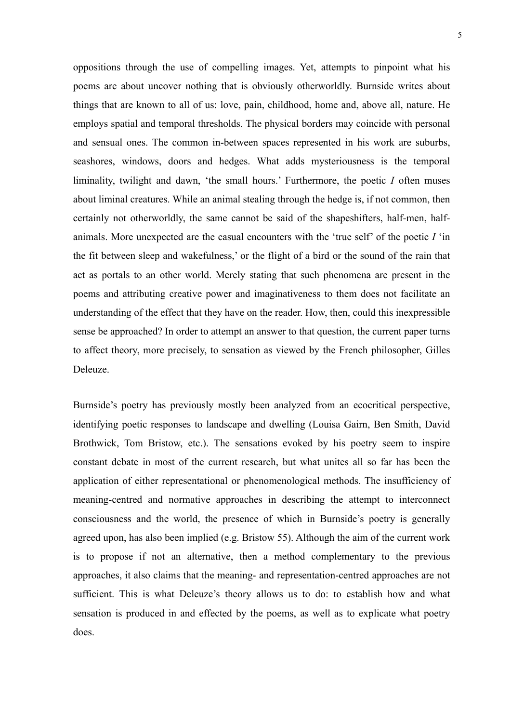oppositions through the use of compelling images. Yet, attempts to pinpoint what his poems are about uncover nothing that is obviously otherworldly. Burnside writes about things that are known to all of us: love, pain, childhood, home and, above all, nature. He employs spatial and temporal thresholds. The physical borders may coincide with personal and sensual ones. The common in-between spaces represented in his work are suburbs, seashores, windows, doors and hedges. What adds mysteriousness is the temporal liminality, twilight and dawn, 'the small hours.' Furthermore, the poetic *I* often muses about liminal creatures. While an animal stealing through the hedge is, if not common, then certainly not otherworldly, the same cannot be said of the shapeshifters, half-men, halfanimals. More unexpected are the casual encounters with the 'true self' of the poetic *I* 'in the fit between sleep and wakefulness,' or the flight of a bird or the sound of the rain that act as portals to an other world. Merely stating that such phenomena are present in the poems and attributing creative power and imaginativeness to them does not facilitate an understanding of the effect that they have on the reader. How, then, could this inexpressible sense be approached? In order to attempt an answer to that question, the current paper turns to affect theory, more precisely, to sensation as viewed by the French philosopher, Gilles Deleuze.

Burnside's poetry has previously mostly been analyzed from an ecocritical perspective, identifying poetic responses to landscape and dwelling (Louisa Gairn, Ben Smith, David Brothwick, Tom Bristow, etc.). The sensations evoked by his poetry seem to inspire constant debate in most of the current research, but what unites all so far has been the application of either representational or phenomenological methods. The insufficiency of meaning-centred and normative approaches in describing the attempt to interconnect consciousness and the world, the presence of which in Burnside's poetry is generally agreed upon, has also been implied (e.g. Bristow 55). Although the aim of the current work is to propose if not an alternative, then a method complementary to the previous approaches, it also claims that the meaning- and representation-centred approaches are not sufficient. This is what Deleuze's theory allows us to do: to establish how and what sensation is produced in and effected by the poems, as well as to explicate what poetry does.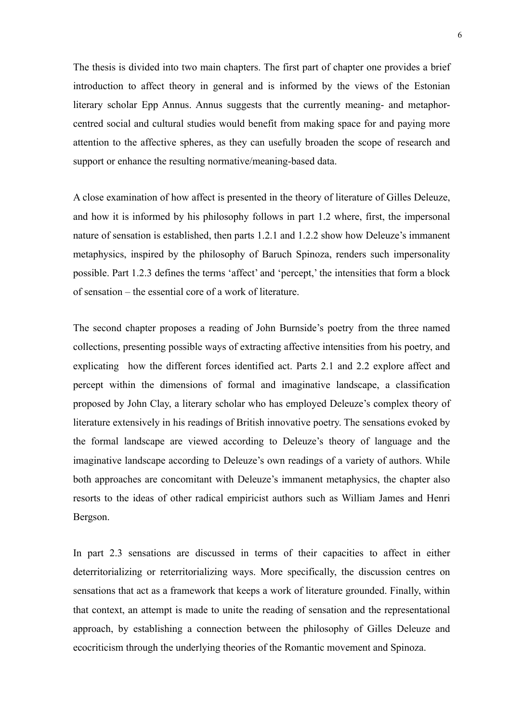The thesis is divided into two main chapters. The first part of chapter one provides a brief introduction to affect theory in general and is informed by the views of the Estonian literary scholar Epp Annus. Annus suggests that the currently meaning- and metaphorcentred social and cultural studies would benefit from making space for and paying more attention to the affective spheres, as they can usefully broaden the scope of research and support or enhance the resulting normative/meaning-based data.

A close examination of how affect is presented in the theory of literature of Gilles Deleuze, and how it is informed by his philosophy follows in part 1.2 where, first, the impersonal nature of sensation is established, then parts 1.2.1 and 1.2.2 show how Deleuze's immanent metaphysics, inspired by the philosophy of Baruch Spinoza, renders such impersonality possible. Part 1.2.3 defines the terms 'affect' and 'percept,' the intensities that form a block of sensation – the essential core of a work of literature.

The second chapter proposes a reading of John Burnside's poetry from the three named collections, presenting possible ways of extracting affective intensities from his poetry, and explicating how the different forces identified act. Parts 2.1 and 2.2 explore affect and percept within the dimensions of formal and imaginative landscape, a classification proposed by John Clay, a literary scholar who has employed Deleuze's complex theory of literature extensively in his readings of British innovative poetry. The sensations evoked by the formal landscape are viewed according to Deleuze's theory of language and the imaginative landscape according to Deleuze's own readings of a variety of authors. While both approaches are concomitant with Deleuze's immanent metaphysics, the chapter also resorts to the ideas of other radical empiricist authors such as William James and Henri Bergson.

In part 2.3 sensations are discussed in terms of their capacities to affect in either deterritorializing or reterritorializing ways. More specifically, the discussion centres on sensations that act as a framework that keeps a work of literature grounded. Finally, within that context, an attempt is made to unite the reading of sensation and the representational approach, by establishing a connection between the philosophy of Gilles Deleuze and ecocriticism through the underlying theories of the Romantic movement and Spinoza.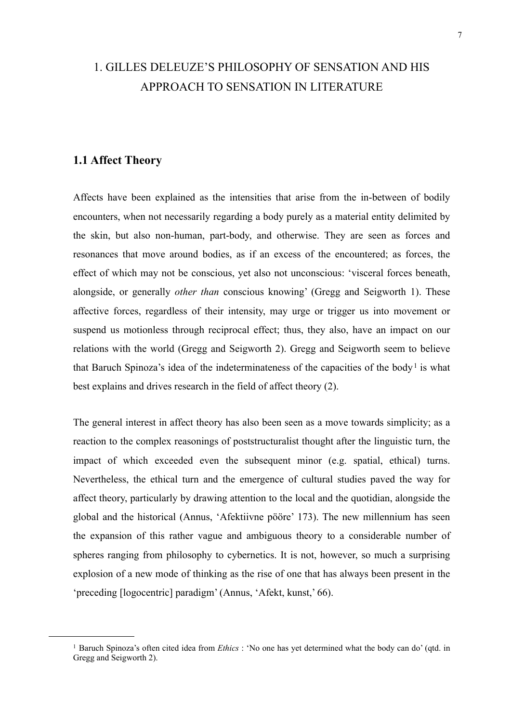## <span id="page-6-0"></span>1. GILLES DELEUZE'S PHILOSOPHY OF SENSATION AND HIS APPROACH TO SENSATION IN LITERATURE

## <span id="page-6-1"></span>**1.1 Affect Theory**

Affects have been explained as the intensities that arise from the in-between of bodily encounters, when not necessarily regarding a body purely as a material entity delimited by the skin, but also non-human, part-body, and otherwise. They are seen as forces and resonances that move around bodies, as if an excess of the encountered; as forces, the effect of which may not be conscious, yet also not unconscious: 'visceral forces beneath, alongside, or generally *other than* conscious knowing' (Gregg and Seigworth 1). These affective forces, regardless of their intensity, may urge or trigger us into movement or suspend us motionless through reciprocal effect; thus, they also, have an impact on our relations with the world (Gregg and Seigworth 2). Gregg and Seigworth seem to believe that Baruch Spinoza's idea of the indeterminateness of the capacities of the body<sup>[1](#page-6-2)</sup> is what best explains and drives research in the field of affect theory (2).

The general interest in affect theory has also been seen as a move towards simplicity; as a reaction to the complex reasonings of poststructuralist thought after the linguistic turn, the impact of which exceeded even the subsequent minor (e.g. spatial, ethical) turns. Nevertheless, the ethical turn and the emergence of cultural studies paved the way for affect theory, particularly by drawing attention to the local and the quotidian, alongside the global and the historical (Annus, 'Afektiivne pööre' 173). The new millennium has seen the expansion of this rather vague and ambiguous theory to a considerable number of spheres ranging from philosophy to cybernetics. It is not, however, so much a surprising explosion of a new mode of thinking as the rise of one that has always been present in the 'preceding [logocentric] paradigm' (Annus, 'Afekt, kunst,' 66).

<span id="page-6-2"></span><sup>1</sup> Baruch Spinoza's often cited idea from *Ethics* : 'No one has yet determined what the body can do' (qtd. in Gregg and Seigworth 2).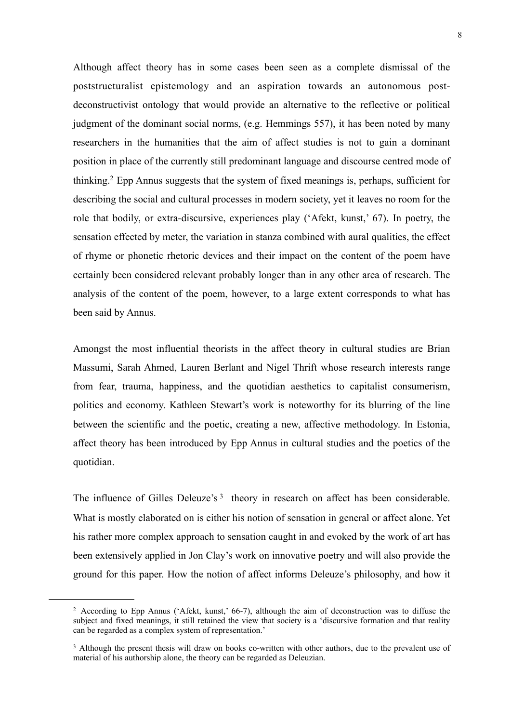Although affect theory has in some cases been seen as a complete dismissal of the poststructuralist epistemology and an aspiration towards an autonomous postdeconstructivist ontology that would provide an alternative to the reflective or political judgment of the dominant social norms, (e.g. Hemmings 557), it has been noted by many researchers in the humanities that the aim of affect studies is not to gain a dominant position in place of the currently still predominant language and discourse centred mode of thinking[.2](#page-7-0) Epp Annus suggests that the system of fixed meanings is, perhaps, sufficient for describing the social and cultural processes in modern society, yet it leaves no room for the role that bodily, or extra-discursive, experiences play ('Afekt, kunst,' 67). In poetry, the sensation effected by meter, the variation in stanza combined with aural qualities, the effect of rhyme or phonetic rhetoric devices and their impact on the content of the poem have certainly been considered relevant probably longer than in any other area of research. The analysis of the content of the poem, however, to a large extent corresponds to what has been said by Annus.

Amongst the most influential theorists in the affect theory in cultural studies are Brian Massumi, Sarah Ahmed, Lauren Berlant and Nigel Thrift whose research interests range from fear, trauma, happiness, and the quotidian aesthetics to capitalist consumerism, politics and economy. Kathleen Stewart's work is noteworthy for its blurring of the line between the scientific and the poetic, creating a new, affective methodology. In Estonia, affect theory has been introduced by Epp Annus in cultural studies and the poetics of the quotidian.

The influence of Gilles Deleuze's<sup>[3](#page-7-1)</sup> theory in research on affect has been considerable. What is mostly elaborated on is either his notion of sensation in general or affect alone. Yet his rather more complex approach to sensation caught in and evoked by the work of art has been extensively applied in Jon Clay's work on innovative poetry and will also provide the ground for this paper. How the notion of affect informs Deleuze's philosophy, and how it

<span id="page-7-0"></span><sup>2</sup> According to Epp Annus ('Afekt, kunst,' 66-7), although the aim of deconstruction was to diffuse the subject and fixed meanings, it still retained the view that society is a 'discursive formation and that reality can be regarded as a complex system of representation.'

<span id="page-7-1"></span><sup>&</sup>lt;sup>3</sup> Although the present thesis will draw on books co-written with other authors, due to the prevalent use of material of his authorship alone, the theory can be regarded as Deleuzian.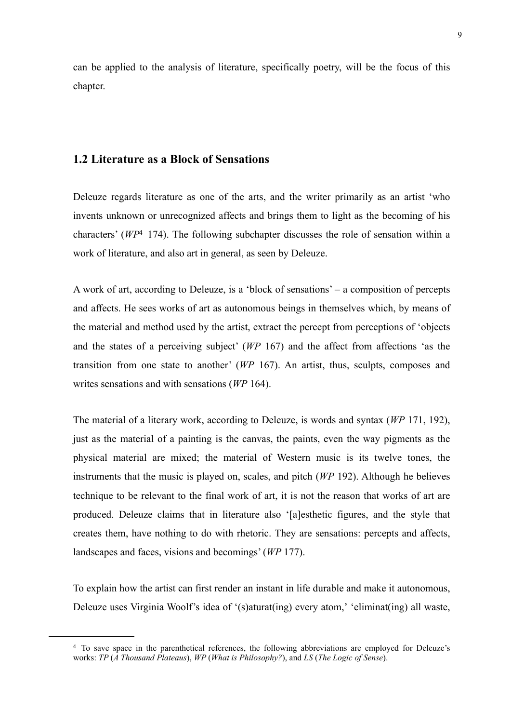can be applied to the analysis of literature, specifically poetry, will be the focus of this chapter.

### <span id="page-8-0"></span>**1.2 Literature as a Block of Sensations**

Deleuze regards literature as one of the arts, and the writer primarily as an artist 'who invents unknown or unrecognized affects and brings them to light as the becoming of his characters' (*WP*[4](#page-8-1) 174). The following subchapter discusses the role of sensation within a work of literature, and also art in general, as seen by Deleuze.

A work of art, according to Deleuze, is a 'block of sensations' – a composition of percepts and affects. He sees works of art as autonomous beings in themselves which, by means of the material and method used by the artist, extract the percept from perceptions of 'objects and the states of a perceiving subject' (*WP* 167) and the affect from affections 'as the transition from one state to another' (*WP* 167). An artist, thus, sculpts, composes and writes sensations and with sensations (*WP* 164).

The material of a literary work, according to Deleuze, is words and syntax (*WP* 171, 192), just as the material of a painting is the canvas, the paints, even the way pigments as the physical material are mixed; the material of Western music is its twelve tones, the instruments that the music is played on, scales, and pitch (*WP* 192). Although he believes technique to be relevant to the final work of art, it is not the reason that works of art are produced. Deleuze claims that in literature also '[a]esthetic figures, and the style that creates them, have nothing to do with rhetoric. They are sensations: percepts and affects, landscapes and faces, visions and becomings' (*WP* 177).

To explain how the artist can first render an instant in life durable and make it autonomous, Deleuze uses Virginia Woolf's idea of '(s)aturat(ing) every atom,' 'eliminat(ing) all waste,

<span id="page-8-1"></span><sup>4</sup> To save space in the parenthetical references, the following abbreviations are employed for Deleuze's works: *TP* (*A Thousand Plateaus*), *WP* (*What is Philosophy?*), and *LS* (*The Logic of Sense*).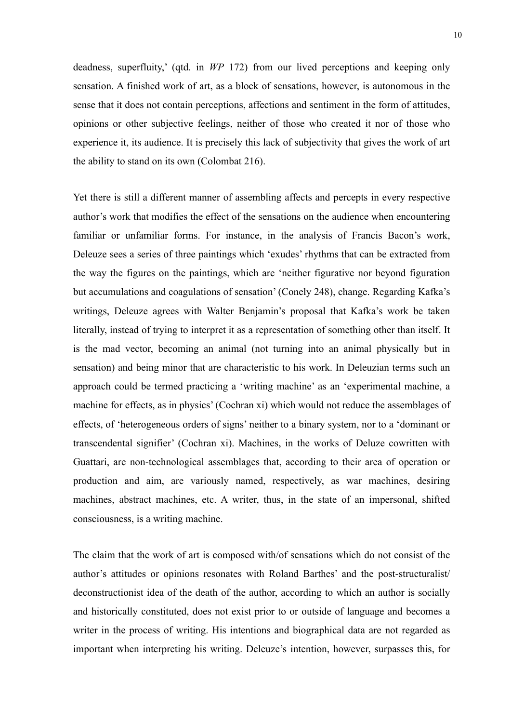deadness, superfluity,' (qtd. in *WP* 172) from our lived perceptions and keeping only sensation. A finished work of art, as a block of sensations, however, is autonomous in the sense that it does not contain perceptions, affections and sentiment in the form of attitudes, opinions or other subjective feelings, neither of those who created it nor of those who experience it, its audience. It is precisely this lack of subjectivity that gives the work of art the ability to stand on its own (Colombat 216).

Yet there is still a different manner of assembling affects and percepts in every respective author's work that modifies the effect of the sensations on the audience when encountering familiar or unfamiliar forms. For instance, in the analysis of Francis Bacon's work, Deleuze sees a series of three paintings which 'exudes' rhythms that can be extracted from the way the figures on the paintings, which are 'neither figurative nor beyond figuration but accumulations and coagulations of sensation' (Conely 248), change. Regarding Kafka's writings, Deleuze agrees with Walter Benjamin's proposal that Kafka's work be taken literally, instead of trying to interpret it as a representation of something other than itself. It is the mad vector, becoming an animal (not turning into an animal physically but in sensation) and being minor that are characteristic to his work. In Deleuzian terms such an approach could be termed practicing a 'writing machine' as an 'experimental machine, a machine for effects, as in physics' (Cochran xi) which would not reduce the assemblages of effects, of 'heterogeneous orders of signs' neither to a binary system, nor to a 'dominant or transcendental signifier' (Cochran xi). Machines, in the works of Deluze cowritten with Guattari, are non-technological assemblages that, according to their area of operation or production and aim, are variously named, respectively, as war machines, desiring machines, abstract machines, etc. A writer, thus, in the state of an impersonal, shifted consciousness, is a writing machine.

The claim that the work of art is composed with/of sensations which do not consist of the author's attitudes or opinions resonates with Roland Barthes' and the post-structuralist/ deconstructionist idea of the death of the author, according to which an author is socially and historically constituted, does not exist prior to or outside of language and becomes a writer in the process of writing. His intentions and biographical data are not regarded as important when interpreting his writing. Deleuze's intention, however, surpasses this, for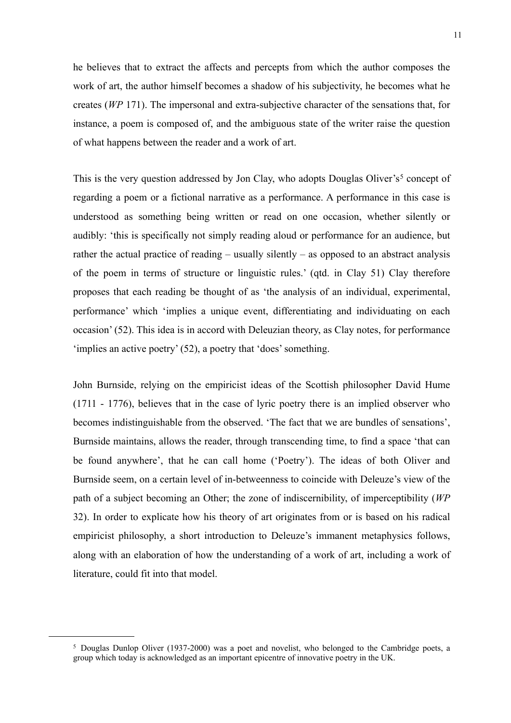he believes that to extract the affects and percepts from which the author composes the work of art, the author himself becomes a shadow of his subjectivity, he becomes what he creates (*WP* 171). The impersonal and extra-subjective character of the sensations that, for instance, a poem is composed of, and the ambiguous state of the writer raise the question of what happens between the reader and a work of art.

This is the very question addressed by Jon Clay, who adopts Douglas Oliver's<sup>[5](#page-10-0)</sup> concept of regarding a poem or a fictional narrative as a performance. A performance in this case is understood as something being written or read on one occasion, whether silently or audibly: 'this is specifically not simply reading aloud or performance for an audience, but rather the actual practice of reading – usually silently – as opposed to an abstract analysis of the poem in terms of structure or linguistic rules.' (qtd. in Clay 51) Clay therefore proposes that each reading be thought of as 'the analysis of an individual, experimental, performance' which 'implies a unique event, differentiating and individuating on each occasion' (52). This idea is in accord with Deleuzian theory, as Clay notes, for performance 'implies an active poetry' (52), a poetry that 'does' something.

John Burnside, relying on the empiricist ideas of the Scottish philosopher David Hume (1711 - 1776), believes that in the case of lyric poetry there is an implied observer who becomes indistinguishable from the observed. 'The fact that we are bundles of sensations', Burnside maintains, allows the reader, through transcending time, to find a space 'that can be found anywhere', that he can call home ('Poetry'). The ideas of both Oliver and Burnside seem, on a certain level of in-betweenness to coincide with Deleuze's view of the path of a subject becoming an Other; the zone of indiscernibility, of imperceptibility (*WP* 32). In order to explicate how his theory of art originates from or is based on his radical empiricist philosophy, a short introduction to Deleuze's immanent metaphysics follows, along with an elaboration of how the understanding of a work of art, including a work of literature, could fit into that model.

<span id="page-10-0"></span><sup>5</sup> Douglas Dunlop Oliver (1937-2000) was a poet and novelist, who belonged to the Cambridge poets, a group which today is acknowledged as an important epicentre of innovative poetry in the UK.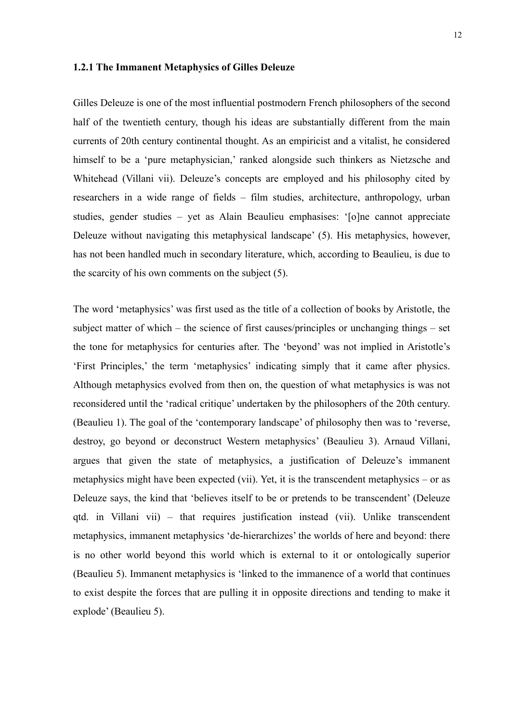#### <span id="page-11-0"></span>**1.2.1 The Immanent Metaphysics of Gilles Deleuze**

Gilles Deleuze is one of the most influential postmodern French philosophers of the second half of the twentieth century, though his ideas are substantially different from the main currents of 20th century continental thought. As an empiricist and a vitalist, he considered himself to be a 'pure metaphysician,' ranked alongside such thinkers as Nietzsche and Whitehead (Villani vii). Deleuze's concepts are employed and his philosophy cited by researchers in a wide range of fields – film studies, architecture, anthropology, urban studies, gender studies – yet as Alain Beaulieu emphasises: '[o]ne cannot appreciate Deleuze without navigating this metaphysical landscape' (5). His metaphysics, however, has not been handled much in secondary literature, which, according to Beaulieu, is due to the scarcity of his own comments on the subject (5).

The word 'metaphysics' was first used as the title of a collection of books by Aristotle, the subject matter of which – the science of first causes/principles or unchanging things – set the tone for metaphysics for centuries after. The 'beyond' was not implied in Aristotle's 'First Principles,' the term 'metaphysics' indicating simply that it came after physics. Although metaphysics evolved from then on, the question of what metaphysics is was not reconsidered until the 'radical critique' undertaken by the philosophers of the 20th century. (Beaulieu 1). The goal of the 'contemporary landscape' of philosophy then was to 'reverse, destroy, go beyond or deconstruct Western metaphysics' (Beaulieu 3). Arnaud Villani, argues that given the state of metaphysics, a justification of Deleuze's immanent metaphysics might have been expected (vii). Yet, it is the transcendent metaphysics – or as Deleuze says, the kind that 'believes itself to be or pretends to be transcendent' (Deleuze qtd. in Villani vii) – that requires justification instead (vii). Unlike transcendent metaphysics, immanent metaphysics 'de-hierarchizes' the worlds of here and beyond: there is no other world beyond this world which is external to it or ontologically superior (Beaulieu 5). Immanent metaphysics is 'linked to the immanence of a world that continues to exist despite the forces that are pulling it in opposite directions and tending to make it explode' (Beaulieu 5).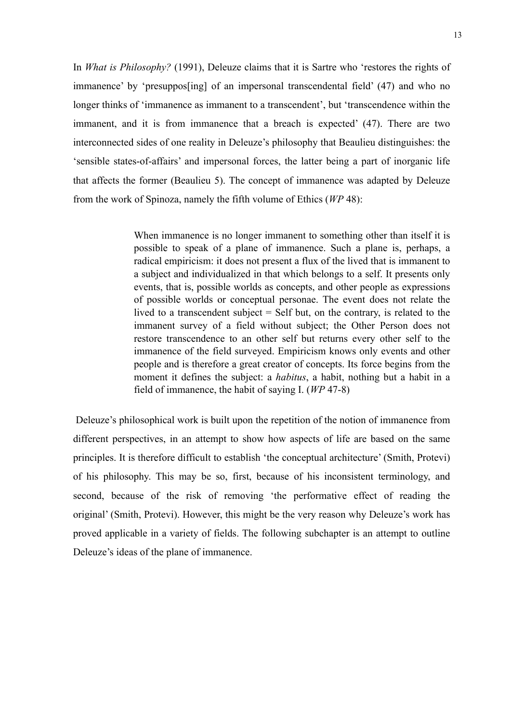In *What is Philosophy?* (1991), Deleuze claims that it is Sartre who 'restores the rights of immanence' by 'presuppos[ing] of an impersonal transcendental field' (47) and who no longer thinks of 'immanence as immanent to a transcendent', but 'transcendence within the immanent, and it is from immanence that a breach is expected' (47). There are two interconnected sides of one reality in Deleuze's philosophy that Beaulieu distinguishes: the 'sensible states-of-affairs' and impersonal forces, the latter being a part of inorganic life that affects the former (Beaulieu 5). The concept of immanence was adapted by Deleuze from the work of Spinoza, namely the fifth volume of Ethics (*WP* 48):

> When immanence is no longer immanent to something other than itself it is possible to speak of a plane of immanence. Such a plane is, perhaps, a radical empiricism: it does not present a flux of the lived that is immanent to a subject and individualized in that which belongs to a self. It presents only events, that is, possible worlds as concepts, and other people as expressions of possible worlds or conceptual personae. The event does not relate the lived to a transcendent subject = Self but, on the contrary, is related to the immanent survey of a field without subject; the Other Person does not restore transcendence to an other self but returns every other self to the immanence of the field surveyed. Empiricism knows only events and other people and is therefore a great creator of concepts. Its force begins from the moment it defines the subject: a *habitus*, a habit, nothing but a habit in a field of immanence, the habit of saying I. (*WP* 47-8)

 Deleuze's philosophical work is built upon the repetition of the notion of immanence from different perspectives, in an attempt to show how aspects of life are based on the same principles. It is therefore difficult to establish 'the conceptual architecture' (Smith, Protevi) of his philosophy. This may be so, first, because of his inconsistent terminology, and second, because of the risk of removing 'the performative effect of reading the original' (Smith, Protevi). However, this might be the very reason why Deleuze's work has proved applicable in a variety of fields. The following subchapter is an attempt to outline Deleuze's ideas of the plane of immanence.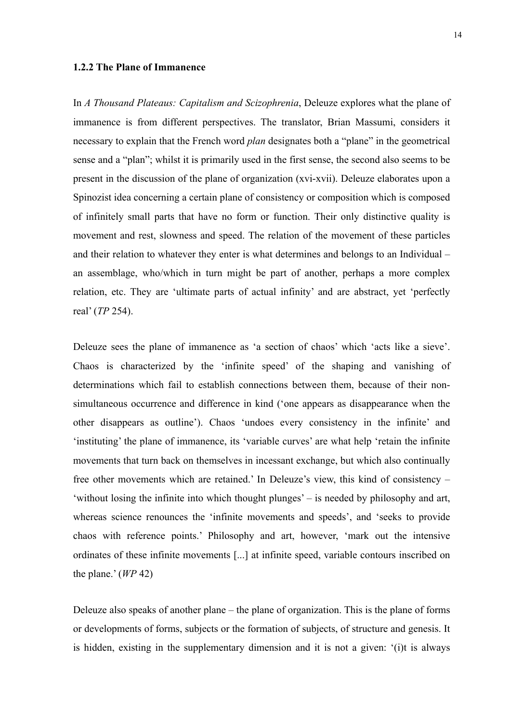#### <span id="page-13-0"></span>**1.2.2 The Plane of Immanence**

In *A Thousand Plateaus: Capitalism and Scizophrenia*, Deleuze explores what the plane of immanence is from different perspectives. The translator, Brian Massumi, considers it necessary to explain that the French word *plan* designates both a "plane" in the geometrical sense and a "plan"; whilst it is primarily used in the first sense, the second also seems to be present in the discussion of the plane of organization (xvi-xvii). Deleuze elaborates upon a Spinozist idea concerning a certain plane of consistency or composition which is composed of infinitely small parts that have no form or function. Their only distinctive quality is movement and rest, slowness and speed. The relation of the movement of these particles and their relation to whatever they enter is what determines and belongs to an Individual – an assemblage, who/which in turn might be part of another, perhaps a more complex relation, etc. They are 'ultimate parts of actual infinity' and are abstract, yet 'perfectly real' (*TP* 254).

Deleuze sees the plane of immanence as 'a section of chaos' which 'acts like a sieve'. Chaos is characterized by the 'infinite speed' of the shaping and vanishing of determinations which fail to establish connections between them, because of their nonsimultaneous occurrence and difference in kind ('one appears as disappearance when the other disappears as outline'). Chaos 'undoes every consistency in the infinite' and 'instituting' the plane of immanence, its 'variable curves' are what help 'retain the infinite movements that turn back on themselves in incessant exchange, but which also continually free other movements which are retained.' In Deleuze's view, this kind of consistency – 'without losing the infinite into which thought plunges' – is needed by philosophy and art, whereas science renounces the 'infinite movements and speeds', and 'seeks to provide chaos with reference points.' Philosophy and art, however, 'mark out the intensive ordinates of these infinite movements [...] at infinite speed, variable contours inscribed on the plane.' (*WP* 42)

Deleuze also speaks of another plane – the plane of organization. This is the plane of forms or developments of forms, subjects or the formation of subjects, of structure and genesis. It is hidden, existing in the supplementary dimension and it is not a given: '(i)t is always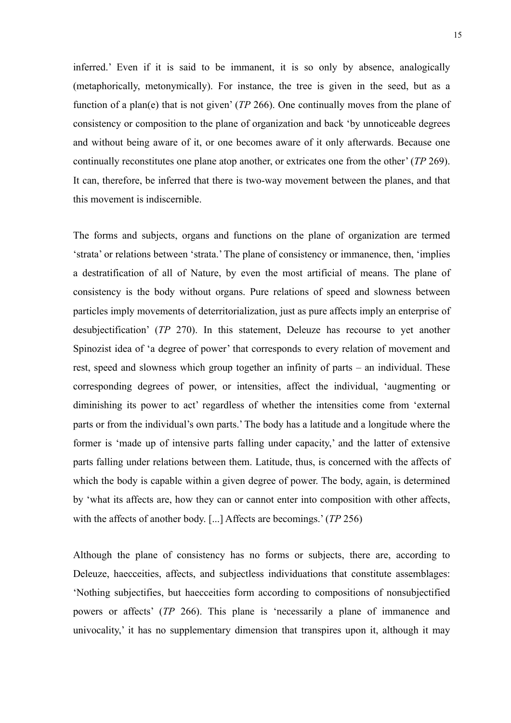inferred.' Even if it is said to be immanent, it is so only by absence, analogically (metaphorically, metonymically). For instance, the tree is given in the seed, but as a function of a plan(e) that is not given' (*TP* 266). One continually moves from the plane of consistency or composition to the plane of organization and back 'by unnoticeable degrees and without being aware of it, or one becomes aware of it only afterwards. Because one continually reconstitutes one plane atop another, or extricates one from the other' (*TP* 269). It can, therefore, be inferred that there is two-way movement between the planes, and that this movement is indiscernible.

The forms and subjects, organs and functions on the plane of organization are termed 'strata' or relations between 'strata.' The plane of consistency or immanence, then, 'implies a destratification of all of Nature, by even the most artificial of means. The plane of consistency is the body without organs. Pure relations of speed and slowness between particles imply movements of deterritorialization, just as pure affects imply an enterprise of desubjectification' (*TP* 270). In this statement, Deleuze has recourse to yet another Spinozist idea of 'a degree of power' that corresponds to every relation of movement and rest, speed and slowness which group together an infinity of parts – an individual. These corresponding degrees of power, or intensities, affect the individual, 'augmenting or diminishing its power to act' regardless of whether the intensities come from 'external parts or from the individual's own parts.' The body has a latitude and a longitude where the former is 'made up of intensive parts falling under capacity,' and the latter of extensive parts falling under relations between them. Latitude, thus, is concerned with the affects of which the body is capable within a given degree of power. The body, again, is determined by 'what its affects are, how they can or cannot enter into composition with other affects, with the affects of another body. [...] Affects are becomings.' (*TP* 256)

Although the plane of consistency has no forms or subjects, there are, according to Deleuze, haecceities, affects, and subjectless individuations that constitute assemblages: 'Nothing subjectifies, but haecceities form according to compositions of nonsubjectified powers or affects' (*TP* 266). This plane is 'necessarily a plane of immanence and univocality,' it has no supplementary dimension that transpires upon it, although it may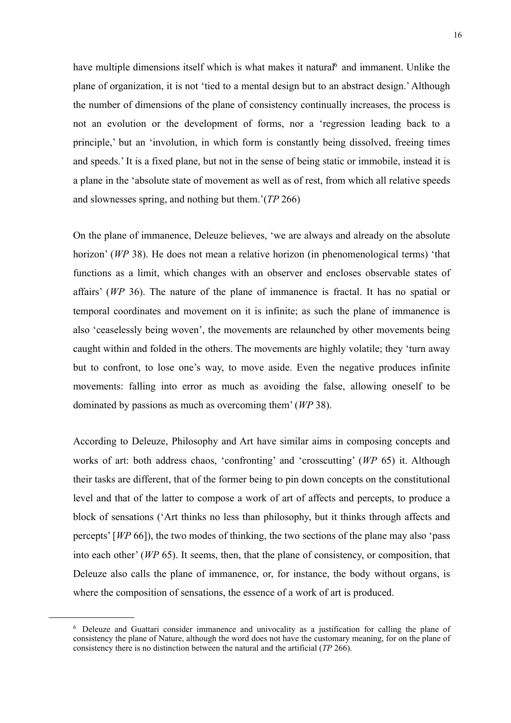have multiple dimensions itself which is what makes it natural<sup>6</sup> and immanent. Unlike the plane of organization, it is not 'tied to a mental design but to an abstract design.' Although the number of dimensions of the plane of consistency continually increases, the process is not an evolution or the development of forms, nor a 'regression leading back to a principle,' but an 'involution, in which form is constantly being dissolved, freeing times and speeds.' It is a fixed plane, but not in the sense of being static or immobile, instead it is a plane in the 'absolute state of movement as well as of rest, from which all relative speeds and slownesses spring, and nothing but them.'(*TP* 266)

On the plane of immanence, Deleuze believes, 'we are always and already on the absolute horizon' (*WP* 38). He does not mean a relative horizon (in phenomenological terms) 'that functions as a limit, which changes with an observer and encloses observable states of affairs' (*WP* 36). The nature of the plane of immanence is fractal. It has no spatial or temporal coordinates and movement on it is infinite; as such the plane of immanence is also 'ceaselessly being woven', the movements are relaunched by other movements being caught within and folded in the others. The movements are highly volatile; they 'turn away but to confront, to lose one's way, to move aside. Even the negative produces infinite movements: falling into error as much as avoiding the false, allowing oneself to be dominated by passions as much as overcoming them' (*WP* 38).

According to Deleuze, Philosophy and Art have similar aims in composing concepts and works of art: both address chaos, 'confronting' and 'crosscutting' (*WP* 65) it. Although their tasks are different, that of the former being to pin down concepts on the constitutional level and that of the latter to compose a work of art of affects and percepts, to produce a block of sensations ('Art thinks no less than philosophy, but it thinks through affects and percepts' [*WP* 66]), the two modes of thinking, the two sections of the plane may also 'pass into each other' (*WP* 65). It seems, then, that the plane of consistency, or composition, that Deleuze also calls the plane of immanence, or, for instance, the body without organs, is where the composition of sensations, the essence of a work of art is produced.

<span id="page-15-0"></span><sup>6</sup> Deleuze and Guattari consider immanence and univocality as a justification for calling the plane of consistency the plane of Nature, although the word does not have the customary meaning, for on the plane of consistency there is no distinction between the natural and the artificial (*TP* 266).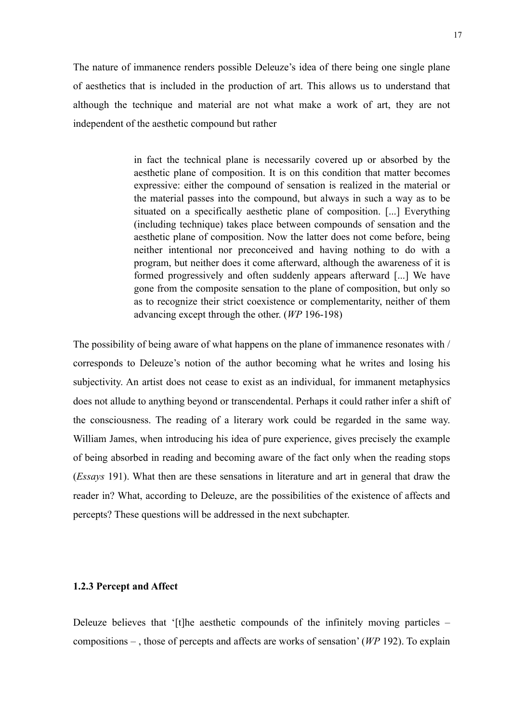The nature of immanence renders possible Deleuze's idea of there being one single plane of aesthetics that is included in the production of art. This allows us to understand that although the technique and material are not what make a work of art, they are not independent of the aesthetic compound but rather

> in fact the technical plane is necessarily covered up or absorbed by the aesthetic plane of composition. It is on this condition that matter becomes expressive: either the compound of sensation is realized in the material or the material passes into the compound, but always in such a way as to be situated on a specifically aesthetic plane of composition. [...] Everything (including technique) takes place between compounds of sensation and the aesthetic plane of composition. Now the latter does not come before, being neither intentional nor preconceived and having nothing to do with a program, but neither does it come afterward, although the awareness of it is formed progressively and often suddenly appears afterward [...] We have gone from the composite sensation to the plane of composition, but only so as to recognize their strict coexistence or complementarity, neither of them advancing except through the other. (*WP* 196-198)

The possibility of being aware of what happens on the plane of immanence resonates with / corresponds to Deleuze's notion of the author becoming what he writes and losing his subjectivity. An artist does not cease to exist as an individual, for immanent metaphysics does not allude to anything beyond or transcendental. Perhaps it could rather infer a shift of the consciousness. The reading of a literary work could be regarded in the same way. William James, when introducing his idea of pure experience, gives precisely the example of being absorbed in reading and becoming aware of the fact only when the reading stops (*Essays* 191). What then are these sensations in literature and art in general that draw the reader in? What, according to Deleuze, are the possibilities of the existence of affects and percepts? These questions will be addressed in the next subchapter.

#### <span id="page-16-0"></span>**1.2.3 Percept and Affect**

Deleuze believes that '[t]he aesthetic compounds of the infinitely moving particles – compositions – , those of percepts and affects are works of sensation' (*WP* 192). To explain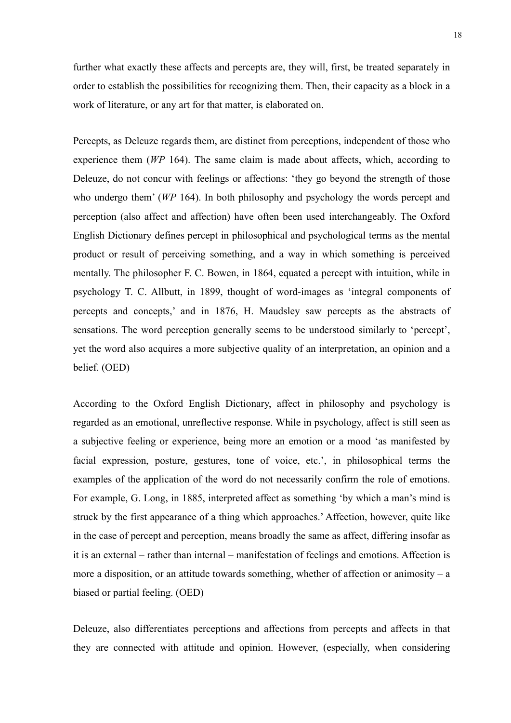further what exactly these affects and percepts are, they will, first, be treated separately in order to establish the possibilities for recognizing them. Then, their capacity as a block in a work of literature, or any art for that matter, is elaborated on.

Percepts, as Deleuze regards them, are distinct from perceptions, independent of those who experience them *(WP* 164). The same claim is made about affects, which, according to Deleuze, do not concur with feelings or affections: 'they go beyond the strength of those who undergo them' (*WP* 164). In both philosophy and psychology the words percept and perception (also affect and affection) have often been used interchangeably. The Oxford English Dictionary defines percept in philosophical and psychological terms as the mental product or result of perceiving something, and a way in which something is perceived mentally. The philosopher F. C. Bowen, in 1864, equated a percept with intuition, while in psychology T. C. Allbutt, in 1899, thought of word-images as 'integral components of percepts and concepts,' and in 1876, H. Maudsley saw percepts as the abstracts of sensations. The word perception generally seems to be understood similarly to 'percept', yet the word also acquires a more subjective quality of an interpretation, an opinion and a belief. (OED)

According to the Oxford English Dictionary, affect in philosophy and psychology is regarded as an emotional, unreflective response. While in psychology, affect is still seen as a subjective feeling or experience, being more an emotion or a mood 'as manifested by facial expression, posture, gestures, tone of voice, etc.', in philosophical terms the examples of the application of the word do not necessarily confirm the role of emotions. For example, G. Long, in 1885, interpreted affect as something 'by which a man's mind is struck by the first appearance of a thing which approaches.' Affection, however, quite like in the case of percept and perception, means broadly the same as affect, differing insofar as it is an external – rather than internal – manifestation of feelings and emotions. Affection is more a disposition, or an attitude towards something, whether of affection or animosity – a biased or partial feeling. (OED)

Deleuze, also differentiates perceptions and affections from percepts and affects in that they are connected with attitude and opinion. However, (especially, when considering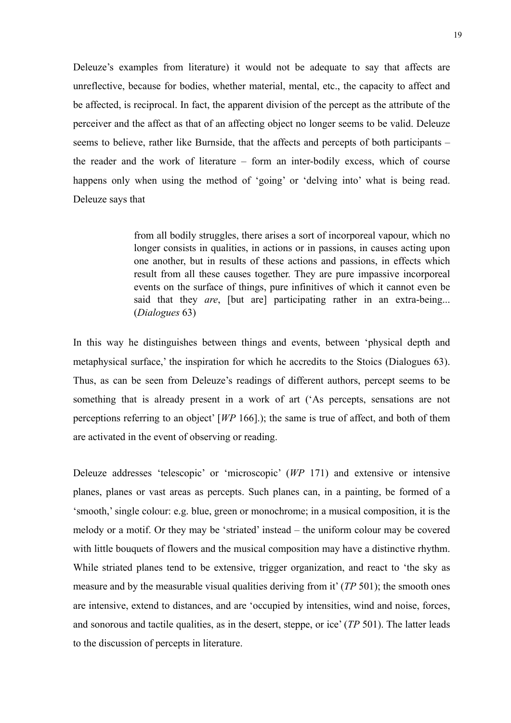Deleuze's examples from literature) it would not be adequate to say that affects are unreflective, because for bodies, whether material, mental, etc., the capacity to affect and be affected, is reciprocal. In fact, the apparent division of the percept as the attribute of the perceiver and the affect as that of an affecting object no longer seems to be valid. Deleuze seems to believe, rather like Burnside, that the affects and percepts of both participants – the reader and the work of literature – form an inter-bodily excess, which of course happens only when using the method of 'going' or 'delving into' what is being read. Deleuze says that

> from all bodily struggles, there arises a sort of incorporeal vapour, which no longer consists in qualities, in actions or in passions, in causes acting upon one another, but in results of these actions and passions, in effects which result from all these causes together. They are pure impassive incorporeal events on the surface of things, pure infinitives of which it cannot even be said that they *are*, [but are] participating rather in an extra-being... (*Dialogues* 63)

In this way he distinguishes between things and events, between 'physical depth and metaphysical surface,' the inspiration for which he accredits to the Stoics (Dialogues 63). Thus, as can be seen from Deleuze's readings of different authors, percept seems to be something that is already present in a work of art ('As percepts, sensations are not perceptions referring to an object' [*WP* 166].); the same is true of affect, and both of them are activated in the event of observing or reading.

Deleuze addresses 'telescopic' or 'microscopic' (*WP* 171) and extensive or intensive planes, planes or vast areas as percepts. Such planes can, in a painting, be formed of a 'smooth,' single colour: e.g. blue, green or monochrome; in a musical composition, it is the melody or a motif. Or they may be 'striated' instead – the uniform colour may be covered with little bouquets of flowers and the musical composition may have a distinctive rhythm. While striated planes tend to be extensive, trigger organization, and react to 'the sky as measure and by the measurable visual qualities deriving from it' (*TP* 501); the smooth ones are intensive, extend to distances, and are 'occupied by intensities, wind and noise, forces, and sonorous and tactile qualities, as in the desert, steppe, or ice' (*TP* 501). The latter leads to the discussion of percepts in literature.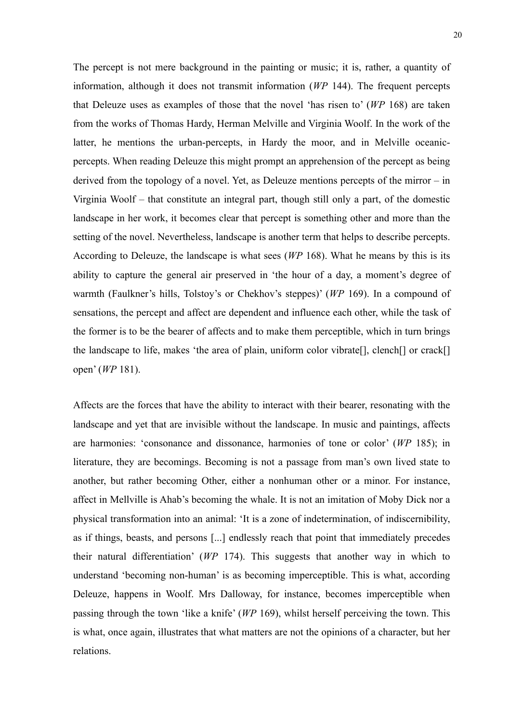The percept is not mere background in the painting or music; it is, rather, a quantity of information, although it does not transmit information (*WP* 144). The frequent percepts that Deleuze uses as examples of those that the novel 'has risen to' (*WP* 168) are taken from the works of Thomas Hardy, Herman Melville and Virginia Woolf. In the work of the latter, he mentions the urban-percepts, in Hardy the moor, and in Melville oceanicpercepts. When reading Deleuze this might prompt an apprehension of the percept as being derived from the topology of a novel. Yet, as Deleuze mentions percepts of the mirror – in Virginia Woolf – that constitute an integral part, though still only a part, of the domestic landscape in her work, it becomes clear that percept is something other and more than the setting of the novel. Nevertheless, landscape is another term that helps to describe percepts. According to Deleuze, the landscape is what sees (*WP* 168). What he means by this is its ability to capture the general air preserved in 'the hour of a day, a moment's degree of warmth (Faulkner's hills, Tolstoy's or Chekhov's steppes)' (*WP* 169). In a compound of sensations, the percept and affect are dependent and influence each other, while the task of the former is to be the bearer of affects and to make them perceptible, which in turn brings the landscape to life, makes 'the area of plain, uniform color vibrate[], clench[] or crack[] open' (*WP* 181).

Affects are the forces that have the ability to interact with their bearer, resonating with the landscape and yet that are invisible without the landscape. In music and paintings, affects are harmonies: 'consonance and dissonance, harmonies of tone or color' (*WP* 185); in literature, they are becomings. Becoming is not a passage from man's own lived state to another, but rather becoming Other, either a nonhuman other or a minor. For instance, affect in Mellville is Ahab's becoming the whale. It is not an imitation of Moby Dick nor a physical transformation into an animal: 'It is a zone of indetermination, of indiscernibility, as if things, beasts, and persons [...] endlessly reach that point that immediately precedes their natural differentiation' (*WP* 174). This suggests that another way in which to understand 'becoming non-human' is as becoming imperceptible. This is what, according Deleuze, happens in Woolf. Mrs Dalloway, for instance, becomes imperceptible when passing through the town 'like a knife' (*WP* 169), whilst herself perceiving the town. This is what, once again, illustrates that what matters are not the opinions of a character, but her relations.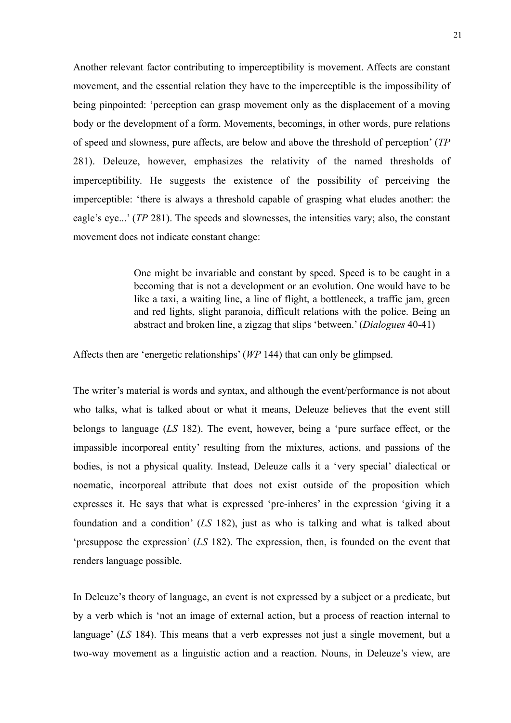Another relevant factor contributing to imperceptibility is movement. Affects are constant movement, and the essential relation they have to the imperceptible is the impossibility of being pinpointed: 'perception can grasp movement only as the displacement of a moving body or the development of a form. Movements, becomings, in other words, pure relations of speed and slowness, pure affects, are below and above the threshold of perception' (*TP* 281). Deleuze, however, emphasizes the relativity of the named thresholds of imperceptibility. He suggests the existence of the possibility of perceiving the imperceptible: 'there is always a threshold capable of grasping what eludes another: the eagle's eye...' (*TP* 281). The speeds and slownesses, the intensities vary; also, the constant movement does not indicate constant change:

> One might be invariable and constant by speed. Speed is to be caught in a becoming that is not a development or an evolution. One would have to be like a taxi, a waiting line, a line of flight, a bottleneck, a traffic jam, green and red lights, slight paranoia, difficult relations with the police. Being an abstract and broken line, a zigzag that slips 'between.' (*Dialogues* 40-41)

Affects then are 'energetic relationships' (*WP* 144) that can only be glimpsed.

The writer's material is words and syntax, and although the event/performance is not about who talks, what is talked about or what it means, Deleuze believes that the event still belongs to language (*LS* 182). The event, however, being a 'pure surface effect, or the impassible incorporeal entity' resulting from the mixtures, actions, and passions of the bodies, is not a physical quality. Instead, Deleuze calls it a 'very special' dialectical or noematic, incorporeal attribute that does not exist outside of the proposition which expresses it. He says that what is expressed 'pre-inheres' in the expression 'giving it a foundation and a condition' (*LS* 182), just as who is talking and what is talked about 'presuppose the expression' (*LS* 182). The expression, then, is founded on the event that renders language possible.

In Deleuze's theory of language, an event is not expressed by a subject or a predicate, but by a verb which is 'not an image of external action, but a process of reaction internal to language' (*LS* 184). This means that a verb expresses not just a single movement, but a two-way movement as a linguistic action and a reaction. Nouns, in Deleuze's view, are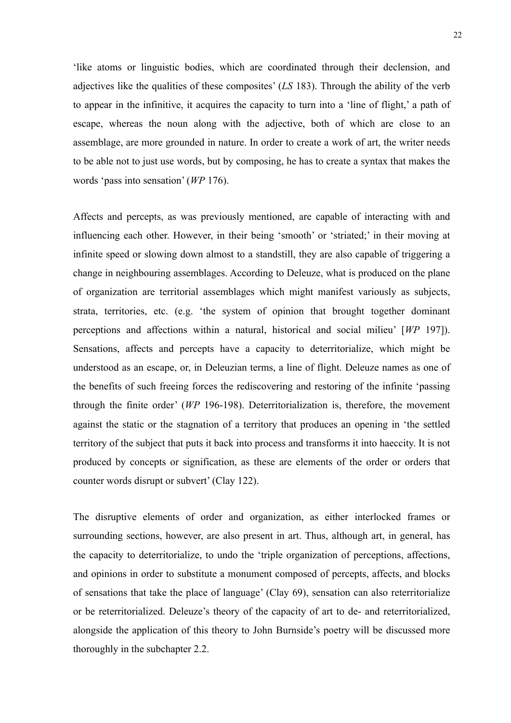'like atoms or linguistic bodies, which are coordinated through their declension, and adjectives like the qualities of these composites' (*LS* 183). Through the ability of the verb to appear in the infinitive, it acquires the capacity to turn into a 'line of flight,' a path of escape, whereas the noun along with the adjective, both of which are close to an assemblage, are more grounded in nature. In order to create a work of art, the writer needs to be able not to just use words, but by composing, he has to create a syntax that makes the words 'pass into sensation' (*WP* 176).

Affects and percepts, as was previously mentioned, are capable of interacting with and influencing each other. However, in their being 'smooth' or 'striated;' in their moving at infinite speed or slowing down almost to a standstill, they are also capable of triggering a change in neighbouring assemblages. According to Deleuze, what is produced on the plane of organization are territorial assemblages which might manifest variously as subjects, strata, territories, etc. (e.g. 'the system of opinion that brought together dominant perceptions and affections within a natural, historical and social milieu' [*WP* 197]). Sensations, affects and percepts have a capacity to deterritorialize, which might be understood as an escape, or, in Deleuzian terms, a line of flight. Deleuze names as one of the benefits of such freeing forces the rediscovering and restoring of the infinite 'passing through the finite order' (*WP* 196-198). Deterritorialization is, therefore, the movement against the static or the stagnation of a territory that produces an opening in 'the settled territory of the subject that puts it back into process and transforms it into haeccity. It is not produced by concepts or signification, as these are elements of the order or orders that counter words disrupt or subvert' (Clay 122).

The disruptive elements of order and organization, as either interlocked frames or surrounding sections, however, are also present in art. Thus, although art, in general, has the capacity to deterritorialize, to undo the 'triple organization of perceptions, affections, and opinions in order to substitute a monument composed of percepts, affects, and blocks of sensations that take the place of language' (Clay 69), sensation can also reterritorialize or be reterritorialized. Deleuze's theory of the capacity of art to de- and reterritorialized, alongside the application of this theory to John Burnside's poetry will be discussed more thoroughly in the subchapter 2.2.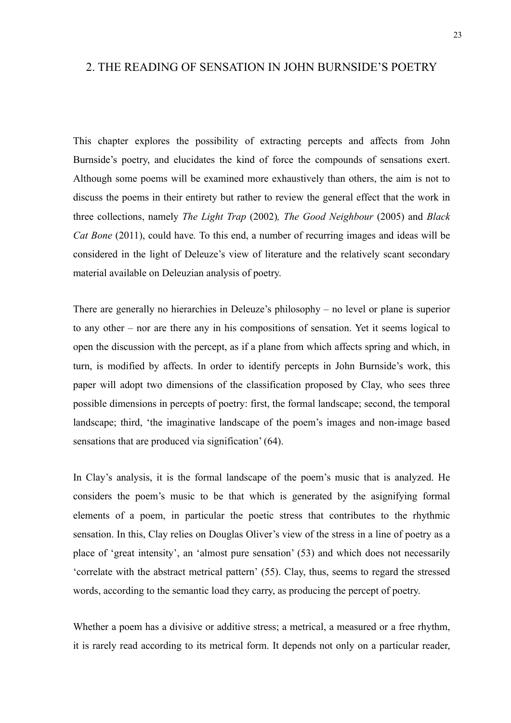#### <span id="page-22-0"></span>2. THE READING OF SENSATION IN JOHN BURNSIDE'S POETRY

This chapter explores the possibility of extracting percepts and affects from John Burnside's poetry, and elucidates the kind of force the compounds of sensations exert. Although some poems will be examined more exhaustively than others, the aim is not to discuss the poems in their entirety but rather to review the general effect that the work in three collections, namely *The Light Trap* (2002)*, The Good Neighbour* (2005) and *Black Cat Bone* (2011), could have*.* To this end, a number of recurring images and ideas will be considered in the light of Deleuze's view of literature and the relatively scant secondary material available on Deleuzian analysis of poetry.

There are generally no hierarchies in Deleuze's philosophy – no level or plane is superior to any other – nor are there any in his compositions of sensation. Yet it seems logical to open the discussion with the percept, as if a plane from which affects spring and which, in turn, is modified by affects. In order to identify percepts in John Burnside's work, this paper will adopt two dimensions of the classification proposed by Clay, who sees three possible dimensions in percepts of poetry: first, the formal landscape; second, the temporal landscape; third, 'the imaginative landscape of the poem's images and non-image based sensations that are produced via signification' (64).

In Clay's analysis, it is the formal landscape of the poem's music that is analyzed. He considers the poem's music to be that which is generated by the asignifying formal elements of a poem, in particular the poetic stress that contributes to the rhythmic sensation. In this, Clay relies on Douglas Oliver's view of the stress in a line of poetry as a place of 'great intensity', an 'almost pure sensation' (53) and which does not necessarily 'correlate with the abstract metrical pattern' (55). Clay, thus, seems to regard the stressed words, according to the semantic load they carry, as producing the percept of poetry.

Whether a poem has a divisive or additive stress; a metrical, a measured or a free rhythm, it is rarely read according to its metrical form. It depends not only on a particular reader,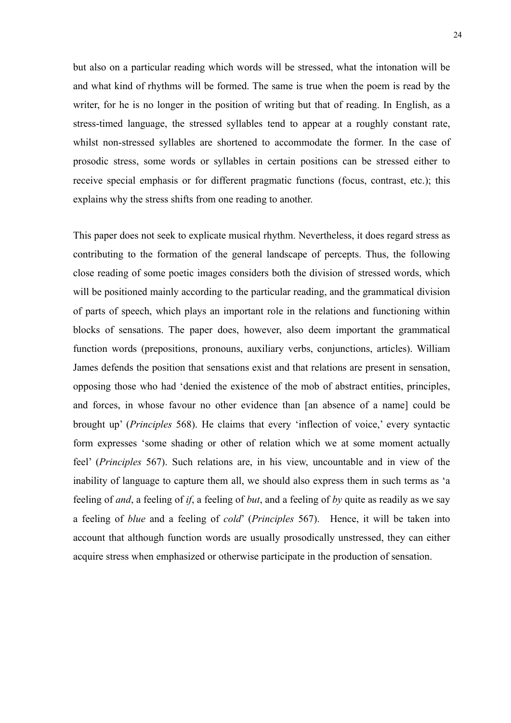but also on a particular reading which words will be stressed, what the intonation will be and what kind of rhythms will be formed. The same is true when the poem is read by the writer, for he is no longer in the position of writing but that of reading. In English, as a stress-timed language, the stressed syllables tend to appear at a roughly constant rate, whilst non-stressed syllables are shortened to accommodate the former. In the case of prosodic stress, some words or syllables in certain positions can be stressed either to receive special emphasis or for different pragmatic functions (focus, contrast, etc.); this explains why the stress shifts from one reading to another.

This paper does not seek to explicate musical rhythm. Nevertheless, it does regard stress as contributing to the formation of the general landscape of percepts. Thus, the following close reading of some poetic images considers both the division of stressed words, which will be positioned mainly according to the particular reading, and the grammatical division of parts of speech, which plays an important role in the relations and functioning within blocks of sensations. The paper does, however, also deem important the grammatical function words (prepositions, pronouns, auxiliary verbs, conjunctions, articles). William James defends the position that sensations exist and that relations are present in sensation, opposing those who had 'denied the existence of the mob of abstract entities, principles, and forces, in whose favour no other evidence than [an absence of a name] could be brought up' (*Principles* 568). He claims that every 'inflection of voice,' every syntactic form expresses 'some shading or other of relation which we at some moment actually feel' (*Principles* 567). Such relations are, in his view, uncountable and in view of the inability of language to capture them all, we should also express them in such terms as 'a feeling of *and*, a feeling of *if*, a feeling of *but*, and a feeling of *by* quite as readily as we say a feeling of *blue* and a feeling of *cold*' (*Principles* 567). Hence, it will be taken into account that although function words are usually prosodically unstressed, they can either acquire stress when emphasized or otherwise participate in the production of sensation.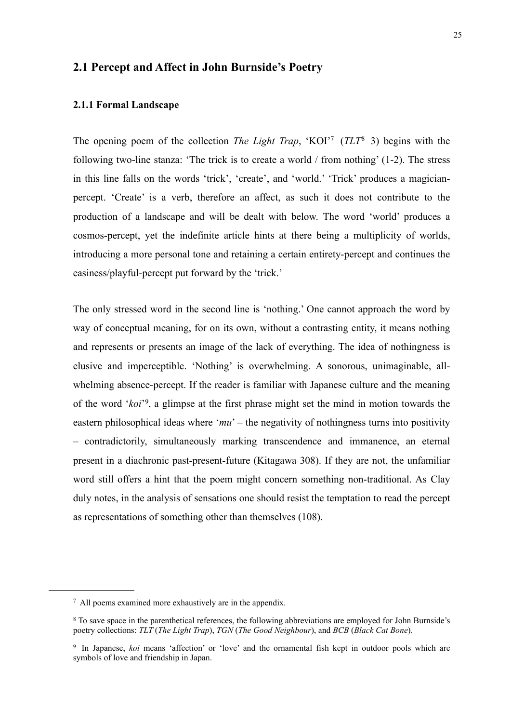### <span id="page-24-0"></span>**2.1 Percept and Affect in John Burnside's Poetry**

#### <span id="page-24-1"></span>**2.1.1 Formal Landscape**

The opening poem of the collection *The Light Trap*, 'KOI['7](#page-24-2) (*TLT*[8](#page-24-3) 3) begins with the following two-line stanza: 'The trick is to create a world / from nothing' (1-2). The stress in this line falls on the words 'trick', 'create', and 'world.' 'Trick' produces a magicianpercept. 'Create' is a verb, therefore an affect, as such it does not contribute to the production of a landscape and will be dealt with below. The word 'world' produces a cosmos-percept, yet the indefinite article hints at there being a multiplicity of worlds, introducing a more personal tone and retaining a certain entirety-percept and continues the easiness/playful-percept put forward by the 'trick.'

The only stressed word in the second line is 'nothing.' One cannot approach the word by way of conceptual meaning, for on its own, without a contrasting entity, it means nothing and represents or presents an image of the lack of everything. The idea of nothingness is elusive and imperceptible. 'Nothing' is overwhelming. A sonorous, unimaginable, allwhelming absence-percept. If the reader is familiar with Japanese culture and the meaning of the word '*koi*'[9,](#page-24-4) a glimpse at the first phrase might set the mind in motion towards the eastern philosophical ideas where '*mu*' – the negativity of nothingness turns into positivity – contradictorily, simultaneously marking transcendence and immanence, an eternal present in a diachronic past-present-future (Kitagawa 308). If they are not, the unfamiliar word still offers a hint that the poem might concern something non-traditional. As Clay duly notes, in the analysis of sensations one should resist the temptation to read the percept as representations of something other than themselves (108).

<span id="page-24-2"></span><sup>7</sup> All poems examined more exhaustively are in the appendix.

<span id="page-24-3"></span><sup>8</sup> To save space in the parenthetical references, the following abbreviations are employed for John Burnside's poetry collections: *TLT* (*The Light Trap*), *TGN* (*The Good Neighbour*), and *BCB* (*Black Cat Bone*).

<span id="page-24-4"></span><sup>9</sup> In Japanese, *koi* means 'affection' or 'love' and the ornamental fish kept in outdoor pools which are symbols of love and friendship in Japan.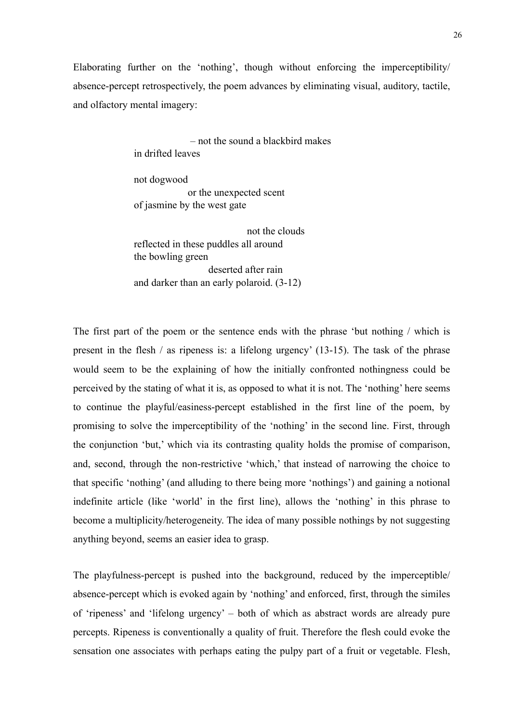Elaborating further on the 'nothing', though without enforcing the imperceptibility/ absence-percept retrospectively, the poem advances by eliminating visual, auditory, tactile, and olfactory mental imagery:

> – not the sound a blackbird makes in drifted leaves

not dogwood or the unexpected scent of jasmine by the west gate

 not the clouds reflected in these puddles all around the bowling green deserted after rain and darker than an early polaroid. (3-12)

The first part of the poem or the sentence ends with the phrase 'but nothing / which is present in the flesh / as ripeness is: a lifelong urgency' (13-15). The task of the phrase would seem to be the explaining of how the initially confronted nothingness could be perceived by the stating of what it is, as opposed to what it is not. The 'nothing' here seems to continue the playful/easiness-percept established in the first line of the poem, by promising to solve the imperceptibility of the 'nothing' in the second line. First, through the conjunction 'but,' which via its contrasting quality holds the promise of comparison, and, second, through the non-restrictive 'which,' that instead of narrowing the choice to that specific 'nothing' (and alluding to there being more 'nothings') and gaining a notional indefinite article (like 'world' in the first line), allows the 'nothing' in this phrase to become a multiplicity/heterogeneity. The idea of many possible nothings by not suggesting anything beyond, seems an easier idea to grasp.

The playfulness-percept is pushed into the background, reduced by the imperceptible/ absence-percept which is evoked again by 'nothing' and enforced, first, through the similes of 'ripeness' and 'lifelong urgency' – both of which as abstract words are already pure percepts. Ripeness is conventionally a quality of fruit. Therefore the flesh could evoke the sensation one associates with perhaps eating the pulpy part of a fruit or vegetable. Flesh,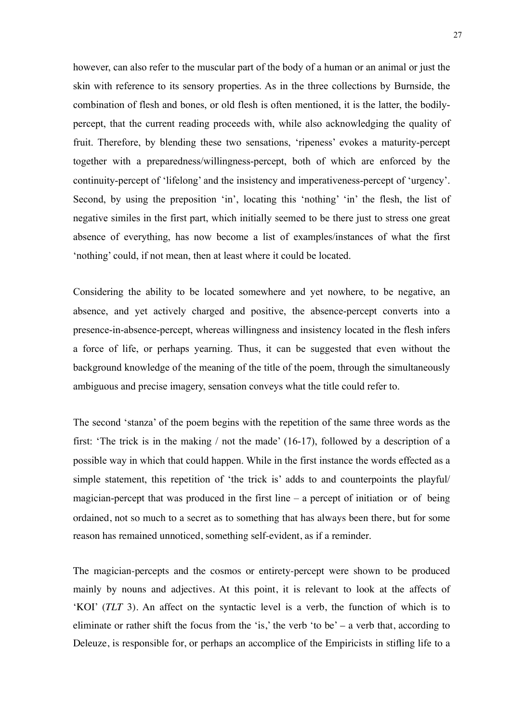however, can also refer to the muscular part of the body of a human or an animal or just the skin with reference to its sensory properties. As in the three collections by Burnside, the combination of flesh and bones, or old flesh is often mentioned, it is the latter, the bodilypercept, that the current reading proceeds with, while also acknowledging the quality of fruit. Therefore, by blending these two sensations, 'ripeness' evokes a maturity-percept together with a preparedness/willingness-percept, both of which are enforced by the continuity-percept of 'lifelong' and the insistency and imperativeness-percept of 'urgency'. Second, by using the preposition 'in', locating this 'nothing' 'in' the flesh, the list of negative similes in the first part, which initially seemed to be there just to stress one great absence of everything, has now become a list of examples/instances of what the first 'nothing' could, if not mean, then at least where it could be located.

Considering the ability to be located somewhere and yet nowhere, to be negative, an absence, and yet actively charged and positive, the absence-percept converts into a presence-in-absence-percept, whereas willingness and insistency located in the flesh infers a force of life, or perhaps yearning. Thus, it can be suggested that even without the background knowledge of the meaning of the title of the poem, through the simultaneously ambiguous and precise imagery, sensation conveys what the title could refer to.

The second 'stanza' of the poem begins with the repetition of the same three words as the first: 'The trick is in the making / not the made' (16-17), followed by a description of a possible way in which that could happen. While in the first instance the words effected as a simple statement, this repetition of 'the trick is' adds to and counterpoints the playful/ magician-percept that was produced in the first line  $-$  a percept of initiation or of being ordained, not so much to a secret as to something that has always been there, but for some reason has remained unnoticed, something self-evident, as if a reminder.

The magician-percepts and the cosmos or entirety-percept were shown to be produced mainly by nouns and adjectives. At this point, it is relevant to look at the affects of 'KOI' (*TLT* 3). An affect on the syntactic level is a verb, the function of which is to eliminate or rather shift the focus from the 'is,' the verb 'to be' – a verb that, according to Deleuze, is responsible for, or perhaps an accomplice of the Empiricists in stifling life to a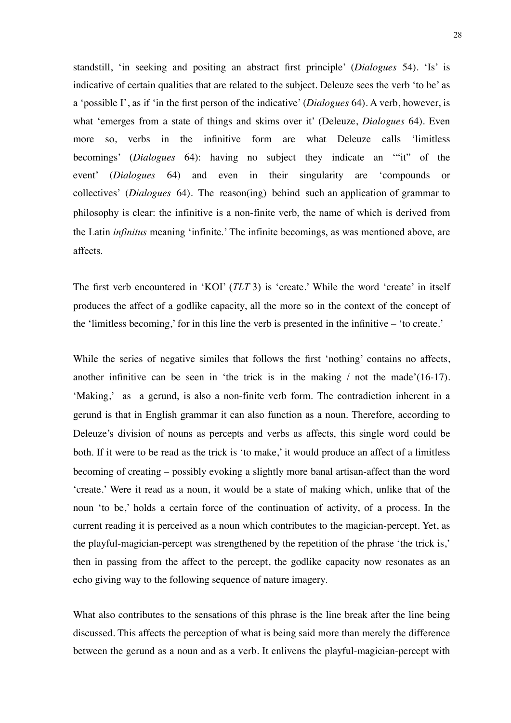standstill, 'in seeking and positing an abstract first principle' (*Dialogues* 54). 'Is' is indicative of certain qualities that are related to the subject. Deleuze sees the verb 'to be' as a 'possible I', as if 'in the first person of the indicative' (*Dialogues* 64). A verb, however, is what 'emerges from a state of things and skims over it' (Deleuze, *Dialogues* 64). Even more so, verbs in the infinitive form are what Deleuze calls 'limitless becomings' (*Dialogues* 64): having no subject they indicate an '"it" of the event' (*Dialogues* 64) and even in their singularity are 'compounds or collectives' (*Dialogues* 64). The reason(ing) behind such an application of grammar to philosophy is clear: the infinitive is a non-finite verb, the name of which is derived from the Latin *infinitus* meaning 'infinite.' The infinite becomings, as was mentioned above, are affects.

The first verb encountered in 'KOI' (*TLT* 3) is 'create.' While the word 'create' in itself produces the affect of a godlike capacity, all the more so in the context of the concept of the 'limitless becoming,' for in this line the verb is presented in the infinitive – 'to create.'

While the series of negative similes that follows the first 'nothing' contains no affects, another infinitive can be seen in 'the trick is in the making / not the made'(16-17). 'Making,' as a gerund, is also a non-finite verb form. The contradiction inherent in a gerund is that in English grammar it can also function as a noun. Therefore, according to Deleuze's division of nouns as percepts and verbs as affects, this single word could be both. If it were to be read as the trick is 'to make,' it would produce an affect of a limitless becoming of creating – possibly evoking a slightly more banal artisan-affect than the word 'create.' Were it read as a noun, it would be a state of making which, unlike that of the noun 'to be,' holds a certain force of the continuation of activity, of a process. In the current reading it is perceived as a noun which contributes to the magician-percept. Yet, as the playful-magician-percept was strengthened by the repetition of the phrase 'the trick is,' then in passing from the affect to the percept, the godlike capacity now resonates as an echo giving way to the following sequence of nature imagery.

What also contributes to the sensations of this phrase is the line break after the line being discussed. This affects the perception of what is being said more than merely the difference between the gerund as a noun and as a verb. It enlivens the playful-magician-percept with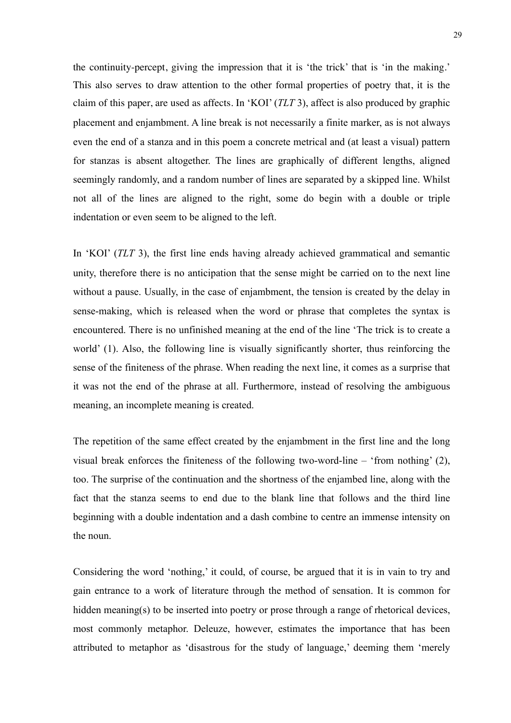the continuity-percept, giving the impression that it is 'the trick' that is 'in the making.' This also serves to draw attention to the other formal properties of poetry that, it is the claim of this paper, are used as affects. In 'KOI' (*TLT* 3), affect is also produced by graphic placement and enjambment. A line break is not necessarily a finite marker, as is not always even the end of a stanza and in this poem a concrete metrical and (at least a visual) pattern for stanzas is absent altogether. The lines are graphically of different lengths, aligned seemingly randomly, and a random number of lines are separated by a skipped line. Whilst not all of the lines are aligned to the right, some do begin with a double or triple indentation or even seem to be aligned to the left.

In 'KOI' (*TLT* 3), the first line ends having already achieved grammatical and semantic unity, therefore there is no anticipation that the sense might be carried on to the next line without a pause. Usually, in the case of enjambment, the tension is created by the delay in sense-making, which is released when the word or phrase that completes the syntax is encountered. There is no unfinished meaning at the end of the line 'The trick is to create a world' (1). Also, the following line is visually significantly shorter, thus reinforcing the sense of the finiteness of the phrase. When reading the next line, it comes as a surprise that it was not the end of the phrase at all. Furthermore, instead of resolving the ambiguous meaning, an incomplete meaning is created.

The repetition of the same effect created by the enjambment in the first line and the long visual break enforces the finiteness of the following two-word-line – 'from nothing' (2), too. The surprise of the continuation and the shortness of the enjambed line, along with the fact that the stanza seems to end due to the blank line that follows and the third line beginning with a double indentation and a dash combine to centre an immense intensity on the noun.

Considering the word 'nothing,' it could, of course, be argued that it is in vain to try and gain entrance to a work of literature through the method of sensation. It is common for hidden meaning(s) to be inserted into poetry or prose through a range of rhetorical devices, most commonly metaphor. Deleuze, however, estimates the importance that has been attributed to metaphor as 'disastrous for the study of language,' deeming them 'merely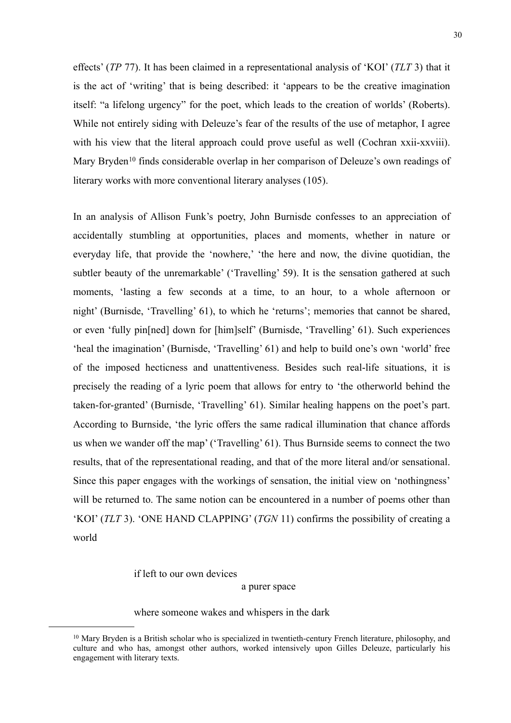effects' (*TP* 77). It has been claimed in a representational analysis of 'KOI' (*TLT* 3) that it is the act of 'writing' that is being described: it 'appears to be the creative imagination itself: "a lifelong urgency" for the poet, which leads to the creation of worlds' (Roberts). While not entirely siding with Deleuze's fear of the results of the use of metaphor, I agree with his view that the literal approach could prove useful as well (Cochran xxii-xxviii). Mary Bryden<sup>[10](#page-29-0)</sup> finds considerable overlap in her comparison of Deleuze's own readings of literary works with more conventional literary analyses (105).

In an analysis of Allison Funk's poetry, John Burnisde confesses to an appreciation of accidentally stumbling at opportunities, places and moments, whether in nature or everyday life, that provide the 'nowhere,' 'the here and now, the divine quotidian, the subtler beauty of the unremarkable' ('Travelling' 59). It is the sensation gathered at such moments, 'lasting a few seconds at a time, to an hour, to a whole afternoon or night' (Burnisde, 'Travelling' 61), to which he 'returns'; memories that cannot be shared, or even 'fully pin[ned] down for [him]self' (Burnisde, 'Travelling' 61). Such experiences 'heal the imagination' (Burnisde, 'Travelling' 61) and help to build one's own 'world' free of the imposed hecticness and unattentiveness. Besides such real-life situations, it is precisely the reading of a lyric poem that allows for entry to 'the otherworld behind the taken-for-granted' (Burnisde, 'Travelling' 61). Similar healing happens on the poet's part. According to Burnside, 'the lyric offers the same radical illumination that chance affords us when we wander off the map' ('Travelling' 61). Thus Burnside seems to connect the two results, that of the representational reading, and that of the more literal and/or sensational. Since this paper engages with the workings of sensation, the initial view on 'nothingness' will be returned to. The same notion can be encountered in a number of poems other than 'KOI' (*TLT* 3). 'ONE HAND CLAPPING' (*TGN* 11) confirms the possibility of creating a world

if left to our own devices

a purer space

where someone wakes and whispers in the dark

<span id="page-29-0"></span><sup>&</sup>lt;sup>10</sup> Mary Bryden is a British scholar who is specialized in twentieth-century French literature, philosophy, and culture and who has, amongst other authors, worked intensively upon Gilles Deleuze, particularly his engagement with literary texts.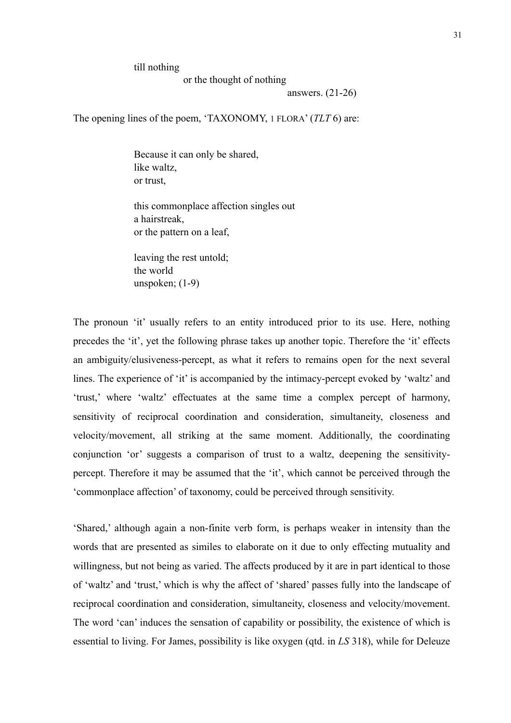till nothing

or the thought of nothing

answers. (21-26)

The opening lines of the poem, 'TAXONOMY, 1 FLORA' (*TLT* 6) are:

Because it can only be shared, like waltz, or trust,

this commonplace affection singles out a hairstreak, or the pattern on a leaf,

leaving the rest untold; the world unspoken; (1-9)

The pronoun 'it' usually refers to an entity introduced prior to its use. Here, nothing precedes the 'it', yet the following phrase takes up another topic. Therefore the 'it' effects an ambiguity/elusiveness-percept, as what it refers to remains open for the next several lines. The experience of 'it' is accompanied by the intimacy-percept evoked by 'waltz' and 'trust,' where 'waltz' effectuates at the same time a complex percept of harmony, sensitivity of reciprocal coordination and consideration, simultaneity, closeness and velocity/movement, all striking at the same moment. Additionally, the coordinating conjunction 'or' suggests a comparison of trust to a waltz, deepening the sensitivitypercept. Therefore it may be assumed that the 'it', which cannot be perceived through the 'commonplace affection' of taxonomy, could be perceived through sensitivity.

'Shared,' although again a non-finite verb form, is perhaps weaker in intensity than the words that are presented as similes to elaborate on it due to only effecting mutuality and willingness, but not being as varied. The affects produced by it are in part identical to those of 'waltz' and 'trust,' which is why the affect of 'shared' passes fully into the landscape of reciprocal coordination and consideration, simultaneity, closeness and velocity/movement. The word 'can' induces the sensation of capability or possibility, the existence of which is essential to living. For James, possibility is like oxygen (qtd. in *LS* 318), while for Deleuze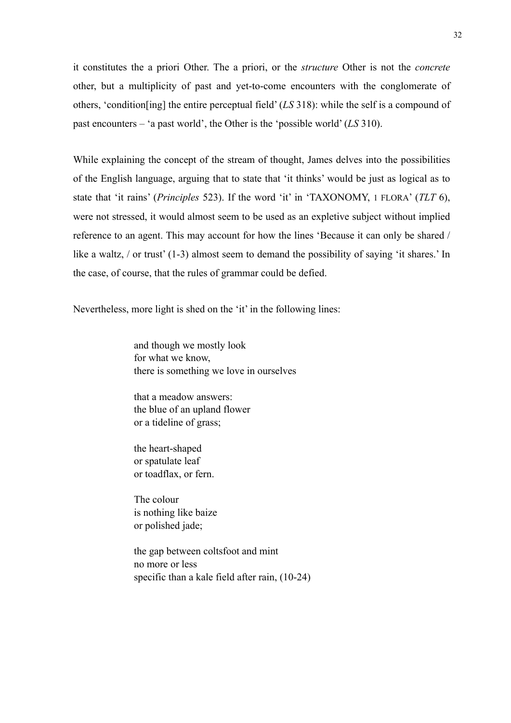it constitutes the a priori Other. The a priori, or the *structure* Other is not the *concrete* other, but a multiplicity of past and yet-to-come encounters with the conglomerate of others, 'condition[ing] the entire perceptual field' (*LS* 318): while the self is a compound of past encounters – 'a past world', the Other is the 'possible world' (*LS* 310).

While explaining the concept of the stream of thought, James delves into the possibilities of the English language, arguing that to state that 'it thinks' would be just as logical as to state that 'it rains' (*Principles* 523). If the word 'it' in 'TAXONOMY, 1 FLORA' (*TLT* 6), were not stressed, it would almost seem to be used as an expletive subject without implied reference to an agent. This may account for how the lines 'Because it can only be shared / like a waltz, / or trust' (1-3) almost seem to demand the possibility of saying 'it shares.' In the case, of course, that the rules of grammar could be defied.

Nevertheless, more light is shed on the 'it' in the following lines:

and though we mostly look for what we know, there is something we love in ourselves

that a meadow answers: the blue of an upland flower or a tideline of grass;

the heart-shaped or spatulate leaf or toadflax, or fern.

The colour is nothing like baize or polished jade;

the gap between coltsfoot and mint no more or less specific than a kale field after rain, (10-24)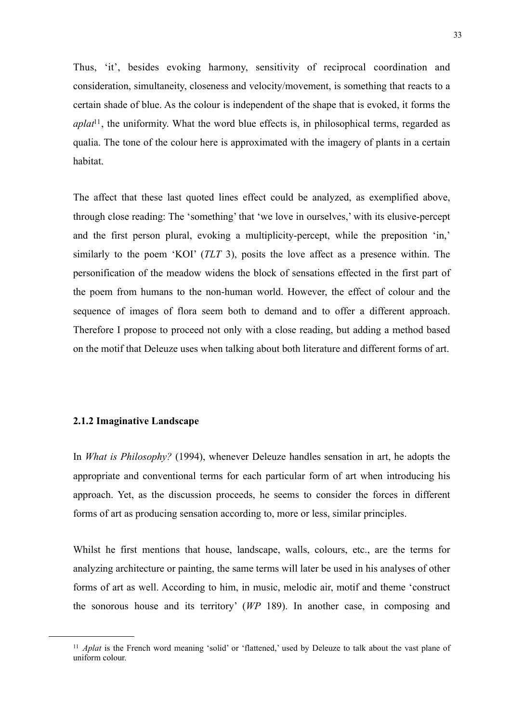Thus, 'it', besides evoking harmony, sensitivity of reciprocal coordination and consideration, simultaneity, closeness and velocity/movement, is something that reacts to a certain shade of blue. As the colour is independent of the shape that is evoked, it forms the *aplat*<sup>11</sup>, the uniformity. What the word blue effects is, in philosophical terms, regarded as qualia. The tone of the colour here is approximated with the imagery of plants in a certain habitat.

The affect that these last quoted lines effect could be analyzed, as exemplified above, through close reading: The 'something' that 'we love in ourselves,' with its elusive-percept and the first person plural, evoking a multiplicity-percept, while the preposition 'in,' similarly to the poem 'KOI' (*TLT* 3), posits the love affect as a presence within. The personification of the meadow widens the block of sensations effected in the first part of the poem from humans to the non-human world. However, the effect of colour and the sequence of images of flora seem both to demand and to offer a different approach. Therefore I propose to proceed not only with a close reading, but adding a method based on the motif that Deleuze uses when talking about both literature and different forms of art.

#### <span id="page-32-0"></span>**2.1.2 Imaginative Landscape**

In *What is Philosophy?* (1994), whenever Deleuze handles sensation in art, he adopts the appropriate and conventional terms for each particular form of art when introducing his approach. Yet, as the discussion proceeds, he seems to consider the forces in different forms of art as producing sensation according to, more or less, similar principles.

Whilst he first mentions that house, landscape, walls, colours, etc., are the terms for analyzing architecture or painting, the same terms will later be used in his analyses of other forms of art as well. According to him, in music, melodic air, motif and theme 'construct the sonorous house and its territory' (*WP* 189). In another case, in composing and

<span id="page-32-1"></span><sup>11</sup> *Aplat* is the French word meaning 'solid' or 'flattened,' used by Deleuze to talk about the vast plane of uniform colour.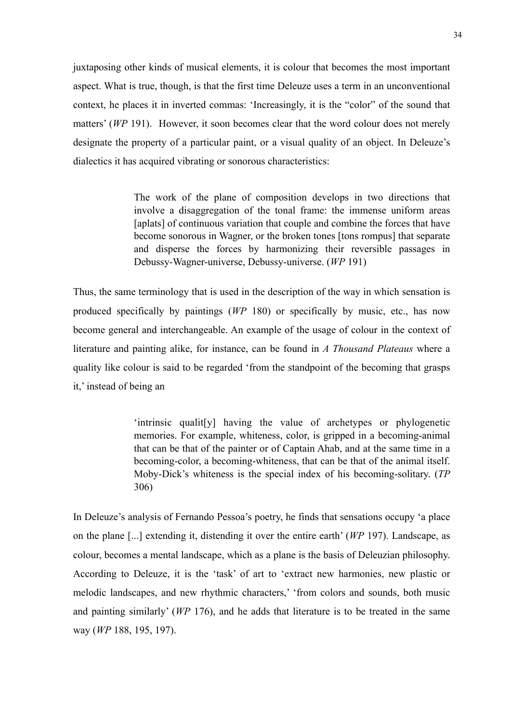juxtaposing other kinds of musical elements, it is colour that becomes the most important aspect. What is true, though, is that the first time Deleuze uses a term in an unconventional context, he places it in inverted commas: 'Increasingly, it is the "color" of the sound that matters' (*WP* 191). However, it soon becomes clear that the word colour does not merely designate the property of a particular paint, or a visual quality of an object. In Deleuze's dialectics it has acquired vibrating or sonorous characteristics:

> The work of the plane of composition develops in two directions that involve a disaggregation of the tonal frame: the immense uniform areas [aplats] of continuous variation that couple and combine the forces that have become sonorous in Wagner, or the broken tones [tons rompus] that separate and disperse the forces by harmonizing their reversible passages in Debussy-Wagner-universe, Debussy-universe. (*WP* 191)

Thus, the same terminology that is used in the description of the way in which sensation is produced specifically by paintings (*WP* 180) or specifically by music, etc., has now become general and interchangeable. An example of the usage of colour in the context of literature and painting alike, for instance, can be found in *A Thousand Plateaus* where a quality like colour is said to be regarded 'from the standpoint of the becoming that grasps it,' instead of being an

> 'intrinsic qualit[y] having the value of archetypes or phylogenetic memories. For example, whiteness, color, is gripped in a becoming-animal that can be that of the painter or of Captain Ahab, and at the same time in a becoming-color, a becoming-whiteness, that can be that of the animal itself. Moby-Dick's whiteness is the special index of his becoming-solitary. (*TP* 306)

In Deleuze's analysis of Fernando Pessoa's poetry, he finds that sensations occupy 'a place on the plane [...] extending it, distending it over the entire earth' (*WP* 197). Landscape, as colour, becomes a mental landscape, which as a plane is the basis of Deleuzian philosophy. According to Deleuze, it is the 'task' of art to 'extract new harmonies, new plastic or melodic landscapes, and new rhythmic characters,' 'from colors and sounds, both music and painting similarly' (*WP* 176), and he adds that literature is to be treated in the same way (*WP* 188, 195, 197).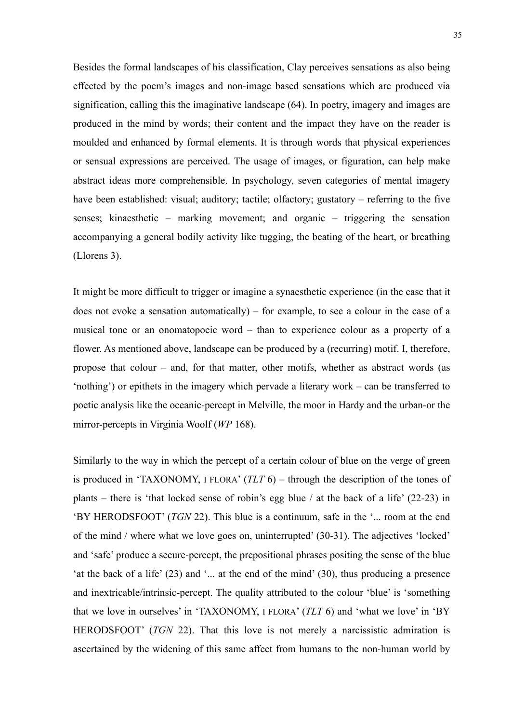Besides the formal landscapes of his classification, Clay perceives sensations as also being effected by the poem's images and non-image based sensations which are produced via signification, calling this the imaginative landscape (64). In poetry, imagery and images are produced in the mind by words; their content and the impact they have on the reader is moulded and enhanced by formal elements. It is through words that physical experiences or sensual expressions are perceived. The usage of images, or figuration, can help make abstract ideas more comprehensible. In psychology, seven categories of mental imagery have been established: visual; auditory; tactile; olfactory; gustatory – referring to the five senses; kinaesthetic – marking movement; and organic – triggering the sensation accompanying a general bodily activity like tugging, the beating of the heart, or breathing (Llorens 3).

It might be more difficult to trigger or imagine a synaesthetic experience (in the case that it does not evoke a sensation automatically) – for example, to see a colour in the case of a musical tone or an onomatopoeic word – than to experience colour as a property of a flower. As mentioned above, landscape can be produced by a (recurring) motif. I, therefore, propose that colour – and, for that matter, other motifs, whether as abstract words (as 'nothing') or epithets in the imagery which pervade a literary work – can be transferred to poetic analysis like the oceanic-percept in Melville, the moor in Hardy and the urban-or the mirror-percepts in Virginia Woolf (*WP* 168).

Similarly to the way in which the percept of a certain colour of blue on the verge of green is produced in 'TAXONOMY, I FLORA' (*TLT* 6) – through the description of the tones of plants – there is 'that locked sense of robin's egg blue / at the back of a life' (22-23) in 'BY HERODSFOOT' (*TGN* 22). This blue is a continuum, safe in the '... room at the end of the mind / where what we love goes on, uninterrupted' (30-31). The adjectives 'locked' and 'safe' produce a secure-percept, the prepositional phrases positing the sense of the blue 'at the back of a life'  $(23)$  and '... at the end of the mind'  $(30)$ , thus producing a presence and inextricable/intrinsic-percept. The quality attributed to the colour 'blue' is 'something that we love in ourselves' in 'TAXONOMY, I FLORA' (*TLT* 6) and 'what we love' in 'BY HERODSFOOT' (*TGN* 22). That this love is not merely a narcissistic admiration is ascertained by the widening of this same affect from humans to the non-human world by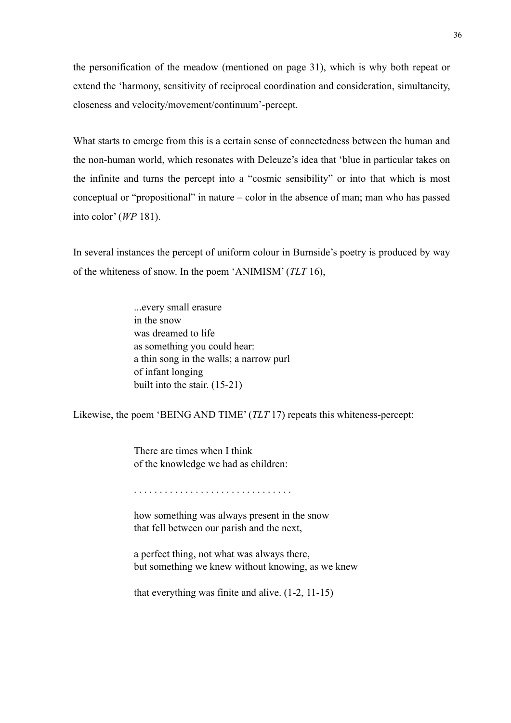the personification of the meadow (mentioned on page 31), which is why both repeat or extend the 'harmony, sensitivity of reciprocal coordination and consideration, simultaneity, closeness and velocity/movement/continuum'-percept.

What starts to emerge from this is a certain sense of connectedness between the human and the non-human world, which resonates with Deleuze's idea that 'blue in particular takes on the infinite and turns the percept into a "cosmic sensibility" or into that which is most conceptual or "propositional" in nature – color in the absence of man; man who has passed into color' (*WP* 181).

In several instances the percept of uniform colour in Burnside's poetry is produced by way of the whiteness of snow. In the poem 'ANIMISM' (*TLT* 16),

> ...every small erasure in the snow was dreamed to life as something you could hear: a thin song in the walls; a narrow purl of infant longing built into the stair. (15-21)

Likewise, the poem 'BEING AND TIME' (*TLT* 17) repeats this whiteness-percept:

There are times when I think of the knowledge we had as children:

. . . . . . . . . . . . . . . . . . . . . . . . . . . . . . .

how something was always present in the snow that fell between our parish and the next,

a perfect thing, not what was always there, but something we knew without knowing, as we knew

that everything was finite and alive. (1-2, 11-15)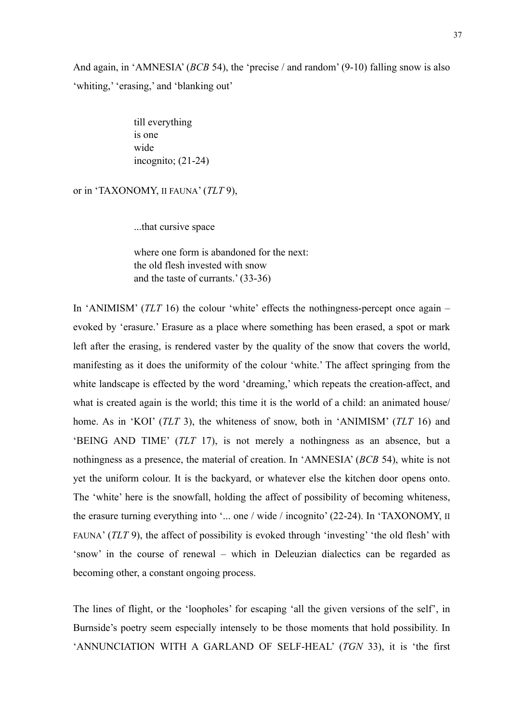And again, in 'AMNESIA' (*BCB* 54), the 'precise / and random' (9-10) falling snow is also 'whiting,' 'erasing,' and 'blanking out'

> till everything is one wide incognito; (21-24)

or in 'TAXONOMY, II FAUNA' (*TLT* 9),

...that cursive space

where one form is abandoned for the next: the old flesh invested with snow and the taste of currants.' (33-36)

In 'ANIMISM' (*TLT* 16) the colour 'white' effects the nothingness-percept once again – evoked by 'erasure.' Erasure as a place where something has been erased, a spot or mark left after the erasing, is rendered vaster by the quality of the snow that covers the world, manifesting as it does the uniformity of the colour 'white.' The affect springing from the white landscape is effected by the word 'dreaming,' which repeats the creation-affect, and what is created again is the world; this time it is the world of a child: an animated house/ home. As in 'KOI' (*TLT* 3), the whiteness of snow, both in 'ANIMISM' (*TLT* 16) and 'BEING AND TIME' (*TLT* 17), is not merely a nothingness as an absence, but a nothingness as a presence, the material of creation. In 'AMNESIA' (*BCB* 54), white is not yet the uniform colour. It is the backyard, or whatever else the kitchen door opens onto. The 'white' here is the snowfall, holding the affect of possibility of becoming whiteness, the erasure turning everything into '... one / wide / incognito' (22-24). In 'TAXONOMY, II FAUNA' (*TLT* 9), the affect of possibility is evoked through 'investing' 'the old flesh' with 'snow' in the course of renewal – which in Deleuzian dialectics can be regarded as becoming other, a constant ongoing process.

The lines of flight, or the 'loopholes' for escaping 'all the given versions of the self', in Burnside's poetry seem especially intensely to be those moments that hold possibility. In 'ANNUNCIATION WITH A GARLAND OF SELF-HEAL' (*TGN* 33), it is 'the first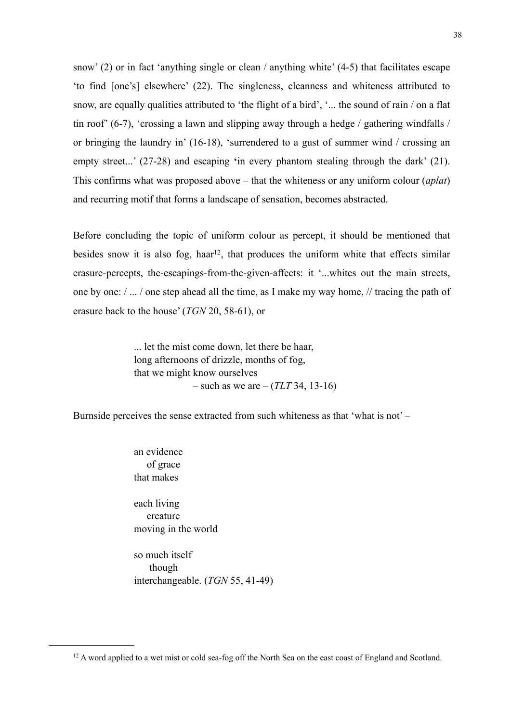snow' (2) or in fact 'anything single or clean / anything white' (4-5) that facilitates escape 'to find [one's] elsewhere' (22). The singleness, cleanness and whiteness attributed to snow, are equally qualities attributed to 'the flight of a bird', '... the sound of rain / on a flat tin roof' (6-7), 'crossing a lawn and slipping away through a hedge / gathering windfalls / or bringing the laundry in' (16-18), 'surrendered to a gust of summer wind / crossing an empty street...' (27-28) and escaping **'**in every phantom stealing through the dark' (21). This confirms what was proposed above – that the whiteness or any uniform colour (*aplat*) and recurring motif that forms a landscape of sensation, becomes abstracted.

Before concluding the topic of uniform colour as percept, it should be mentioned that besides snow it is also fog, haar<sup>12</sup>, that produces the uniform white that effects similar erasure-percepts, the-escapings-from-the-given-affects: it '...whites out the main streets, one by one: / ... / one step ahead all the time, as I make my way home, // tracing the path of erasure back to the house' (*TGN* 20, 58-61), or

> ... let the mist come down, let there be haar, long afternoons of drizzle, months of fog, that we might know ourselves – such as we are – (*TLT* 34, 13-16)

Burnside perceives the sense extracted from such whiteness as that 'what is not' –

an evidence of grace that makes

each living creature moving in the world

so much itself though interchangeable. (*TGN* 55, 41-49)

<span id="page-37-0"></span><sup>&</sup>lt;sup>12</sup> A word applied to a wet mist or cold sea-fog off the North Sea on the east coast of England and Scotland.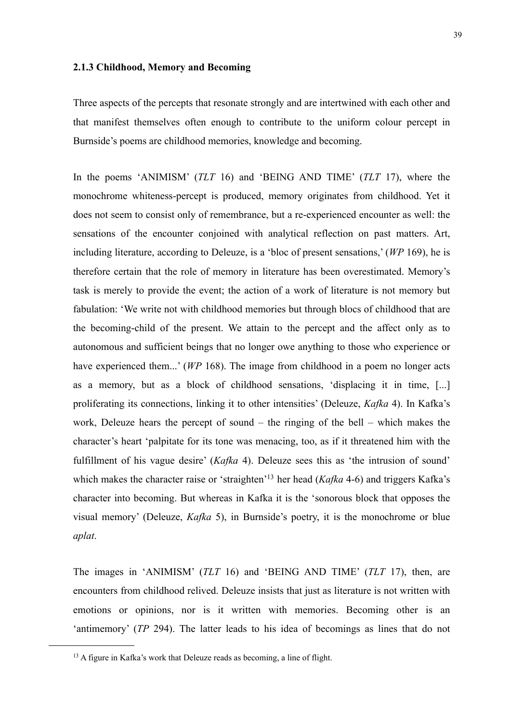## **2.1.3 Childhood, Memory and Becoming**

Three aspects of the percepts that resonate strongly and are intertwined with each other and that manifest themselves often enough to contribute to the uniform colour percept in Burnside's poems are childhood memories, knowledge and becoming.

In the poems 'ANIMISM' (*TLT* 16) and 'BEING AND TIME' (*TLT* 17), where the monochrome whiteness-percept is produced, memory originates from childhood. Yet it does not seem to consist only of remembrance, but a re-experienced encounter as well: the sensations of the encounter conjoined with analytical reflection on past matters. Art, including literature, according to Deleuze, is a 'bloc of present sensations,' (*WP* 169), he is therefore certain that the role of memory in literature has been overestimated. Memory's task is merely to provide the event; the action of a work of literature is not memory but fabulation: 'We write not with childhood memories but through blocs of childhood that are the becoming-child of the present. We attain to the percept and the affect only as to autonomous and sufficient beings that no longer owe anything to those who experience or have experienced them...' (*WP* 168). The image from childhood in a poem no longer acts as a memory, but as a block of childhood sensations, 'displacing it in time, [...] proliferating its connections, linking it to other intensities' (Deleuze, *Kafka* 4). In Kafka's work, Deleuze hears the percept of sound – the ringing of the bell – which makes the character's heart 'palpitate for its tone was menacing, too, as if it threatened him with the fulfillment of his vague desire' (*Kafka* 4). Deleuze sees this as 'the intrusion of sound' which makes the character raise or 'straighten['13](#page-38-0) her head (*Kafka* 4-6) and triggers Kafka's character into becoming. But whereas in Kafka it is the 'sonorous block that opposes the visual memory' (Deleuze, *Kafka* 5), in Burnside's poetry, it is the monochrome or blue *aplat*.

The images in 'ANIMISM' (*TLT* 16) and 'BEING AND TIME' (*TLT* 17), then, are encounters from childhood relived. Deleuze insists that just as literature is not written with emotions or opinions, nor is it written with memories. Becoming other is an 'antimemory' (*TP* 294). The latter leads to his idea of becomings as lines that do not

<span id="page-38-0"></span><sup>&</sup>lt;sup>13</sup> A figure in Kafka's work that Deleuze reads as becoming, a line of flight.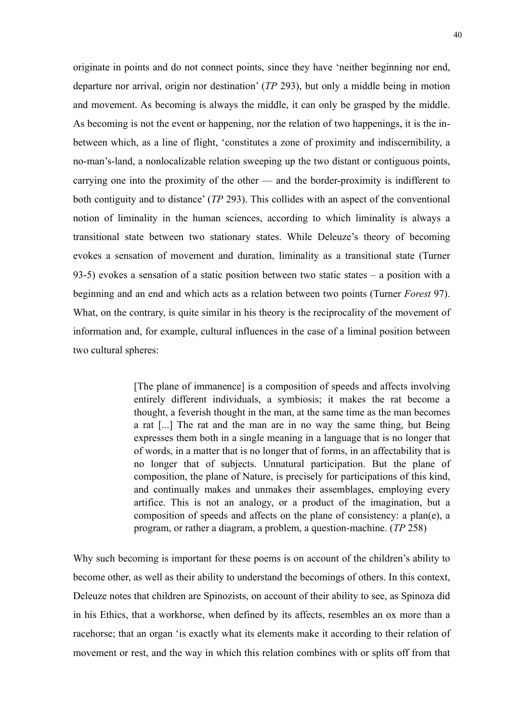originate in points and do not connect points, since they have 'neither beginning nor end, departure nor arrival, origin nor destination' (*TP* 293), but only a middle being in motion and movement. As becoming is always the middle, it can only be grasped by the middle. As becoming is not the event or happening, nor the relation of two happenings, it is the inbetween which, as a line of flight, 'constitutes a zone of proximity and indiscernibility, a no-man's-land, a nonlocalizable relation sweeping up the two distant or contiguous points, carrying one into the proximity of the other — and the border-proximity is indifferent to both contiguity and to distance' (*TP* 293). This collides with an aspect of the conventional notion of liminality in the human sciences, according to which liminality is always a transitional state between two stationary states. While Deleuze's theory of becoming evokes a sensation of movement and duration, liminality as a transitional state (Turner 93-5) evokes a sensation of a static position between two static states – a position with a beginning and an end and which acts as a relation between two points (Turner *Forest* 97). What, on the contrary, is quite similar in his theory is the reciprocality of the movement of information and, for example, cultural influences in the case of a liminal position between two cultural spheres:

> [The plane of immanence] is a composition of speeds and affects involving entirely different individuals, a symbiosis; it makes the rat become a thought, a feverish thought in the man, at the same time as the man becomes a rat [...] The rat and the man are in no way the same thing, but Being expresses them both in a single meaning in a language that is no longer that of words, in a matter that is no longer that of forms, in an affectability that is no longer that of subjects. Unnatural participation. But the plane of composition, the plane of Nature, is precisely for participations of this kind, and continually makes and unmakes their assemblages, employing every artifice. This is not an analogy, or a product of the imagination, but a composition of speeds and affects on the plane of consistency: a plan(e), a program, or rather a diagram, a problem, a question-machine. (*TP* 258)

Why such becoming is important for these poems is on account of the children's ability to become other, as well as their ability to understand the becomings of others. In this context, Deleuze notes that children are Spinozists, on account of their ability to see, as Spinoza did in his Ethics, that a workhorse, when defined by its affects, resembles an ox more than a racehorse; that an organ 'is exactly what its elements make it according to their relation of movement or rest, and the way in which this relation combines with or splits off from that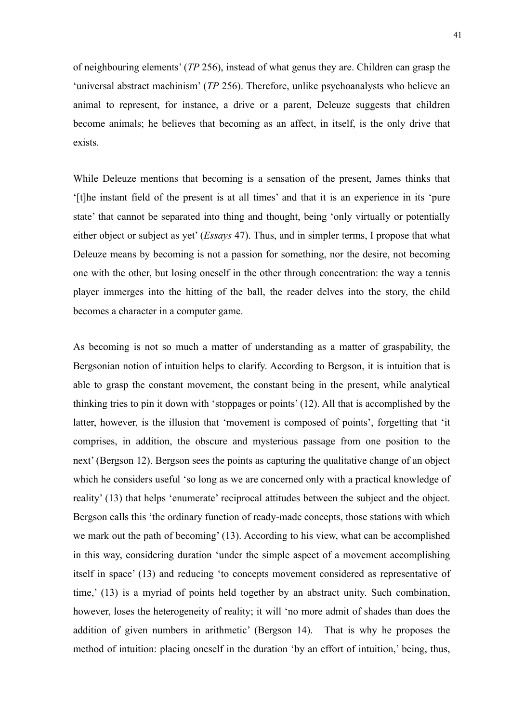of neighbouring elements' (*TP* 256), instead of what genus they are. Children can grasp the 'universal abstract machinism' (*TP* 256). Therefore, unlike psychoanalysts who believe an animal to represent, for instance, a drive or a parent, Deleuze suggests that children become animals; he believes that becoming as an affect, in itself, is the only drive that exists.

While Deleuze mentions that becoming is a sensation of the present, James thinks that '[t]he instant field of the present is at all times' and that it is an experience in its 'pure state' that cannot be separated into thing and thought, being 'only virtually or potentially either object or subject as yet' (*Essays* 47). Thus, and in simpler terms, I propose that what Deleuze means by becoming is not a passion for something, nor the desire, not becoming one with the other, but losing oneself in the other through concentration: the way a tennis player immerges into the hitting of the ball, the reader delves into the story, the child becomes a character in a computer game.

As becoming is not so much a matter of understanding as a matter of graspability, the Bergsonian notion of intuition helps to clarify. According to Bergson, it is intuition that is able to grasp the constant movement, the constant being in the present, while analytical thinking tries to pin it down with 'stoppages or points' (12). All that is accomplished by the latter, however, is the illusion that 'movement is composed of points', forgetting that 'it comprises, in addition, the obscure and mysterious passage from one position to the next' (Bergson 12). Bergson sees the points as capturing the qualitative change of an object which he considers useful 'so long as we are concerned only with a practical knowledge of reality' (13) that helps 'enumerate' reciprocal attitudes between the subject and the object. Bergson calls this 'the ordinary function of ready-made concepts, those stations with which we mark out the path of becoming' (13). According to his view, what can be accomplished in this way, considering duration 'under the simple aspect of a movement accomplishing itself in space' (13) and reducing 'to concepts movement considered as representative of time,' (13) is a myriad of points held together by an abstract unity. Such combination, however, loses the heterogeneity of reality; it will 'no more admit of shades than does the addition of given numbers in arithmetic' (Bergson 14). That is why he proposes the method of intuition: placing oneself in the duration 'by an effort of intuition,' being, thus,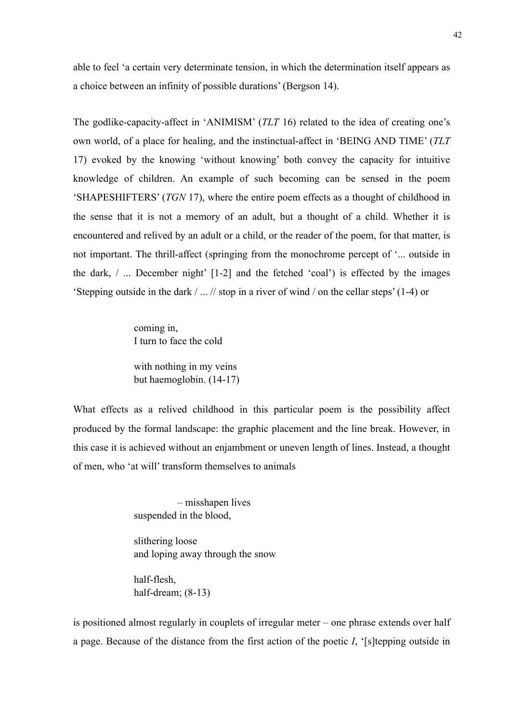able to feel 'a certain very determinate tension, in which the determination itself appears as a choice between an infinity of possible durations' (Bergson 14).

The godlike-capacity-affect in 'ANIMISM' (*TLT* 16) related to the idea of creating one's own world, of a place for healing, and the instinctual-affect in 'BEING AND TIME' (*TLT* 17) evoked by the knowing 'without knowing' both convey the capacity for intuitive knowledge of children. An example of such becoming can be sensed in the poem 'SHAPESHIFTERS' (*TGN* 17), where the entire poem effects as a thought of childhood in the sense that it is not a memory of an adult, but a thought of a child. Whether it is encountered and relived by an adult or a child, or the reader of the poem, for that matter, is not important. The thrill-affect (springing from the monochrome percept of '... outside in the dark, / ... December night' [1-2] and the fetched 'coal') is effected by the images 'Stepping outside in the dark / ... // stop in a river of wind / on the cellar steps' (1-4) or

> coming in, I turn to face the cold

with nothing in my veins but haemoglobin. (14-17)

What effects as a relived childhood in this particular poem is the possibility affect produced by the formal landscape: the graphic placement and the line break. However, in this case it is achieved without an enjambment or uneven length of lines. Instead, a thought of men, who 'at will' transform themselves to animals

> – misshapen lives suspended in the blood,

slithering loose and loping away through the snow

half-flesh, half-dream; (8-13)

is positioned almost regularly in couplets of irregular meter – one phrase extends over half a page. Because of the distance from the first action of the poetic *I*, '[s]tepping outside in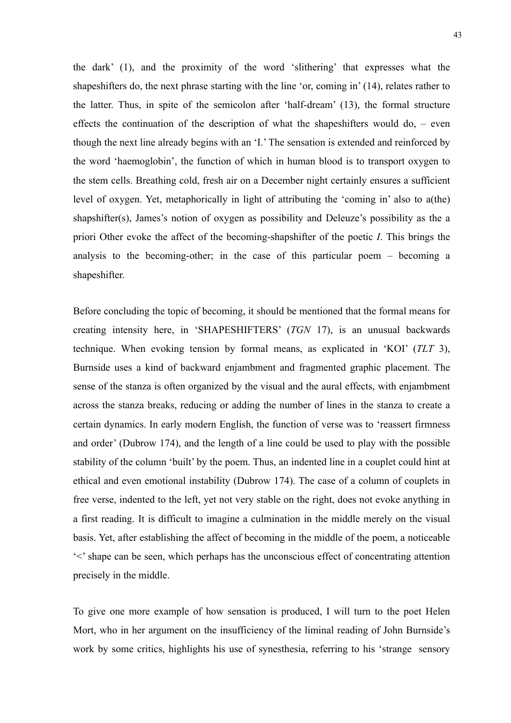the dark' (1), and the proximity of the word 'slithering' that expresses what the shapeshifters do, the next phrase starting with the line 'or, coming in' (14), relates rather to the latter. Thus, in spite of the semicolon after 'half-dream' (13), the formal structure effects the continuation of the description of what the shapeshifters would do, – even though the next line already begins with an 'I.' The sensation is extended and reinforced by the word 'haemoglobin', the function of which in human blood is to transport oxygen to the stem cells. Breathing cold, fresh air on a December night certainly ensures a sufficient level of oxygen. Yet, metaphorically in light of attributing the 'coming in' also to a(the) shapshifter(s), James's notion of oxygen as possibility and Deleuze's possibility as the a priori Other evoke the affect of the becoming-shapshifter of the poetic *I*. This brings the analysis to the becoming-other; in the case of this particular poem – becoming a shapeshifter.

Before concluding the topic of becoming, it should be mentioned that the formal means for creating intensity here, in 'SHAPESHIFTERS' (*TGN* 17), is an unusual backwards technique. When evoking tension by formal means, as explicated in 'KOI' (*TLT* 3), Burnside uses a kind of backward enjambment and fragmented graphic placement. The sense of the stanza is often organized by the visual and the aural effects, with enjambment across the stanza breaks, reducing or adding the number of lines in the stanza to create a certain dynamics. In early modern English, the function of verse was to 'reassert firmness and order' (Dubrow 174), and the length of a line could be used to play with the possible stability of the column 'built' by the poem. Thus, an indented line in a couplet could hint at ethical and even emotional instability (Dubrow 174). The case of a column of couplets in free verse, indented to the left, yet not very stable on the right, does not evoke anything in a first reading. It is difficult to imagine a culmination in the middle merely on the visual basis. Yet, after establishing the affect of becoming in the middle of the poem, a noticeable '<' shape can be seen, which perhaps has the unconscious effect of concentrating attention precisely in the middle.

To give one more example of how sensation is produced, I will turn to the poet Helen Mort, who in her argument on the insufficiency of the liminal reading of John Burnside's work by some critics, highlights his use of synesthesia, referring to his 'strange sensory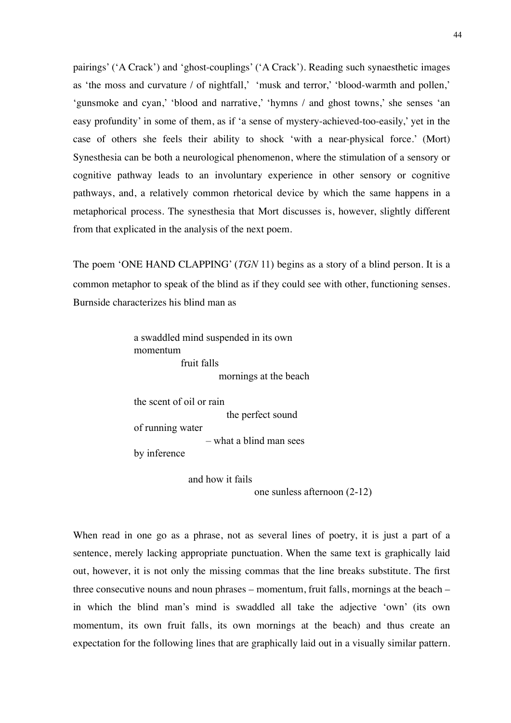pairings' ('A Crack') and 'ghost-couplings' ('A Crack'). Reading such synaesthetic images as 'the moss and curvature / of nightfall,' 'musk and terror,' 'blood-warmth and pollen,' 'gunsmoke and cyan,' 'blood and narrative,' 'hymns / and ghost towns,' she senses 'an easy profundity' in some of them, as if 'a sense of mystery-achieved-too-easily,' yet in the case of others she feels their ability to shock 'with a near-physical force.' (Mort) Synesthesia can be both a neurological phenomenon, where the stimulation of a sensory or cognitive pathway leads to an involuntary experience in other sensory or cognitive pathways, and, a relatively common rhetorical device by which the same happens in a metaphorical process. The synesthesia that Mort discusses is, however, slightly different from that explicated in the analysis of the next poem.

The poem 'ONE HAND CLAPPING' (*TGN* 11) begins as a story of a blind person. It is a common metaphor to speak of the blind as if they could see with other, functioning senses. Burnside characterizes his blind man as

> a swaddled mind suspended in its own momentum fruit falls mornings at the beach

the scent of oil or rain the perfect sound of running water – what a blind man sees by inference

> and how it fails one sunless afternoon (2-12)

When read in one go as a phrase, not as several lines of poetry, it is just a part of a sentence, merely lacking appropriate punctuation. When the same text is graphically laid out, however, it is not only the missing commas that the line breaks substitute. The first three consecutive nouns and noun phrases – momentum, fruit falls, mornings at the beach – in which the blind man's mind is swaddled all take the adjective 'own' (its own momentum, its own fruit falls, its own mornings at the beach) and thus create an expectation for the following lines that are graphically laid out in a visually similar pattern.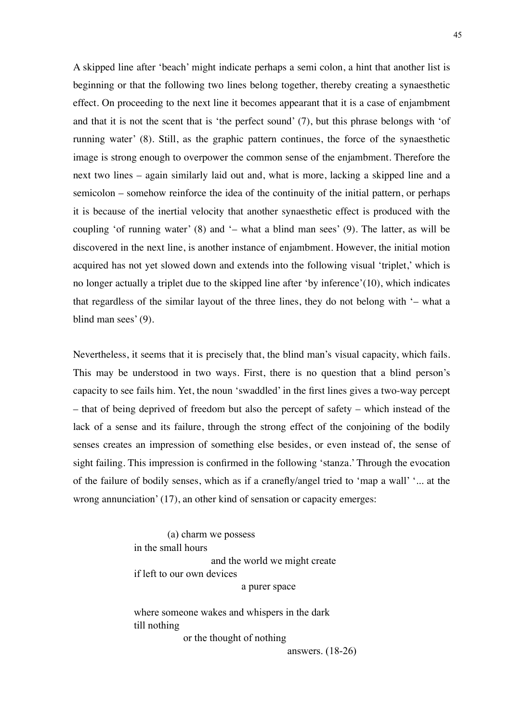A skipped line after 'beach' might indicate perhaps a semi colon, a hint that another list is beginning or that the following two lines belong together, thereby creating a synaesthetic effect. On proceeding to the next line it becomes appearant that it is a case of enjambment and that it is not the scent that is 'the perfect sound' (7), but this phrase belongs with 'of running water' (8). Still, as the graphic pattern continues, the force of the synaesthetic image is strong enough to overpower the common sense of the enjambment. Therefore the next two lines – again similarly laid out and, what is more, lacking a skipped line and a semicolon – somehow reinforce the idea of the continuity of the initial pattern, or perhaps it is because of the inertial velocity that another synaesthetic effect is produced with the coupling 'of running water' (8) and '– what a blind man sees' (9). The latter, as will be discovered in the next line, is another instance of enjambment. However, the initial motion acquired has not yet slowed down and extends into the following visual 'triplet,' which is no longer actually a triplet due to the skipped line after 'by inference'(10), which indicates that regardless of the similar layout of the three lines, they do not belong with '– what a blind man sees' (9).

Nevertheless, it seems that it is precisely that, the blind man's visual capacity, which fails. This may be understood in two ways. First, there is no question that a blind person's capacity to see fails him. Yet, the noun 'swaddled' in the first lines gives a two-way percept – that of being deprived of freedom but also the percept of safety – which instead of the lack of a sense and its failure, through the strong effect of the conjoining of the bodily senses creates an impression of something else besides, or even instead of, the sense of sight failing. This impression is confirmed in the following 'stanza.' Through the evocation of the failure of bodily senses, which as if a cranefly/angel tried to 'map a wall' '... at the wrong annunciation' (17), an other kind of sensation or capacity emerges:

> (a) charm we possess in the small hours and the world we might create if left to our own devices a purer space

where someone wakes and whispers in the dark till nothing or the thought of nothing

answers. (18-26)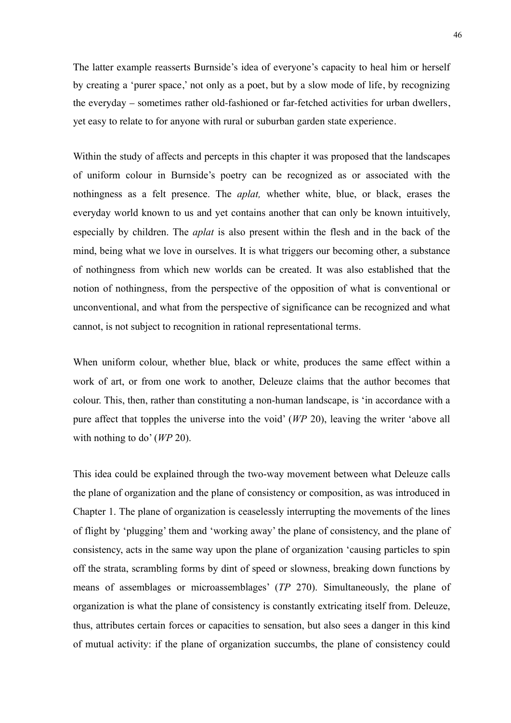The latter example reasserts Burnside's idea of everyone's capacity to heal him or herself by creating a 'purer space,' not only as a poet, but by a slow mode of life, by recognizing the everyday – sometimes rather old-fashioned or far-fetched activities for urban dwellers, yet easy to relate to for anyone with rural or suburban garden state experience.

Within the study of affects and percepts in this chapter it was proposed that the landscapes of uniform colour in Burnside's poetry can be recognized as or associated with the nothingness as a felt presence. The *aplat,* whether white, blue, or black, erases the everyday world known to us and yet contains another that can only be known intuitively, especially by children. The *aplat* is also present within the flesh and in the back of the mind, being what we love in ourselves. It is what triggers our becoming other, a substance of nothingness from which new worlds can be created. It was also established that the notion of nothingness, from the perspective of the opposition of what is conventional or unconventional, and what from the perspective of significance can be recognized and what cannot, is not subject to recognition in rational representational terms.

When uniform colour, whether blue, black or white, produces the same effect within a work of art, or from one work to another, Deleuze claims that the author becomes that colour. This, then, rather than constituting a non-human landscape, is 'in accordance with a pure affect that topples the universe into the void' (*WP* 20), leaving the writer 'above all with nothing to do' (*WP* 20).

This idea could be explained through the two-way movement between what Deleuze calls the plane of organization and the plane of consistency or composition, as was introduced in Chapter 1. The plane of organization is ceaselessly interrupting the movements of the lines of flight by 'plugging' them and 'working away' the plane of consistency, and the plane of consistency, acts in the same way upon the plane of organization 'causing particles to spin off the strata, scrambling forms by dint of speed or slowness, breaking down functions by means of assemblages or microassemblages' (*TP* 270). Simultaneously, the plane of organization is what the plane of consistency is constantly extricating itself from. Deleuze, thus, attributes certain forces or capacities to sensation, but also sees a danger in this kind of mutual activity: if the plane of organization succumbs, the plane of consistency could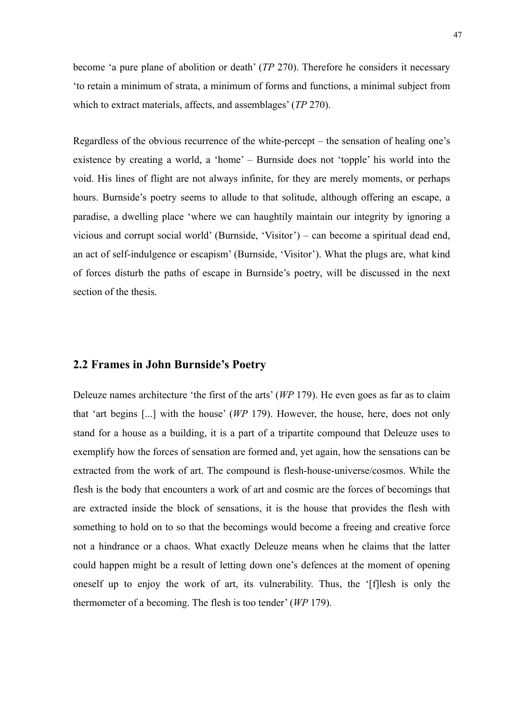become 'a pure plane of abolition or death' (*TP* 270). Therefore he considers it necessary 'to retain a minimum of strata, a minimum of forms and functions, a minimal subject from which to extract materials, affects, and assemblages' (*TP* 270).

Regardless of the obvious recurrence of the white-percept – the sensation of healing one's existence by creating a world, a 'home' – Burnside does not 'topple' his world into the void. His lines of flight are not always infinite, for they are merely moments, or perhaps hours. Burnside's poetry seems to allude to that solitude, although offering an escape, a paradise, a dwelling place 'where we can haughtily maintain our integrity by ignoring a vicious and corrupt social world' (Burnside, 'Visitor') – can become a spiritual dead end, an act of self-indulgence or escapism' (Burnside, 'Visitor'). What the plugs are, what kind of forces disturb the paths of escape in Burnside's poetry, will be discussed in the next section of the thesis.

## **2.2 Frames in John Burnside's Poetry**

Deleuze names architecture 'the first of the arts' (*WP* 179). He even goes as far as to claim that 'art begins [...] with the house' (*WP* 179). However, the house, here, does not only stand for a house as a building, it is a part of a tripartite compound that Deleuze uses to exemplify how the forces of sensation are formed and, yet again, how the sensations can be extracted from the work of art. The compound is flesh-house-universe/cosmos. While the flesh is the body that encounters a work of art and cosmic are the forces of becomings that are extracted inside the block of sensations, it is the house that provides the flesh with something to hold on to so that the becomings would become a freeing and creative force not a hindrance or a chaos. What exactly Deleuze means when he claims that the latter could happen might be a result of letting down one's defences at the moment of opening oneself up to enjoy the work of art, its vulnerability. Thus, the '[f]lesh is only the thermometer of a becoming. The flesh is too tender' (*WP* 179).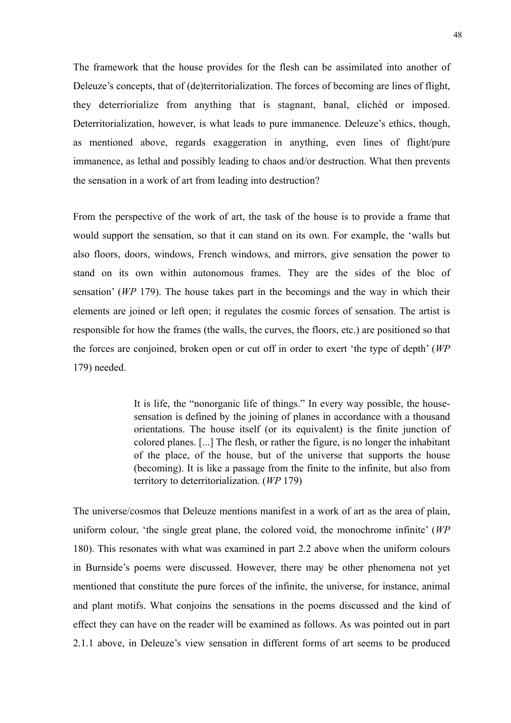The framework that the house provides for the flesh can be assimilated into another of Deleuze's concepts, that of (de)territorialization. The forces of becoming are lines of flight, they deterriorialize from anything that is stagnant, banal, clichéd or imposed. Deterritorialization, however, is what leads to pure immanence. Deleuze's ethics, though, as mentioned above, regards exaggeration in anything, even lines of flight/pure immanence, as lethal and possibly leading to chaos and/or destruction. What then prevents the sensation in a work of art from leading into destruction?

From the perspective of the work of art, the task of the house is to provide a frame that would support the sensation, so that it can stand on its own. For example, the 'walls but also floors, doors, windows, French windows, and mirrors, give sensation the power to stand on its own within autonomous frames. They are the sides of the bloc of sensation' (*WP* 179). The house takes part in the becomings and the way in which their elements are joined or left open; it regulates the cosmic forces of sensation. The artist is responsible for how the frames (the walls, the curves, the floors, etc.) are positioned so that the forces are conjoined, broken open or cut off in order to exert 'the type of depth' (*WP*  179) needed.

> It is life, the "nonorganic life of things." In every way possible, the housesensation is defined by the joining of planes in accordance with a thousand orientations. The house itself (or its equivalent) is the finite junction of colored planes. [...] The flesh, or rather the figure, is no longer the inhabitant of the place, of the house, but of the universe that supports the house (becoming). It is like a passage from the finite to the infinite, but also from territory to deterritorialization. (*WP* 179)

The universe/cosmos that Deleuze mentions manifest in a work of art as the area of plain, uniform colour, 'the single great plane, the colored void, the monochrome infinite' (*WP*  180). This resonates with what was examined in part 2.2 above when the uniform colours in Burnside's poems were discussed. However, there may be other phenomena not yet mentioned that constitute the pure forces of the infinite, the universe, for instance, animal and plant motifs. What conjoins the sensations in the poems discussed and the kind of effect they can have on the reader will be examined as follows. As was pointed out in part 2.1.1 above, in Deleuze's view sensation in different forms of art seems to be produced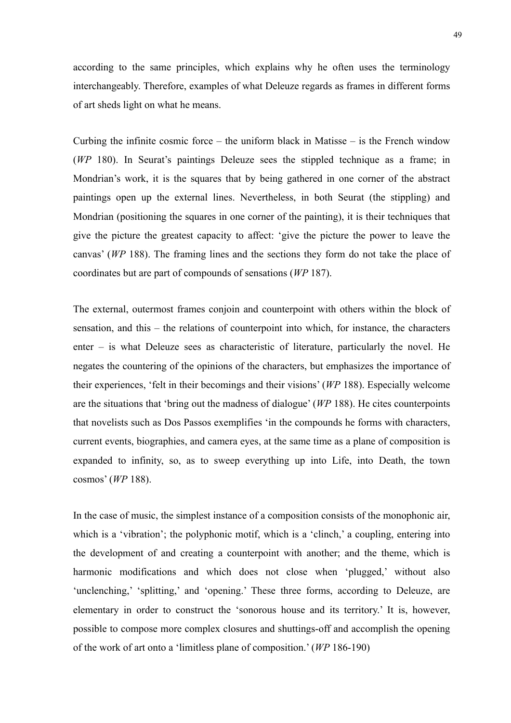according to the same principles, which explains why he often uses the terminology interchangeably. Therefore, examples of what Deleuze regards as frames in different forms of art sheds light on what he means.

Curbing the infinite cosmic force – the uniform black in Matisse – is the French window (*WP* 180). In Seurat's paintings Deleuze sees the stippled technique as a frame; in Mondrian's work, it is the squares that by being gathered in one corner of the abstract paintings open up the external lines. Nevertheless, in both Seurat (the stippling) and Mondrian (positioning the squares in one corner of the painting), it is their techniques that give the picture the greatest capacity to affect: 'give the picture the power to leave the canvas' (*WP* 188). The framing lines and the sections they form do not take the place of coordinates but are part of compounds of sensations (*WP* 187).

The external, outermost frames conjoin and counterpoint with others within the block of sensation, and this – the relations of counterpoint into which, for instance, the characters enter – is what Deleuze sees as characteristic of literature, particularly the novel. He negates the countering of the opinions of the characters, but emphasizes the importance of their experiences, 'felt in their becomings and their visions' (*WP* 188). Especially welcome are the situations that 'bring out the madness of dialogue' (*WP* 188). He cites counterpoints that novelists such as Dos Passos exemplifies 'in the compounds he forms with characters, current events, biographies, and camera eyes, at the same time as a plane of composition is expanded to infinity, so, as to sweep everything up into Life, into Death, the town cosmos' (*WP* 188).

In the case of music, the simplest instance of a composition consists of the monophonic air, which is a 'vibration'; the polyphonic motif, which is a 'clinch,' a coupling, entering into the development of and creating a counterpoint with another; and the theme, which is harmonic modifications and which does not close when 'plugged,' without also 'unclenching,' 'splitting,' and 'opening.' These three forms, according to Deleuze, are elementary in order to construct the 'sonorous house and its territory.' It is, however, possible to compose more complex closures and shuttings-off and accomplish the opening of the work of art onto a 'limitless plane of composition.' (*WP* 186-190)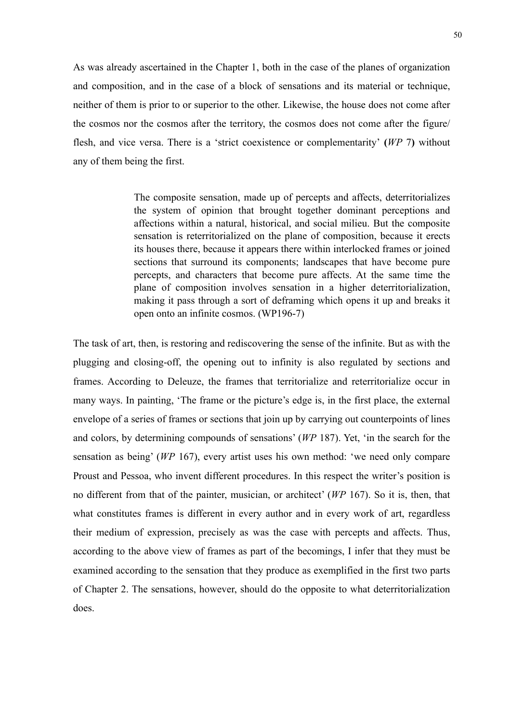As was already ascertained in the Chapter 1, both in the case of the planes of organization and composition, and in the case of a block of sensations and its material or technique, neither of them is prior to or superior to the other. Likewise, the house does not come after the cosmos nor the cosmos after the territory, the cosmos does not come after the figure/ flesh, and vice versa. There is a 'strict coexistence or complementarity' **(***WP* 7**)** without any of them being the first.

> The composite sensation, made up of percepts and affects, deterritorializes the system of opinion that brought together dominant perceptions and affections within a natural, historical, and social milieu. But the composite sensation is reterritorialized on the plane of composition, because it erects its houses there, because it appears there within interlocked frames or joined sections that surround its components; landscapes that have become pure percepts, and characters that become pure affects. At the same time the plane of composition involves sensation in a higher deterritorialization, making it pass through a sort of deframing which opens it up and breaks it open onto an infinite cosmos. (WP196-7)

The task of art, then, is restoring and rediscovering the sense of the infinite. But as with the plugging and closing-off, the opening out to infinity is also regulated by sections and frames. According to Deleuze, the frames that territorialize and reterritorialize occur in many ways. In painting, 'The frame or the picture's edge is, in the first place, the external envelope of a series of frames or sections that join up by carrying out counterpoints of lines and colors, by determining compounds of sensations' (*WP* 187). Yet, 'in the search for the sensation as being' (*WP* 167), every artist uses his own method: 'we need only compare Proust and Pessoa, who invent different procedures. In this respect the writer's position is no different from that of the painter, musician, or architect' (*WP* 167). So it is, then, that what constitutes frames is different in every author and in every work of art, regardless their medium of expression, precisely as was the case with percepts and affects. Thus, according to the above view of frames as part of the becomings, I infer that they must be examined according to the sensation that they produce as exemplified in the first two parts of Chapter 2. The sensations, however, should do the opposite to what deterritorialization does.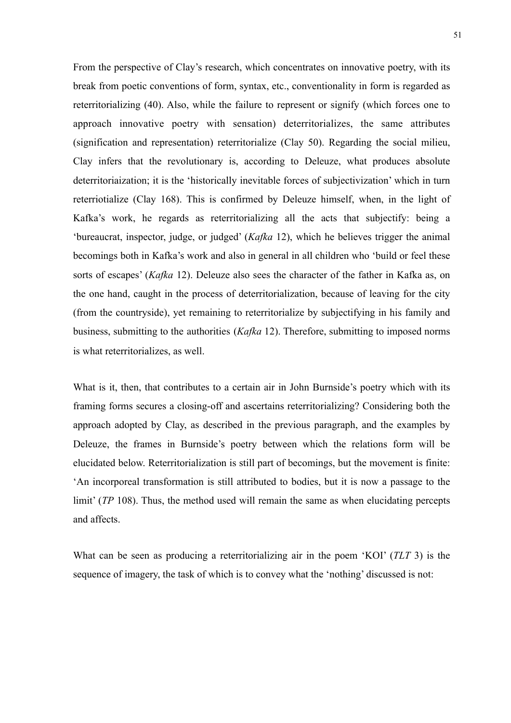From the perspective of Clay's research, which concentrates on innovative poetry, with its break from poetic conventions of form, syntax, etc., conventionality in form is regarded as reterritorializing (40). Also, while the failure to represent or signify (which forces one to approach innovative poetry with sensation) deterritorializes, the same attributes (signification and representation) reterritorialize (Clay 50). Regarding the social milieu, Clay infers that the revolutionary is, according to Deleuze, what produces absolute deterritoriaization; it is the 'historically inevitable forces of subjectivization' which in turn reterriotialize (Clay 168). This is confirmed by Deleuze himself, when, in the light of Kafka's work, he regards as reterritorializing all the acts that subjectify: being a 'bureaucrat, inspector, judge, or judged' (*Kafka* 12), which he believes trigger the animal becomings both in Kafka's work and also in general in all children who 'build or feel these sorts of escapes' (*Kafka* 12). Deleuze also sees the character of the father in Kafka as, on the one hand, caught in the process of deterritorialization, because of leaving for the city (from the countryside), yet remaining to reterritorialize by subjectifying in his family and business, submitting to the authorities (*Kafka* 12). Therefore, submitting to imposed norms is what reterritorializes, as well.

What is it, then, that contributes to a certain air in John Burnside's poetry which with its framing forms secures a closing-off and ascertains reterritorializing? Considering both the approach adopted by Clay, as described in the previous paragraph, and the examples by Deleuze, the frames in Burnside's poetry between which the relations form will be elucidated below. Reterritorialization is still part of becomings, but the movement is finite: 'An incorporeal transformation is still attributed to bodies, but it is now a passage to the limit' (*TP* 108). Thus, the method used will remain the same as when elucidating percepts and affects.

What can be seen as producing a reterritorializing air in the poem 'KOI' (*TLT* 3) is the sequence of imagery, the task of which is to convey what the 'nothing' discussed is not: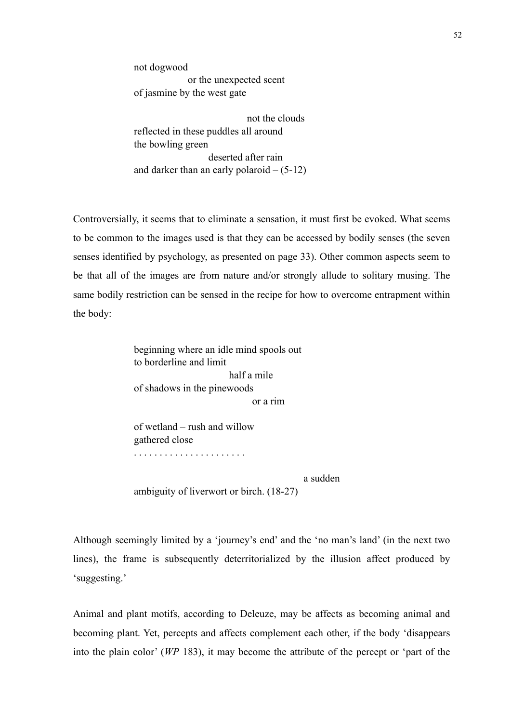not dogwood or the unexpected scent of jasmine by the west gate

 not the clouds reflected in these puddles all around the bowling green deserted after rain and darker than an early polaroid  $- (5-12)$ 

Controversially, it seems that to eliminate a sensation, it must first be evoked. What seems to be common to the images used is that they can be accessed by bodily senses (the seven senses identified by psychology, as presented on page 33). Other common aspects seem to be that all of the images are from nature and/or strongly allude to solitary musing. The same bodily restriction can be sensed in the recipe for how to overcome entrapment within the body:

> beginning where an idle mind spools out to borderline and limit half a mile of shadows in the pinewoods or a rim

of wetland – rush and willow gathered close . . . . . . . . . . . . . . . . . . . . . .

a sudden

ambiguity of liverwort or birch. (18-27)

Although seemingly limited by a 'journey's end' and the 'no man's land' (in the next two lines), the frame is subsequently deterritorialized by the illusion affect produced by 'suggesting.'

Animal and plant motifs, according to Deleuze, may be affects as becoming animal and becoming plant. Yet, percepts and affects complement each other, if the body 'disappears into the plain color' (*WP* 183), it may become the attribute of the percept or 'part of the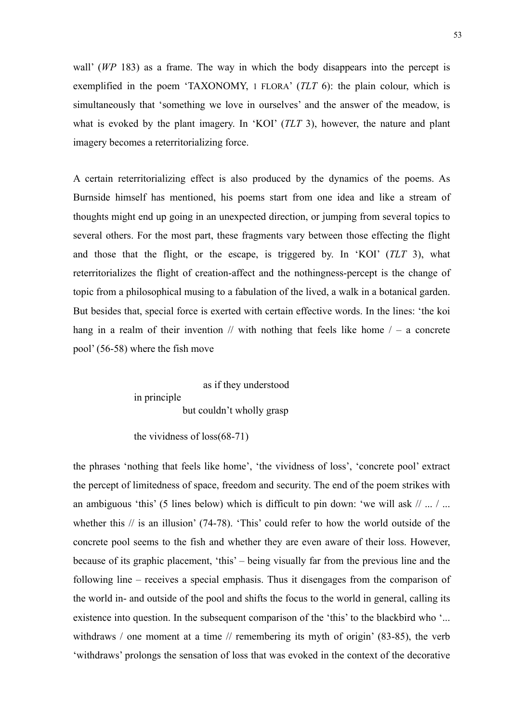wall' (*WP* 183) as a frame. The way in which the body disappears into the percept is exemplified in the poem 'TAXONOMY, 1 FLORA' (*TLT* 6): the plain colour, which is simultaneously that 'something we love in ourselves' and the answer of the meadow, is what is evoked by the plant imagery. In 'KOI' (*TLT* 3), however, the nature and plant imagery becomes a reterritorializing force.

A certain reterritorializing effect is also produced by the dynamics of the poems. As Burnside himself has mentioned, his poems start from one idea and like a stream of thoughts might end up going in an unexpected direction, or jumping from several topics to several others. For the most part, these fragments vary between those effecting the flight and those that the flight, or the escape, is triggered by. In 'KOI' (*TLT* 3), what reterritorializes the flight of creation-affect and the nothingness-percept is the change of topic from a philosophical musing to a fabulation of the lived, a walk in a botanical garden. But besides that, special force is exerted with certain effective words. In the lines: 'the koi hang in a realm of their invention  $\ell$  with nothing that feels like home  $\ell$  – a concrete pool' (56-58) where the fish move

> as if they understood in principle but couldn't wholly grasp

the vividness of loss(68-71)

the phrases 'nothing that feels like home', 'the vividness of loss', 'concrete pool' extract the percept of limitedness of space, freedom and security. The end of the poem strikes with an ambiguous 'this' (5 lines below) which is difficult to pin down: 'we will ask  $// \dots / ...$ whether this // is an illusion' (74-78). 'This' could refer to how the world outside of the concrete pool seems to the fish and whether they are even aware of their loss. However, because of its graphic placement, 'this' – being visually far from the previous line and the following line – receives a special emphasis. Thus it disengages from the comparison of the world in- and outside of the pool and shifts the focus to the world in general, calling its existence into question. In the subsequent comparison of the 'this' to the blackbird who '... withdraws / one moment at a time // remembering its myth of origin' (83-85), the verb 'withdraws' prolongs the sensation of loss that was evoked in the context of the decorative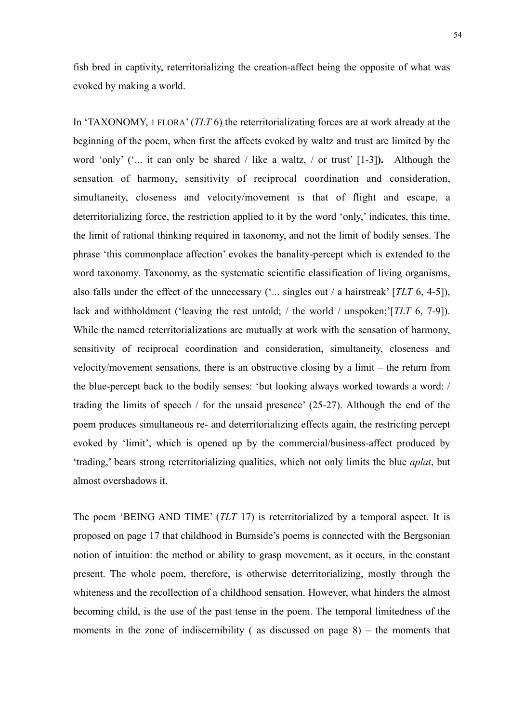fish bred in captivity, reterritorializing the creation-affect being the opposite of what was evoked by making a world.

In 'TAXONOMY, 1 FLORA' (*TLT* 6) the reterritorializating forces are at work already at the beginning of the poem, when first the affects evoked by waltz and trust are limited by the word 'only' ('... it can only be shared / like a waltz, / or trust' [1-3]**).** Although the sensation of harmony, sensitivity of reciprocal coordination and consideration, simultaneity, closeness and velocity/movement is that of flight and escape, a deterritorializing force, the restriction applied to it by the word 'only,' indicates, this time, the limit of rational thinking required in taxonomy, and not the limit of bodily senses. The phrase 'this commonplace affection' evokes the banality-percept which is extended to the word taxonomy. Taxonomy, as the systematic scientific classification of living organisms, also falls under the effect of the unnecessary ('... singles out / a hairstreak' [*TLT* 6, 4-5]), lack and withholdment ('leaving the rest untold; / the world / unspoken;'[*TLT* 6, 7-9]). While the named reterritorializations are mutually at work with the sensation of harmony, sensitivity of reciprocal coordination and consideration, simultaneity, closeness and velocity/movement sensations, there is an obstructive closing by a limit – the return from the blue-percept back to the bodily senses: 'but looking always worked towards a word: / trading the limits of speech / for the unsaid presence' (25-27). Although the end of the poem produces simultaneous re- and deterritorializing effects again, the restricting percept evoked by 'limit', which is opened up by the commercial/business-affect produced by 'trading,' bears strong reterritorializing qualities, which not only limits the blue *aplat*, but almost overshadows it.

The poem 'BEING AND TIME' (*TLT* 17) is reterritorialized by a temporal aspect. It is proposed on page 17 that childhood in Burnside's poems is connected with the Bergsonian notion of intuition: the method or ability to grasp movement, as it occurs, in the constant present. The whole poem, therefore, is otherwise deterritorializing, mostly through the whiteness and the recollection of a childhood sensation. However, what hinders the almost becoming child, is the use of the past tense in the poem. The temporal limitedness of the moments in the zone of indiscernibility (as discussed on page  $8$ ) – the moments that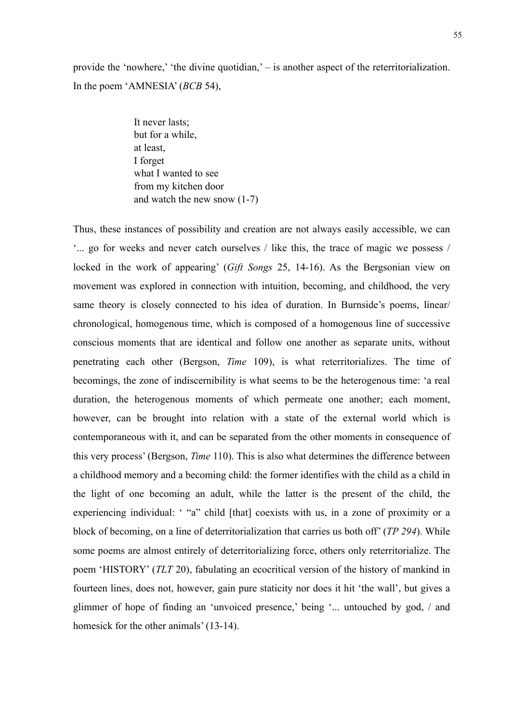provide the 'nowhere,' 'the divine quotidian,' – is another aspect of the reterritorialization. In the poem 'AMNESIA' (*BCB* 54),

> It never lasts; but for a while, at least, I forget what I wanted to see from my kitchen door and watch the new snow (1-7)

Thus, these instances of possibility and creation are not always easily accessible, we can '... go for weeks and never catch ourselves / like this, the trace of magic we possess / locked in the work of appearing' (*Gift Songs* 25, 14-16). As the Bergsonian view on movement was explored in connection with intuition, becoming, and childhood, the very same theory is closely connected to his idea of duration. In Burnside's poems, linear/ chronological, homogenous time, which is composed of a homogenous line of successive conscious moments that are identical and follow one another as separate units, without penetrating each other (Bergson, *Time* 109), is what reterritorializes. The time of becomings, the zone of indiscernibility is what seems to be the heterogenous time: 'a real duration, the heterogenous moments of which permeate one another; each moment, however, can be brought into relation with a state of the external world which is contemporaneous with it, and can be separated from the other moments in consequence of this very process' (Bergson, *Time* 110). This is also what determines the difference between a childhood memory and a becoming child: the former identifies with the child as a child in the light of one becoming an adult, while the latter is the present of the child, the experiencing individual: ' "a" child [that] coexists with us, in a zone of proximity or a block of becoming, on a line of deterritorialization that carries us both off' (*TP 294*). While some poems are almost entirely of deterritorializing force, others only reterritorialize. The poem 'HISTORY' (*TLT* 20), fabulating an ecocritical version of the history of mankind in fourteen lines, does not, however, gain pure staticity nor does it hit 'the wall', but gives a glimmer of hope of finding an 'unvoiced presence,' being '... untouched by god, / and homesick for the other animals' (13-14).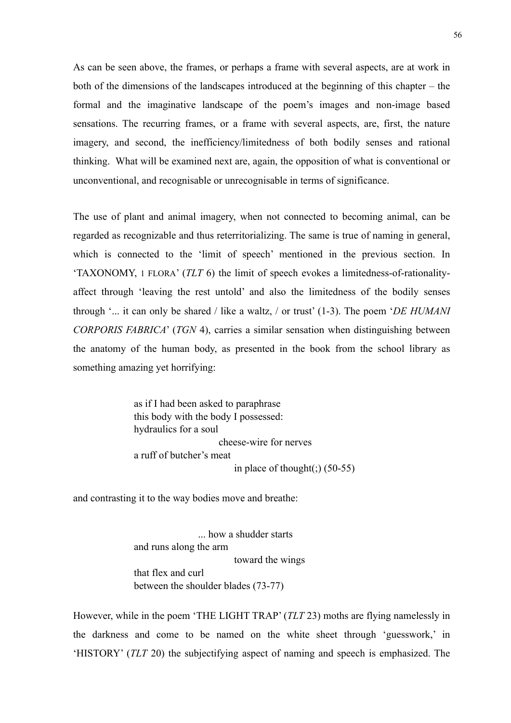As can be seen above, the frames, or perhaps a frame with several aspects, are at work in both of the dimensions of the landscapes introduced at the beginning of this chapter – the formal and the imaginative landscape of the poem's images and non-image based sensations. The recurring frames, or a frame with several aspects, are, first, the nature imagery, and second, the inefficiency/limitedness of both bodily senses and rational thinking. What will be examined next are, again, the opposition of what is conventional or unconventional, and recognisable or unrecognisable in terms of significance.

The use of plant and animal imagery, when not connected to becoming animal, can be regarded as recognizable and thus reterritorializing. The same is true of naming in general, which is connected to the 'limit of speech' mentioned in the previous section. In 'TAXONOMY, 1 FLORA' (*TLT* 6) the limit of speech evokes a limitedness-of-rationalityaffect through 'leaving the rest untold' and also the limitedness of the bodily senses through '... it can only be shared / like a waltz, / or trust' (1-3). The poem '*DE HUMANI CORPORIS FABRICA*' (*TGN* 4), carries a similar sensation when distinguishing between the anatomy of the human body, as presented in the book from the school library as something amazing yet horrifying:

> as if I had been asked to paraphrase this body with the body I possessed: hydraulics for a soul cheese-wire for nerves a ruff of butcher's meat in place of thought(;)  $(50-55)$

and contrasting it to the way bodies move and breathe:

 ... how a shudder starts and runs along the arm toward the wings that flex and curl between the shoulder blades (73-77)

However, while in the poem 'THE LIGHT TRAP' (*TLT* 23) moths are flying namelessly in the darkness and come to be named on the white sheet through 'guesswork,' in 'HISTORY' (*TLT* 20) the subjectifying aspect of naming and speech is emphasized. The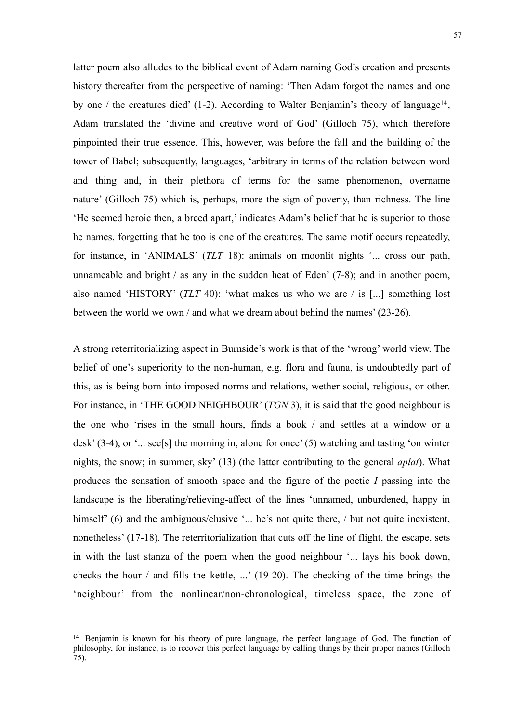latter poem also alludes to the biblical event of Adam naming God's creation and presents history thereafter from the perspective of naming: 'Then Adam forgot the names and one by one / the creatures died' (1-2). According to Walter Benjamin's theory of language<sup>14</sup>, Adam translated the 'divine and creative word of God' (Gilloch 75), which therefore pinpointed their true essence. This, however, was before the fall and the building of the tower of Babel; subsequently, languages, 'arbitrary in terms of the relation between word and thing and, in their plethora of terms for the same phenomenon, overname nature' (Gilloch 75) which is, perhaps, more the sign of poverty, than richness. The line 'He seemed heroic then, a breed apart,' indicates Adam's belief that he is superior to those he names, forgetting that he too is one of the creatures. The same motif occurs repeatedly, for instance, in 'ANIMALS' (*TLT* 18): animals on moonlit nights '... cross our path, unnameable and bright / as any in the sudden heat of Eden' (7-8); and in another poem, also named 'HISTORY' (*TLT* 40): 'what makes us who we are / is [...] something lost between the world we own / and what we dream about behind the names' (23-26).

A strong reterritorializing aspect in Burnside's work is that of the 'wrong' world view. The belief of one's superiority to the non-human, e.g. flora and fauna, is undoubtedly part of this, as is being born into imposed norms and relations, wether social, religious, or other. For instance, in 'THE GOOD NEIGHBOUR' (*TGN* 3), it is said that the good neighbour is the one who 'rises in the small hours, finds a book / and settles at a window or a desk' (3-4), or '... see[s] the morning in, alone for once' (5) watching and tasting 'on winter nights, the snow; in summer, sky' (13) (the latter contributing to the general *aplat*). What produces the sensation of smooth space and the figure of the poetic *I* passing into the landscape is the liberating/relieving-affect of the lines 'unnamed, unburdened, happy in himself' (6) and the ambiguous/elusive '... he's not quite there, / but not quite inexistent, nonetheless' (17-18). The reterritorialization that cuts off the line of flight, the escape, sets in with the last stanza of the poem when the good neighbour '... lays his book down, checks the hour / and fills the kettle, ...' (19-20). The checking of the time brings the 'neighbour' from the nonlinear/non-chronological, timeless space, the zone of

<span id="page-56-0"></span><sup>&</sup>lt;sup>14</sup> Benjamin is known for his theory of pure language, the perfect language of God. The function of philosophy, for instance, is to recover this perfect language by calling things by their proper names (Gilloch 75).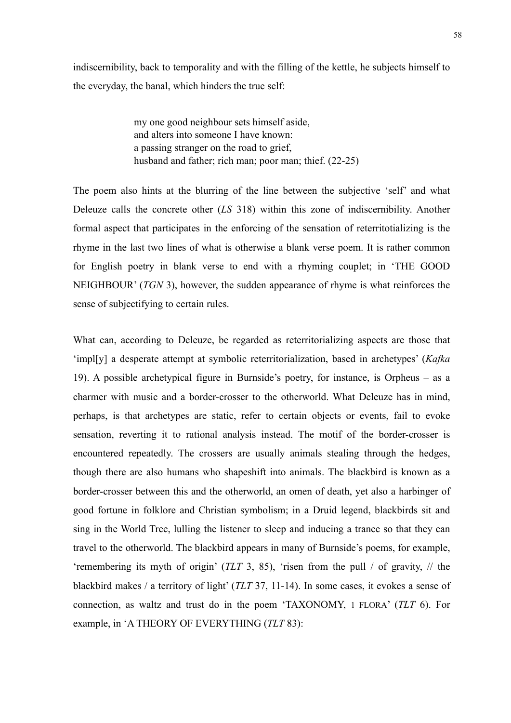indiscernibility, back to temporality and with the filling of the kettle, he subjects himself to the everyday, the banal, which hinders the true self:

> my one good neighbour sets himself aside, and alters into someone I have known: a passing stranger on the road to grief, husband and father; rich man; poor man; thief. (22-25)

The poem also hints at the blurring of the line between the subjective 'self' and what Deleuze calls the concrete other (*LS* 318) within this zone of indiscernibility. Another formal aspect that participates in the enforcing of the sensation of reterritotializing is the rhyme in the last two lines of what is otherwise a blank verse poem. It is rather common for English poetry in blank verse to end with a rhyming couplet; in 'THE GOOD NEIGHBOUR' (*TGN* 3), however, the sudden appearance of rhyme is what reinforces the sense of subjectifying to certain rules.

What can, according to Deleuze, be regarded as reterritorializing aspects are those that 'impl[y] a desperate attempt at symbolic reterritorialization, based in archetypes' (*Kafka*  19). A possible archetypical figure in Burnside's poetry, for instance, is Orpheus – as a charmer with music and a border-crosser to the otherworld. What Deleuze has in mind, perhaps, is that archetypes are static, refer to certain objects or events, fail to evoke sensation, reverting it to rational analysis instead. The motif of the border-crosser is encountered repeatedly. The crossers are usually animals stealing through the hedges, though there are also humans who shapeshift into animals. The blackbird is known as a border-crosser between this and the otherworld, an omen of death, yet also a harbinger of good fortune in folklore and Christian symbolism; in a Druid legend, blackbirds sit and sing in the World Tree, lulling the listener to sleep and inducing a trance so that they can travel to the otherworld. The blackbird appears in many of Burnside's poems, for example, 'remembering its myth of origin' (*TLT* 3, 85), 'risen from the pull / of gravity, // the blackbird makes / a territory of light' (*TLT* 37, 11-14). In some cases, it evokes a sense of connection, as waltz and trust do in the poem 'TAXONOMY, 1 FLORA' (*TLT* 6). For example, in 'A THEORY OF EVERYTHING (*TLT* 83):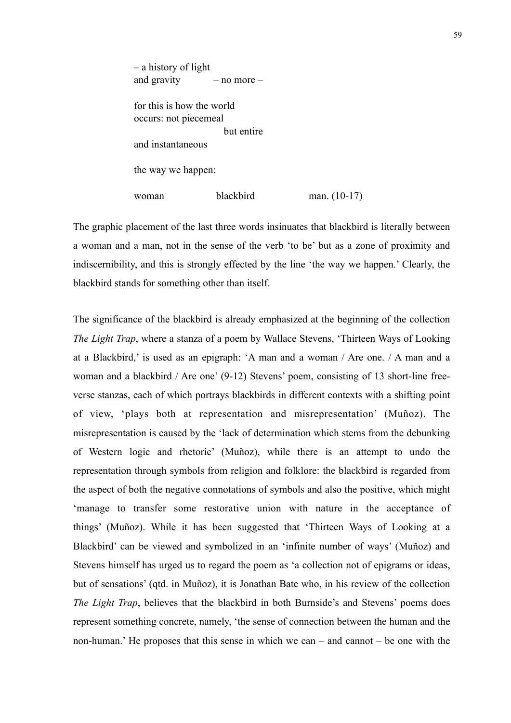– a history of light and gravity  $-$  no more  $$ for this is how the world occurs: not piecemeal but entire and instantaneous the way we happen: woman blackbird man. (10-17)

The graphic placement of the last three words insinuates that blackbird is literally between a woman and a man, not in the sense of the verb 'to be' but as a zone of proximity and indiscernibility, and this is strongly effected by the line 'the way we happen.' Clearly, the blackbird stands for something other than itself.

The significance of the blackbird is already emphasized at the beginning of the collection *The Light Trap*, where a stanza of a poem by Wallace Stevens, 'Thirteen Ways of Looking at a Blackbird,' is used as an epigraph: 'A man and a woman / Are one. / A man and a woman and a blackbird / Are one' (9-12) Stevens' poem, consisting of 13 short-line freeverse stanzas, each of which portrays blackbirds in different contexts with a shifting point of view, 'plays both at representation and misrepresentation' (Muñoz). The misrepresentation is caused by the 'lack of determination which stems from the debunking of Western logic and rhetoric' (Muñoz), while there is an attempt to undo the representation through symbols from religion and folklore: the blackbird is regarded from the aspect of both the negative connotations of symbols and also the positive, which might 'manage to transfer some restorative union with nature in the acceptance of things' (Muñoz). While it has been suggested that 'Thirteen Ways of Looking at a Blackbird' can be viewed and symbolized in an 'infinite number of ways' (Muñoz) and Stevens himself has urged us to regard the poem as 'a collection not of epigrams or ideas, but of sensations' (qtd. in Muñoz), it is Jonathan Bate who, in his review of the collection *The Light Trap*, believes that the blackbird in both Burnside's and Stevens' poems does represent something concrete, namely, 'the sense of connection between the human and the non-human.' He proposes that this sense in which we can – and cannot – be one with the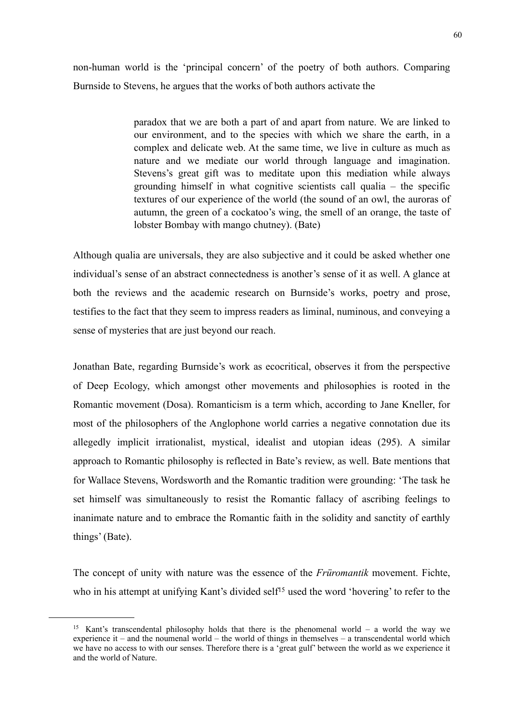non-human world is the 'principal concern' of the poetry of both authors. Comparing Burnside to Stevens, he argues that the works of both authors activate the

> paradox that we are both a part of and apart from nature. We are linked to our environment, and to the species with which we share the earth, in a complex and delicate web. At the same time, we live in culture as much as nature and we mediate our world through language and imagination. Stevens's great gift was to meditate upon this mediation while always grounding himself in what cognitive scientists call qualia – the specific textures of our experience of the world (the sound of an owl, the auroras of autumn, the green of a cockatoo's wing, the smell of an orange, the taste of lobster Bombay with mango chutney). (Bate)

Although qualia are universals, they are also subjective and it could be asked whether one individual's sense of an abstract connectedness is another's sense of it as well. A glance at both the reviews and the academic research on Burnside's works, poetry and prose, testifies to the fact that they seem to impress readers as liminal, numinous, and conveying a sense of mysteries that are just beyond our reach.

Jonathan Bate, regarding Burnside's work as ecocritical, observes it from the perspective of Deep Ecology, which amongst other movements and philosophies is rooted in the Romantic movement (Dosa). Romanticism is a term which, according to Jane Kneller, for most of the philosophers of the Anglophone world carries a negative connotation due its allegedly implicit irrationalist, mystical, idealist and utopian ideas (295). A similar approach to Romantic philosophy is reflected in Bate's review, as well. Bate mentions that for Wallace Stevens, Wordsworth and the Romantic tradition were grounding: 'The task he set himself was simultaneously to resist the Romantic fallacy of ascribing feelings to inanimate nature and to embrace the Romantic faith in the solidity and sanctity of earthly things' (Bate).

The concept of unity with nature was the essence of the *Früromantik* movement. Fichte, who in his attempt at unifying Kant's divided self<sup>15</sup> used the word 'hovering' to refer to the

<span id="page-59-0"></span><sup>&</sup>lt;sup>15</sup> Kant's transcendental philosophy holds that there is the phenomenal world – a world the way we experience it – and the noumenal world – the world of things in themselves – a transcendental world which we have no access to with our senses. Therefore there is a 'great gulf' between the world as we experience it and the world of Nature.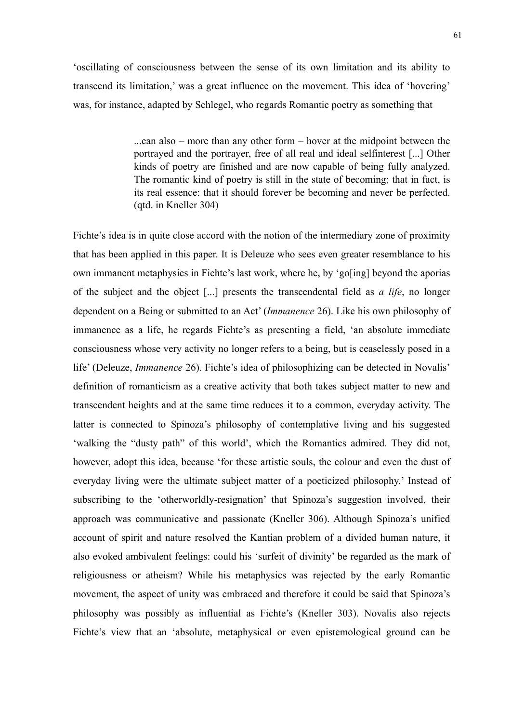'oscillating of consciousness between the sense of its own limitation and its ability to transcend its limitation,' was a great influence on the movement. This idea of 'hovering' was, for instance, adapted by Schlegel, who regards Romantic poetry as something that

> ...can also – more than any other form – hover at the midpoint between the portrayed and the portrayer, free of all real and ideal selfinterest [...] Other kinds of poetry are finished and are now capable of being fully analyzed. The romantic kind of poetry is still in the state of becoming; that in fact, is its real essence: that it should forever be becoming and never be perfected. (qtd. in Kneller 304)

Fichte's idea is in quite close accord with the notion of the intermediary zone of proximity that has been applied in this paper. It is Deleuze who sees even greater resemblance to his own immanent metaphysics in Fichte's last work, where he, by 'go[ing] beyond the aporias of the subject and the object [...] presents the transcendental field as *a life*, no longer dependent on a Being or submitted to an Act' (*Immanence* 26). Like his own philosophy of immanence as a life, he regards Fichte's as presenting a field, 'an absolute immediate consciousness whose very activity no longer refers to a being, but is ceaselessly posed in a life' (Deleuze, *Immanence* 26). Fichte's idea of philosophizing can be detected in Novalis' definition of romanticism as a creative activity that both takes subject matter to new and transcendent heights and at the same time reduces it to a common, everyday activity. The latter is connected to Spinoza's philosophy of contemplative living and his suggested 'walking the "dusty path" of this world', which the Romantics admired. They did not, however, adopt this idea, because 'for these artistic souls, the colour and even the dust of everyday living were the ultimate subject matter of a poeticized philosophy.' Instead of subscribing to the 'otherworldly-resignation' that Spinoza's suggestion involved, their approach was communicative and passionate (Kneller 306). Although Spinoza's unified account of spirit and nature resolved the Kantian problem of a divided human nature, it also evoked ambivalent feelings: could his 'surfeit of divinity' be regarded as the mark of religiousness or atheism? While his metaphysics was rejected by the early Romantic movement, the aspect of unity was embraced and therefore it could be said that Spinoza's philosophy was possibly as influential as Fichte's (Kneller 303). Novalis also rejects Fichte's view that an 'absolute, metaphysical or even epistemological ground can be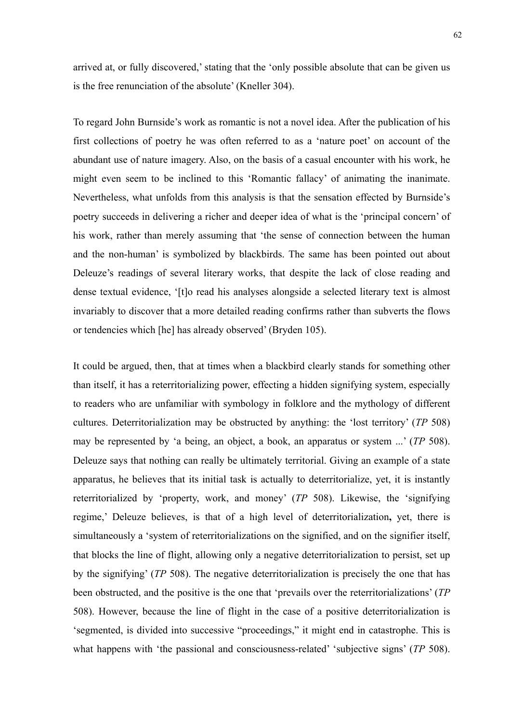arrived at, or fully discovered,' stating that the 'only possible absolute that can be given us is the free renunciation of the absolute' (Kneller 304).

To regard John Burnside's work as romantic is not a novel idea. After the publication of his first collections of poetry he was often referred to as a 'nature poet' on account of the abundant use of nature imagery. Also, on the basis of a casual encounter with his work, he might even seem to be inclined to this 'Romantic fallacy' of animating the inanimate. Nevertheless, what unfolds from this analysis is that the sensation effected by Burnside's poetry succeeds in delivering a richer and deeper idea of what is the 'principal concern' of his work, rather than merely assuming that 'the sense of connection between the human and the non-human' is symbolized by blackbirds. The same has been pointed out about Deleuze's readings of several literary works, that despite the lack of close reading and dense textual evidence, '[t]o read his analyses alongside a selected literary text is almost invariably to discover that a more detailed reading confirms rather than subverts the flows or tendencies which [he] has already observed' (Bryden 105).

It could be argued, then, that at times when a blackbird clearly stands for something other than itself, it has a reterritorializing power, effecting a hidden signifying system, especially to readers who are unfamiliar with symbology in folklore and the mythology of different cultures. Deterritorialization may be obstructed by anything: the 'lost territory' (*TP* 508) may be represented by 'a being, an object, a book, an apparatus or system ...' (*TP* 508). Deleuze says that nothing can really be ultimately territorial. Giving an example of a state apparatus, he believes that its initial task is actually to deterritorialize, yet, it is instantly reterritorialized by 'property, work, and money' (*TP* 508). Likewise, the 'signifying regime,' Deleuze believes, is that of a high level of deterritorialization**,** yet, there is simultaneously a 'system of reterritorializations on the signified, and on the signifier itself, that blocks the line of flight, allowing only a negative deterritorialization to persist, set up by the signifying' (*TP* 508). The negative deterritorialization is precisely the one that has been obstructed, and the positive is the one that 'prevails over the reterritorializations' (*TP* 508). However, because the line of flight in the case of a positive deterritorialization is 'segmented, is divided into successive "proceedings," it might end in catastrophe. This is what happens with 'the passional and consciousness-related' 'subjective signs' (*TP* 508).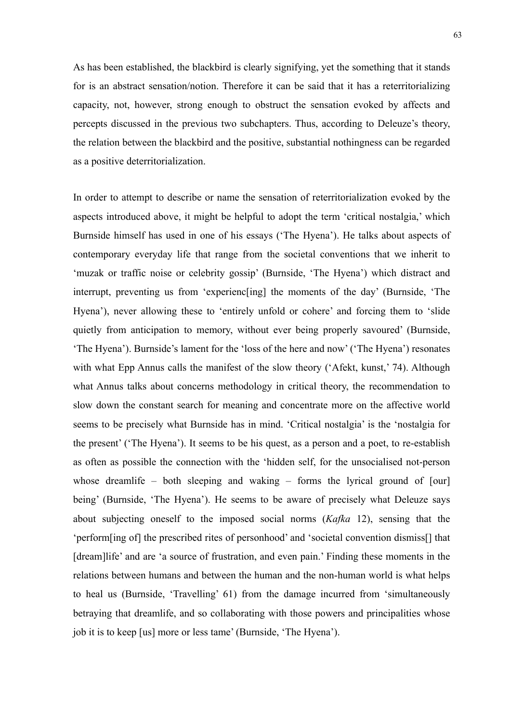As has been established, the blackbird is clearly signifying, yet the something that it stands for is an abstract sensation/notion. Therefore it can be said that it has a reterritorializing capacity, not, however, strong enough to obstruct the sensation evoked by affects and percepts discussed in the previous two subchapters. Thus, according to Deleuze's theory, the relation between the blackbird and the positive, substantial nothingness can be regarded as a positive deterritorialization.

In order to attempt to describe or name the sensation of reterritorialization evoked by the aspects introduced above, it might be helpful to adopt the term 'critical nostalgia,' which Burnside himself has used in one of his essays ('The Hyena'). He talks about aspects of contemporary everyday life that range from the societal conventions that we inherit to 'muzak or traffic noise or celebrity gossip' (Burnside, 'The Hyena') which distract and interrupt, preventing us from 'experienc[ing] the moments of the day' (Burnside, 'The Hyena'), never allowing these to 'entirely unfold or cohere' and forcing them to 'slide quietly from anticipation to memory, without ever being properly savoured' (Burnside, 'The Hyena'). Burnside's lament for the 'loss of the here and now' ('The Hyena') resonates with what Epp Annus calls the manifest of the slow theory ('Afekt, kunst,' 74). Although what Annus talks about concerns methodology in critical theory, the recommendation to slow down the constant search for meaning and concentrate more on the affective world seems to be precisely what Burnside has in mind. 'Critical nostalgia' is the 'nostalgia for the present' ('The Hyena'). It seems to be his quest, as a person and a poet, to re-establish as often as possible the connection with the 'hidden self, for the unsocialised not-person whose dreamlife – both sleeping and waking – forms the lyrical ground of [our] being' (Burnside, 'The Hyena'). He seems to be aware of precisely what Deleuze says about subjecting oneself to the imposed social norms (*Kafka* 12), sensing that the 'perform[ing of] the prescribed rites of personhood' and 'societal convention dismiss[] that [dream]life' and are 'a source of frustration, and even pain.' Finding these moments in the relations between humans and between the human and the non-human world is what helps to heal us (Burnside, 'Travelling' 61) from the damage incurred from 'simultaneously betraying that dreamlife, and so collaborating with those powers and principalities whose job it is to keep [us] more or less tame' (Burnside, 'The Hyena').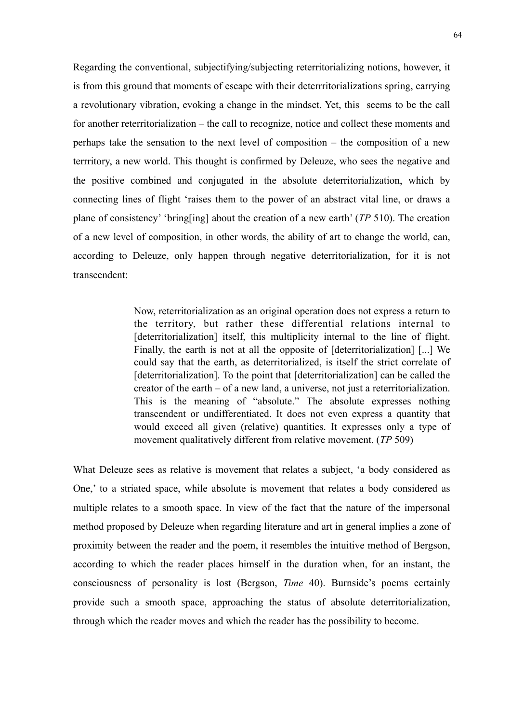Regarding the conventional, subjectifying/subjecting reterritorializing notions, however, it is from this ground that moments of escape with their deterrritorializations spring, carrying a revolutionary vibration, evoking a change in the mindset. Yet, this seems to be the call for another reterritorialization – the call to recognize, notice and collect these moments and perhaps take the sensation to the next level of composition – the composition of a new terrritory, a new world. This thought is confirmed by Deleuze, who sees the negative and the positive combined and conjugated in the absolute deterritorialization, which by connecting lines of flight 'raises them to the power of an abstract vital line, or draws a plane of consistency' 'bring[ing] about the creation of a new earth' (*TP* 510). The creation of a new level of composition, in other words, the ability of art to change the world, can, according to Deleuze, only happen through negative deterritorialization, for it is not transcendent:

> Now, reterritorialization as an original operation does not express a return to the territory, but rather these differential relations internal to [deterritorialization] itself, this multiplicity internal to the line of flight. Finally, the earth is not at all the opposite of [deterritorialization] [...] We could say that the earth, as deterritorialized, is itself the strict correlate of [deterritorialization]. To the point that [deterritorialization] can be called the creator of the earth – of a new land, a universe, not just a reterritorialization. This is the meaning of "absolute." The absolute expresses nothing transcendent or undifferentiated. It does not even express a quantity that would exceed all given (relative) quantities. It expresses only a type of movement qualitatively different from relative movement. (*TP* 509)

What Deleuze sees as relative is movement that relates a subject, 'a body considered as One,' to a striated space, while absolute is movement that relates a body considered as multiple relates to a smooth space. In view of the fact that the nature of the impersonal method proposed by Deleuze when regarding literature and art in general implies a zone of proximity between the reader and the poem, it resembles the intuitive method of Bergson, according to which the reader places himself in the duration when, for an instant, the consciousness of personality is lost (Bergson, *Time* 40). Burnside's poems certainly provide such a smooth space, approaching the status of absolute deterritorialization, through which the reader moves and which the reader has the possibility to become.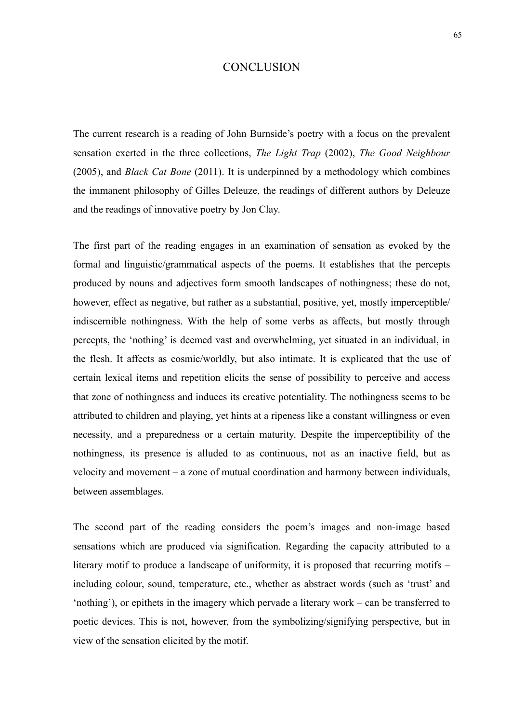## **CONCLUSION**

The current research is a reading of John Burnside's poetry with a focus on the prevalent sensation exerted in the three collections, *The Light Trap* (2002), *The Good Neighbour* (2005), and *Black Cat Bone* (2011). It is underpinned by a methodology which combines the immanent philosophy of Gilles Deleuze, the readings of different authors by Deleuze and the readings of innovative poetry by Jon Clay.

The first part of the reading engages in an examination of sensation as evoked by the formal and linguistic/grammatical aspects of the poems. It establishes that the percepts produced by nouns and adjectives form smooth landscapes of nothingness; these do not, however, effect as negative, but rather as a substantial, positive, yet, mostly imperceptible/ indiscernible nothingness. With the help of some verbs as affects, but mostly through percepts, the 'nothing' is deemed vast and overwhelming, yet situated in an individual, in the flesh. It affects as cosmic/worldly, but also intimate. It is explicated that the use of certain lexical items and repetition elicits the sense of possibility to perceive and access that zone of nothingness and induces its creative potentiality. The nothingness seems to be attributed to children and playing, yet hints at a ripeness like a constant willingness or even necessity, and a preparedness or a certain maturity. Despite the imperceptibility of the nothingness, its presence is alluded to as continuous, not as an inactive field, but as velocity and movement – a zone of mutual coordination and harmony between individuals, between assemblages.

The second part of the reading considers the poem's images and non-image based sensations which are produced via signification. Regarding the capacity attributed to a literary motif to produce a landscape of uniformity, it is proposed that recurring motifs – including colour, sound, temperature, etc., whether as abstract words (such as 'trust' and 'nothing'), or epithets in the imagery which pervade a literary work – can be transferred to poetic devices. This is not, however, from the symbolizing/signifying perspective, but in view of the sensation elicited by the motif.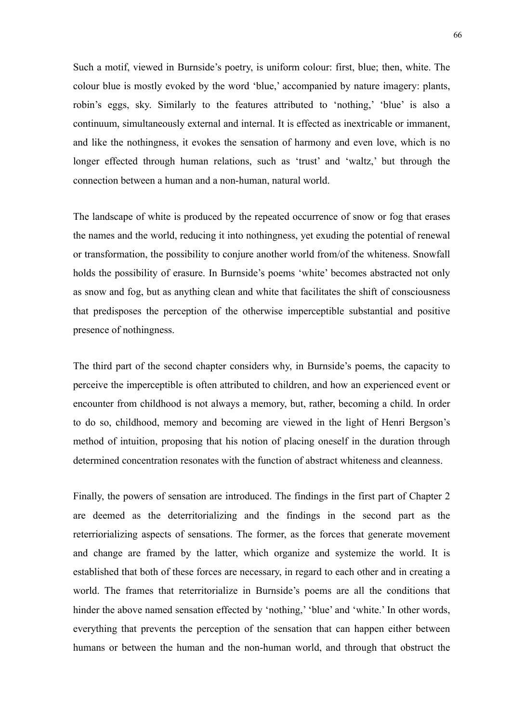Such a motif, viewed in Burnside's poetry, is uniform colour: first, blue; then, white. The colour blue is mostly evoked by the word 'blue,' accompanied by nature imagery: plants, robin's eggs, sky. Similarly to the features attributed to 'nothing,' 'blue' is also a continuum, simultaneously external and internal. It is effected as inextricable or immanent, and like the nothingness, it evokes the sensation of harmony and even love, which is no longer effected through human relations, such as 'trust' and 'waltz,' but through the connection between a human and a non-human, natural world.

The landscape of white is produced by the repeated occurrence of snow or fog that erases the names and the world, reducing it into nothingness, yet exuding the potential of renewal or transformation, the possibility to conjure another world from/of the whiteness. Snowfall holds the possibility of erasure. In Burnside's poems 'white' becomes abstracted not only as snow and fog, but as anything clean and white that facilitates the shift of consciousness that predisposes the perception of the otherwise imperceptible substantial and positive presence of nothingness.

The third part of the second chapter considers why, in Burnside's poems, the capacity to perceive the imperceptible is often attributed to children, and how an experienced event or encounter from childhood is not always a memory, but, rather, becoming a child. In order to do so, childhood, memory and becoming are viewed in the light of Henri Bergson's method of intuition, proposing that his notion of placing oneself in the duration through determined concentration resonates with the function of abstract whiteness and cleanness.

Finally, the powers of sensation are introduced. The findings in the first part of Chapter 2 are deemed as the deterritorializing and the findings in the second part as the reterriorializing aspects of sensations. The former, as the forces that generate movement and change are framed by the latter, which organize and systemize the world. It is established that both of these forces are necessary, in regard to each other and in creating a world. The frames that reterritorialize in Burnside's poems are all the conditions that hinder the above named sensation effected by 'nothing,' 'blue' and 'white.' In other words, everything that prevents the perception of the sensation that can happen either between humans or between the human and the non-human world, and through that obstruct the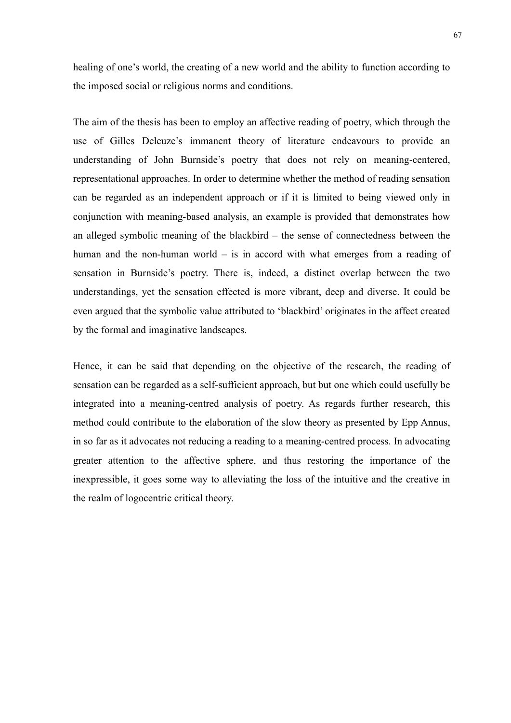healing of one's world, the creating of a new world and the ability to function according to the imposed social or religious norms and conditions.

The aim of the thesis has been to employ an affective reading of poetry, which through the use of Gilles Deleuze's immanent theory of literature endeavours to provide an understanding of John Burnside's poetry that does not rely on meaning-centered, representational approaches. In order to determine whether the method of reading sensation can be regarded as an independent approach or if it is limited to being viewed only in conjunction with meaning-based analysis, an example is provided that demonstrates how an alleged symbolic meaning of the blackbird – the sense of connectedness between the human and the non-human world – is in accord with what emerges from a reading of sensation in Burnside's poetry. There is, indeed, a distinct overlap between the two understandings, yet the sensation effected is more vibrant, deep and diverse. It could be even argued that the symbolic value attributed to 'blackbird' originates in the affect created by the formal and imaginative landscapes.

Hence, it can be said that depending on the objective of the research, the reading of sensation can be regarded as a self-sufficient approach, but but one which could usefully be integrated into a meaning-centred analysis of poetry. As regards further research, this method could contribute to the elaboration of the slow theory as presented by Epp Annus, in so far as it advocates not reducing a reading to a meaning-centred process. In advocating greater attention to the affective sphere, and thus restoring the importance of the inexpressible, it goes some way to alleviating the loss of the intuitive and the creative in the realm of logocentric critical theory.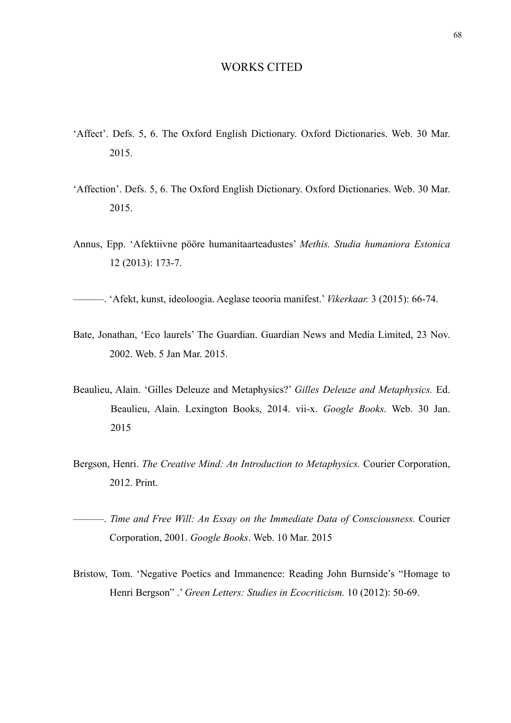## WORKS CITED

- 'Affect'. Defs. 5, 6. The Oxford English Dictionary. Oxford Dictionaries. Web. 30 Mar. 2015.
- 'Affection'. Defs. 5, 6. The Oxford English Dictionary. Oxford Dictionaries. Web. 30 Mar. 2015.
- Annus, Epp. 'Afektiivne pööre humanitaarteadustes' *Methis. Studia humaniora Estonica*  12 (2013): 173-7.

———. 'Afekt, kunst, ideoloogia. Aeglase teooria manifest.' *Vikerkaar.* 3 (2015): 66-74.

- Bate, Jonathan, 'Eco laurels' The Guardian. Guardian News and Media Limited, 23 Nov. 2002. Web. 5 Jan Mar. 2015.
- Beaulieu, Alain. 'Gilles Deleuze and Metaphysics?' *Gilles Deleuze and Metaphysics.* Ed. Beaulieu, Alain. Lexington Books, 2014. vii-x. *Google Books*. Web. 30 Jan. 2015
- Bergson, Henri. *The Creative Mind: An Introduction to Metaphysics.* Courier Corporation, 2012. Print.
- ———. *Time and Free Will: An Essay on the Immediate Data of Consciousness.* Courier Corporation, 2001. *Google Books*. Web. 10 Mar. 2015
- Bristow, Tom. 'Negative Poetics and Immanence: Reading John Burnside's "Homage to Henri Bergson" .' *Green Letters: Studies in Ecocriticism.* 10 (2012): 50-69.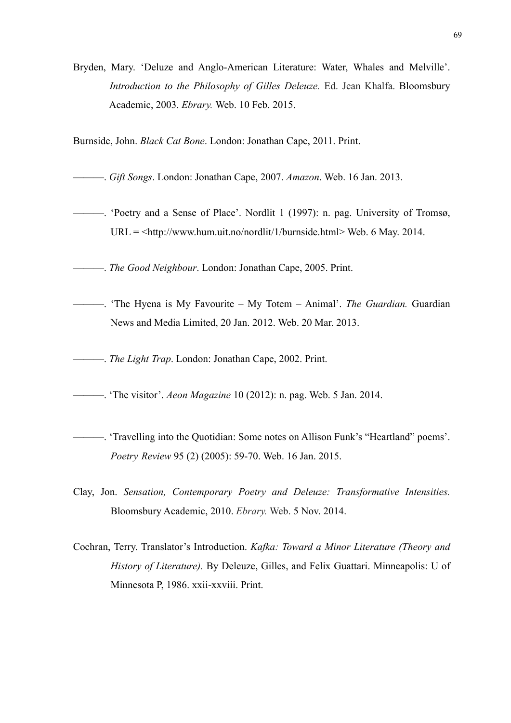Bryden, Mary. 'Deluze and Anglo-American Literature: Water, Whales and Melville'. *Introduction to the Philosophy of Gilles Deleuze.* Ed. Jean Khalfa. Bloomsbury Academic, 2003. *Ebrary.* Web. 10 Feb. 2015.

Burnside, John. *Black Cat Bone*. London: Jonathan Cape, 2011. Print.

- ———. *Gift Songs*. London: Jonathan Cape, 2007. *Amazon*. Web. 16 Jan. 2013.
- ———. 'Poetry and a Sense of Place'. Nordlit 1 (1997): n. pag. [University of Tromsø,](https://www.facebook.com/uit.international)  $URL = <$ <http://www.hum.uit.no/nordlit/1/burnside.html>> Web. 6 May. 2014.

———. *The Good Neighbour*. London: Jonathan Cape, 2005. Print.

- ———. 'The Hyena is My Favourite My Totem Animal'. *The Guardian.* Guardian News and Media Limited, 20 Jan. 2012. Web. 20 Mar. 2013.
- ———. *The Light Trap*. London: Jonathan Cape, 2002. Print.
- ———. 'The visitor'. *Aeon Magazine* 10 (2012): n. pag. Web. 5 Jan. 2014.
- ———. 'Travelling into the Quotidian: Some notes on Allison Funk's "Heartland" poems'. *Poetry Review* 95 (2) (2005): 59-70. Web. 16 Jan. 2015.
- Clay, Jon. *Sensation, Contemporary Poetry and Deleuze: Transformative Intensities.* Bloomsbury Academic, 2010. *Ebrary.* Web. 5 Nov. 2014.
- Cochran, Terry. Translator's Introduction. *Kafka: Toward a Minor Literature (Theory and History of Literature).* By Deleuze, Gilles, and Felix Guattari. Minneapolis: U of Minnesota P, 1986. xxii-xxviii. Print.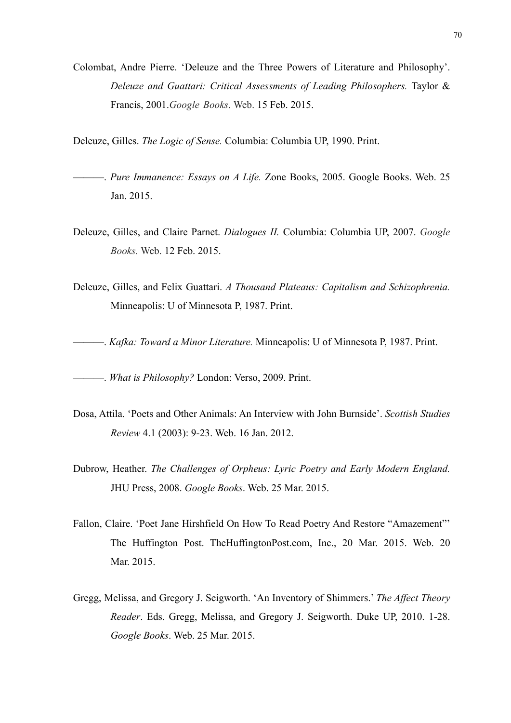- Colombat, Andre Pierre. 'Deleuze and the Three Powers of Literature and Philosophy'. *Deleuze and Guattari: Critical Assessments of Leading Philosophers.* Taylor & Francis, 2001.*Google Books*. Web. 15 Feb. 2015.
- Deleuze, Gilles. *The Logic of Sense.* Columbia: Columbia UP, 1990. Print.
- ———. *Pure Immanence: Essays on A Life.* Zone Books, 2005. Google Books. Web. 25 Jan. 2015.
- Deleuze, Gilles, and Claire Parnet. *Dialogues II.* Columbia: Columbia UP, 2007. *Google Books.* Web. 12 Feb. 2015.
- Deleuze, Gilles, and Felix Guattari. *A Thousand Plateaus: Capitalism and Schizophrenia.* Minneapolis: U of Minnesota P, 1987. Print.
- ———. *Kafka: Toward a Minor Literature.* Minneapolis: U of Minnesota P, 1987. Print.

———. *What is Philosophy?* London: Verso, 2009. Print.

- Dosa, Attila. 'Poets and Other Animals: An Interview with John Burnside'. *Scottish Studies Review* 4.1 (2003): 9-23. Web. 16 Jan. 2012.
- Dubrow, Heather. *The Challenges of Orpheus: Lyric Poetry and Early Modern England.*  JHU Press, 2008. *Google Books*. Web. 25 Mar. 2015.
- Fallon, Claire. 'Poet Jane Hirshfield On How To Read Poetry And Restore "Amazement"' The Huffington Post. TheHuffingtonPost.com, Inc., 20 Mar. 2015. Web. 20 Mar. 2015.
- Gregg, Melissa, and Gregory J. Seigworth. 'An Inventory of Shimmers.' *The Affect Theory Reader*. Eds. Gregg, Melissa, and Gregory J. Seigworth. Duke UP, 2010. 1-28. *Google Books*. Web. 25 Mar. 2015.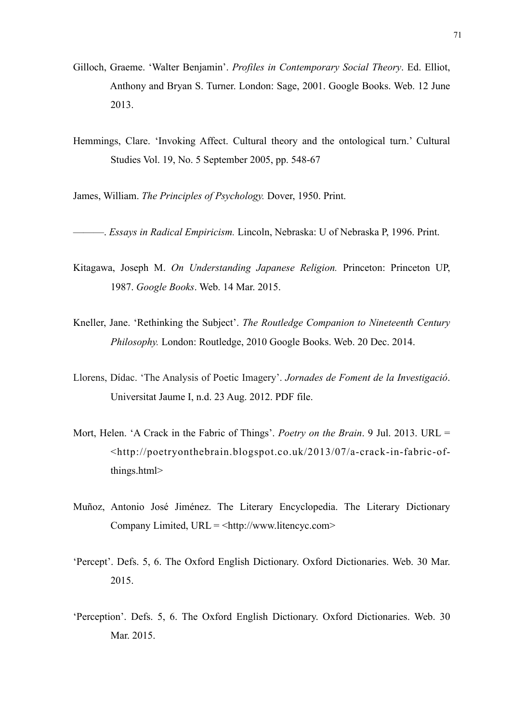- Gilloch, Graeme. 'Walter Benjamin'. *Profiles in Contemporary Social Theory*. Ed. Elliot, Anthony and Bryan S. Turner. London: Sage, 2001. Google Books. Web. 12 June 2013.
- Hemmings, Clare. 'Invoking Affect. Cultural theory and the ontological turn.' Cultural Studies Vol. 19, No. 5 September 2005, pp. 548-67

James, William. *The Principles of Psychology.* Dover, 1950. Print.

———. *Essays in Radical Empiricism.* Lincoln, Nebraska: U of Nebraska P, 1996. Print.

- Kitagawa, Joseph M. *On Understanding Japanese Religion.* Princeton: Princeton UP, 1987. *Google Books*. Web. 14 Mar. 2015.
- Kneller, Jane. 'Rethinking the Subject'. *The Routledge Companion to Nineteenth Century Philosophy.* London: Routledge, 2010 Google Books. Web. 20 Dec. 2014.
- Llorens, Dídac. 'The Analysis of Poetic Imagery'. *Jornades de Foment de la Investigació*. Universitat Jaume I, n.d. 23 Aug. 2012. PDF file.
- Mort, Helen. 'A Crack in the Fabric of Things'. *[Poetry on the Brain](http://poetryonthebrain.blogspot.co.uk/)*. 9 Jul. 2013. URL = <[http://poetryonthebrain.blogspot.co.uk/2013/07/a-crack-in-fabric-of](http://poetryonthebrain.blogspot.co.uk/2013/07/a-crack-in-fabric-of-things.html)  [things.html](http://poetryonthebrain.blogspot.co.uk/2013/07/a-crack-in-fabric-of-things.html)>
- Muñoz, Antonio José Jiménez. The Literary Encyclopedia. The Literary Dictionary Company Limited, URL = <<http://www.litencyc.com>>
- 'Percept'. Defs. 5, 6. The Oxford English Dictionary. Oxford Dictionaries. Web. 30 Mar. 2015.
- 'Perception'. Defs. 5, 6. The Oxford English Dictionary. Oxford Dictionaries. Web. 30 Mar. 2015.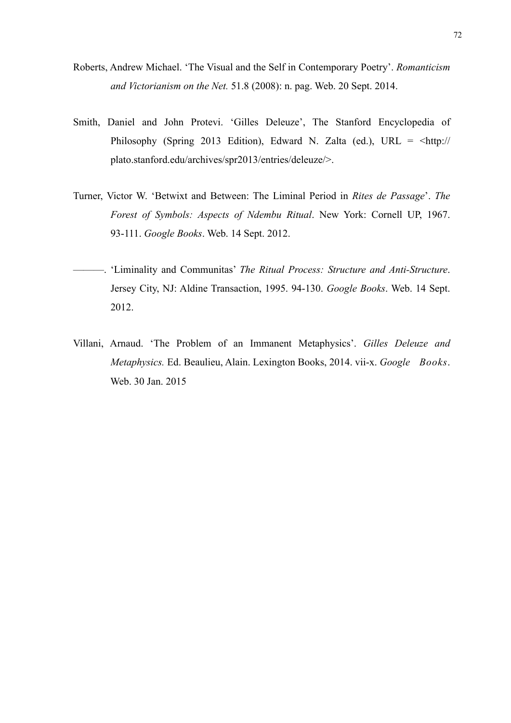- Roberts, Andrew Michael. 'The Visual and the Self in Contemporary Poetry'. *Romanticism and Victorianism on the Net.* 51.8 (2008): n. pag. Web. 20 Sept. 2014.
- Smith, Daniel and John Protevi. 'Gilles Deleuze', The Stanford Encyclopedia of Philosophy (Spring 2013 Edition), Edward N. Zalta (ed.), URL =  $\lt^{\text{http://}}$  $\lt^{\text{http://}}$  $\lt^{\text{http://}}$  [plato.stanford.edu/archives/spr2013/entries/deleuze/](http://plato.stanford.edu/archives/spr2013/entries/deleuze/)>.
- Turner, Victor W. 'Betwixt and Between: The Liminal Period in *Rites de Passage*'. *The Forest of Symbols: Aspects of Ndembu Ritual*. New York: Cornell UP, 1967. 93-111. *Google Books*. Web. 14 Sept. 2012.
- ———. 'Liminality and Communitas' *The Ritual Process: Structure and Anti-Structure*. Jersey City, NJ: Aldine Transaction, 1995. 94-130. *Google Books*. Web. 14 Sept. 2012.
- Villani, Arnaud. 'The Problem of an Immanent Metaphysics'. *Gilles Deleuze and Metaphysics.* Ed. Beaulieu, Alain. Lexington Books, 2014. vii-x. *Google Books*. Web. 30 Jan. 2015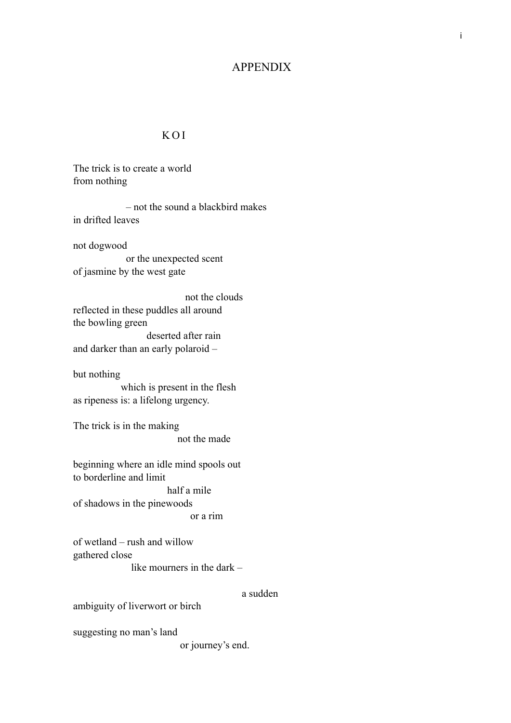# APPENDIX

### KOI

The trick is to create a world from nothing

 – not the sound a blackbird makes in drifted leaves not dogwood or the unexpected scent of jasmine by the west gate

 not the clouds reflected in these puddles all around the bowling green deserted after rain and darker than an early polaroid –

but nothing

 which is present in the flesh as ripeness is: a lifelong urgency.

The trick is in the making not the made

beginning where an idle mind spools out to borderline and limit half a mile of shadows in the pinewoods or a rim

of wetland – rush and willow gathered close

like mourners in the dark –

a sudden

ambiguity of liverwort or birch

suggesting no man's land

or journey's end.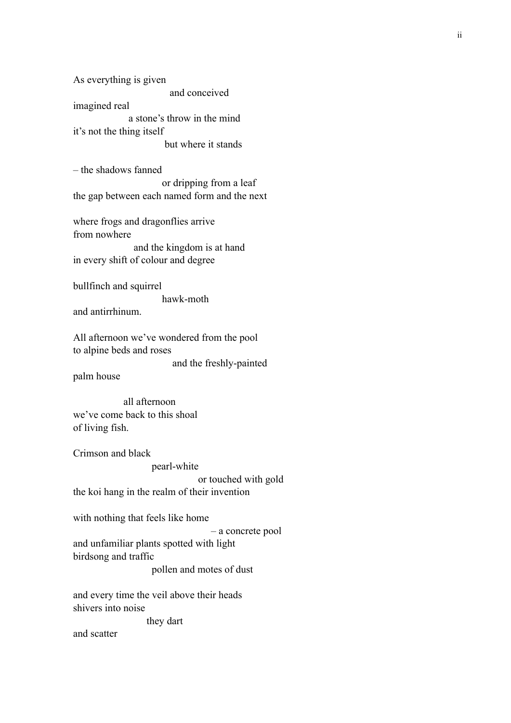As everything is given and conceived imagined real a stone's throw in the mind it's not the thing itself but where it stands

– the shadows fanned or dripping from a leaf the gap between each named form and the next

where frogs and dragonflies arrive from nowhere and the kingdom is at hand in every shift of colour and degree

bullfinch and squirrel hawk-moth and antirrhinum.

All afternoon we've wondered from the pool to alpine beds and roses

and the freshly-painted

palm house

 all afternoon we've come back to this shoal of living fish.

Crimson and black pearl-white or touched with gold the koi hang in the realm of their invention

with nothing that feels like home

 – a concrete pool and unfamiliar plants spotted with light birdsong and traffic pollen and motes of dust

and every time the veil above their heads shivers into noise

they dart

and scatter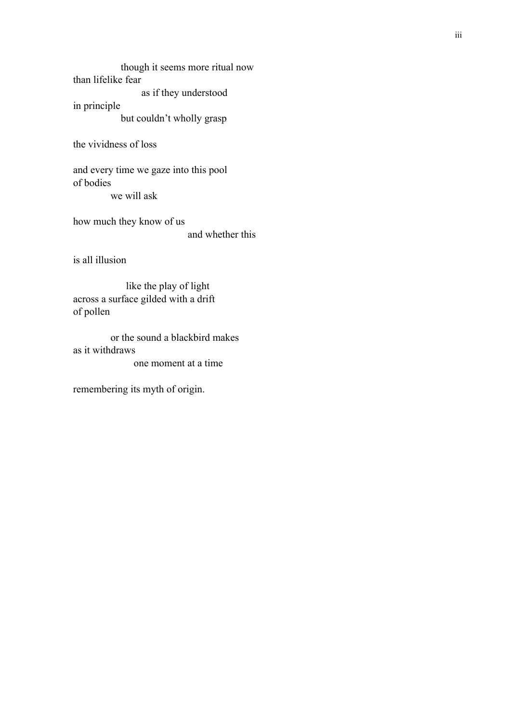though it seems more ritual now than lifelike fear as if they understood in principle

but couldn't wholly grasp

the vividness of loss

and every time we gaze into this pool of bodies we will ask

how much they know of us and whether this

is all illusion

 like the play of light across a surface gilded with a drift of pollen

 or the sound a blackbird makes as it withdraws one moment at a time

remembering its myth of origin.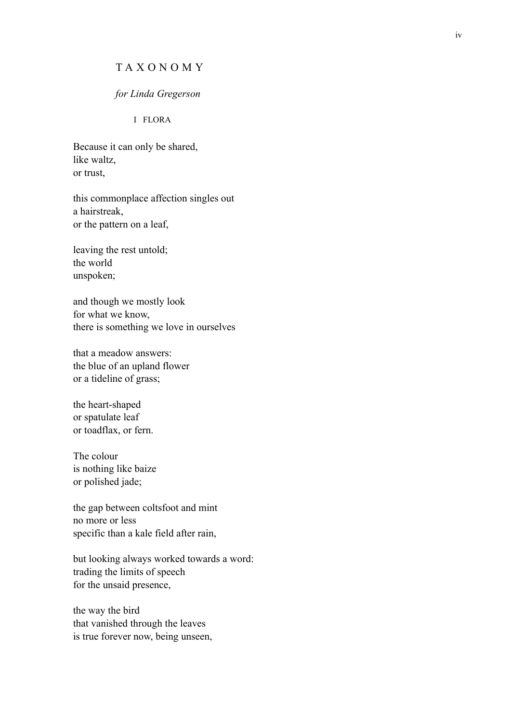## TAXONOMY

#### *for Linda Gregerson*

#### I FLORA

Because it can only be shared, like waltz, or trust,

this commonplace affection singles out a hairstreak, or the pattern on a leaf,

leaving the rest untold; the world unspoken;

and though we mostly look for what we know, there is something we love in ourselves

that a meadow answers: the blue of an upland flower or a tideline of grass;

the heart-shaped or spatulate leaf or toadflax, or fern.

The colour is nothing like baize or polished jade;

the gap between coltsfoot and mint no more or less specific than a kale field after rain,

but looking always worked towards a word: trading the limits of speech for the unsaid presence,

the way the bird that vanished through the leaves is true forever now, being unseen,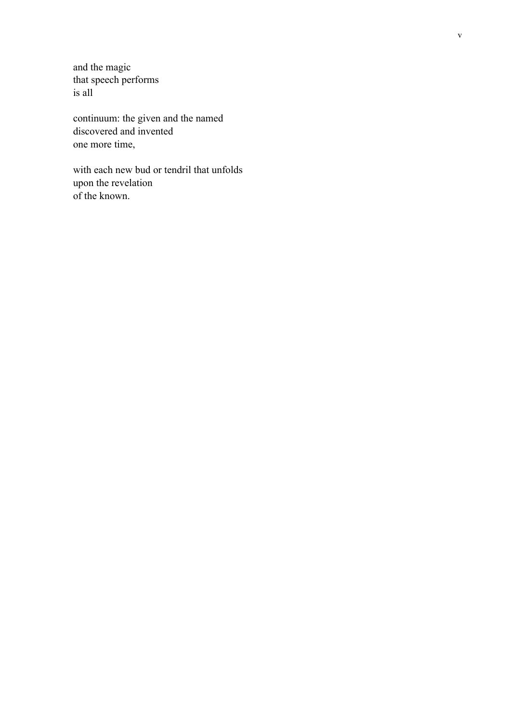and the magic that speech performs is all

continuum: the given and the named discovered and invented one more time,

with each new bud or tendril that unfolds upon the revelation of the known.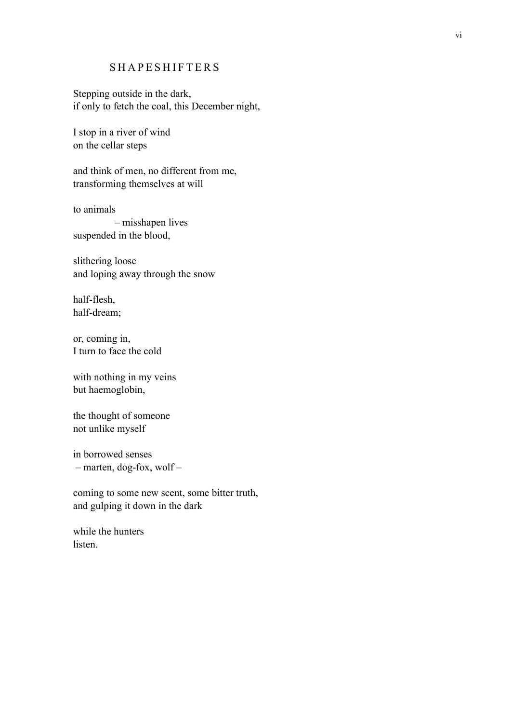## SHAPESHIFTERS

Stepping outside in the dark, if only to fetch the coal, this December night,

I stop in a river of wind on the cellar steps

and think of men, no different from me, transforming themselves at will

to animals – misshapen lives suspended in the blood,

slithering loose and loping away through the snow

half-flesh, half-dream;

or, coming in, I turn to face the cold

with nothing in my veins but haemoglobin,

the thought of someone not unlike myself

in borrowed senses – marten, dog-fox, wolf –

coming to some new scent, some bitter truth, and gulping it down in the dark

while the hunters listen.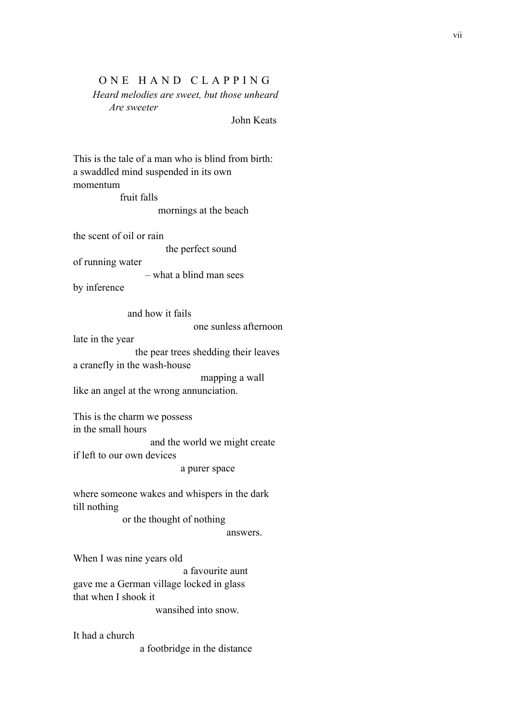### ONE HAND CLAPPING

 *Heard melodies are sweet, but those unheard Are sweeter*

John Keats

This is the tale of a man who is blind from birth: a swaddled mind suspended in its own momentum

 fruit falls mornings at the beach

the scent of oil or rain

the perfect sound

of running water

– what a blind man sees

by inference

and how it fails

one sunless afternoon

late in the year

 the pear trees shedding their leaves a cranefly in the wash-house

mapping a wall

like an angel at the wrong annunciation.

This is the charm we possess in the small hours and the world we might create if left to our own devices

a purer space

where someone wakes and whispers in the dark till nothing

or the thought of nothing

answers.

When I was nine years old

 a favourite aunt gave me a German village locked in glass that when I shook it wansihed into snow.

It had a church

a footbridge in the distance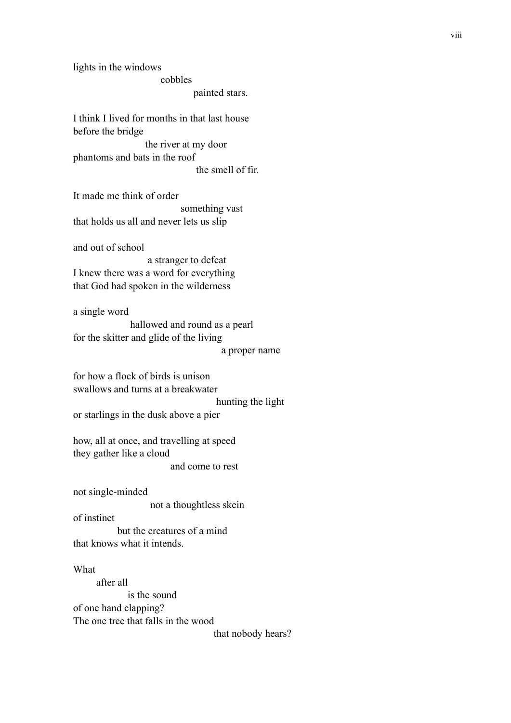lights in the windows cobbles painted stars. I think I lived for months in that last house

before the bridge the river at my door phantoms and bats in the roof

the smell of fir.

It made me think of order something vast that holds us all and never lets us slip

and out of school

 a stranger to defeat I knew there was a word for everything that God had spoken in the wilderness

a single word

 hallowed and round as a pearl for the skitter and glide of the living a proper name

for how a flock of birds is unison swallows and turns at a breakwater

hunting the light

or starlings in the dusk above a pier

how, all at once, and travelling at speed they gather like a cloud and come to rest

not single-minded

not a thoughtless skein

of instinct

 but the creatures of a mind that knows what it intends.

#### **What**

 after all is the sound of one hand clapping? The one tree that falls in the wood that nobody hears? viii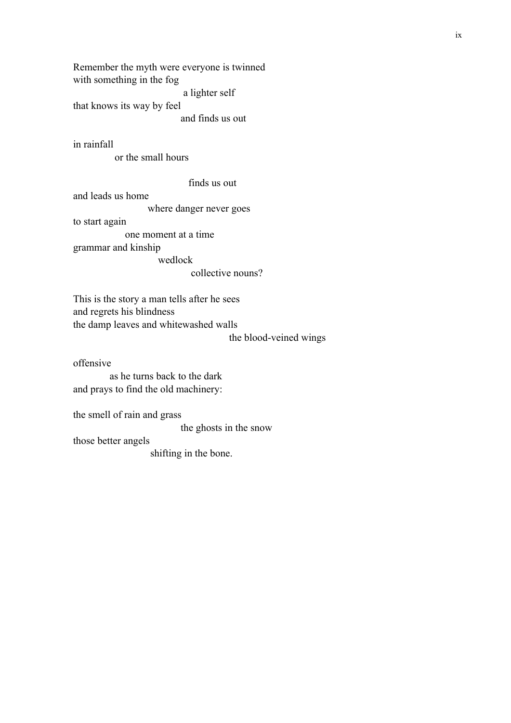Remember the myth were everyone is twinned with something in the fog a lighter self that knows its way by feel and finds us out

in rainfall

or the small hours

finds us out

and leads us home

where danger never goes

to start again

one moment at a time

grammar and kinship

wedlock

collective nouns?

This is the story a man tells after he sees and regrets his blindness the damp leaves and whitewashed walls

the blood-veined wings

offensive as he turns back to the dark

and prays to find the old machinery:

the smell of rain and grass

the ghosts in the snow

those better angels

shifting in the bone.